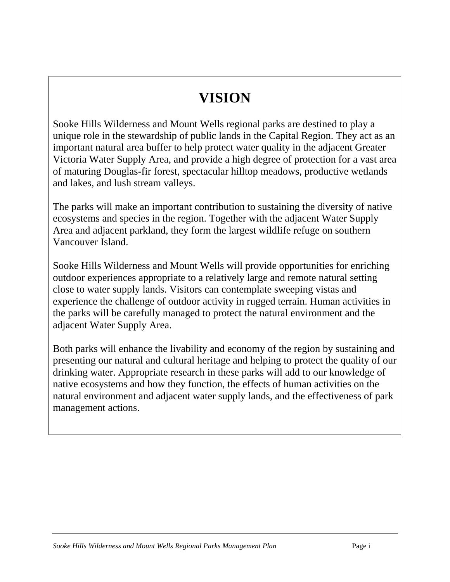# **VISION**

Sooke Hills Wilderness and Mount Wells regional parks are destined to play a unique role in the stewardship of public lands in the Capital Region. They act as an important natural area buffer to help protect water quality in the adjacent Greater Victoria Water Supply Area, and provide a high degree of protection for a vast area of maturing Douglas-fir forest, spectacular hilltop meadows, productive wetlands and lakes, and lush stream valleys.

The parks will make an important contribution to sustaining the diversity of native ecosystems and species in the region. Together with the adjacent Water Supply Area and adjacent parkland, they form the largest wildlife refuge on southern Vancouver Island.

Sooke Hills Wilderness and Mount Wells will provide opportunities for enriching outdoor experiences appropriate to a relatively large and remote natural setting close to water supply lands. Visitors can contemplate sweeping vistas and experience the challenge of outdoor activity in rugged terrain. Human activities in the parks will be carefully managed to protect the natural environment and the adjacent Water Supply Area.

Both parks will enhance the livability and economy of the region by sustaining and presenting our natural and cultural heritage and helping to protect the quality of our drinking water. Appropriate research in these parks will add to our knowledge of native ecosystems and how they function, the effects of human activities on the natural environment and adjacent water supply lands, and the effectiveness of park management actions.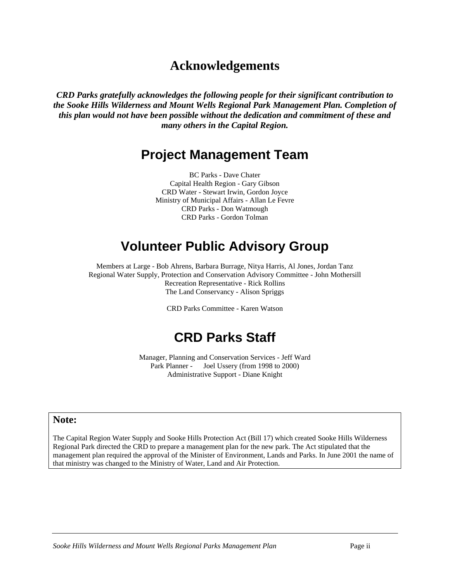# **Acknowledgements**

*CRD Parks gratefully acknowledges the following people for their significant contribution to the Sooke Hills Wilderness and Mount Wells Regional Park Management Plan. Completion of this plan would not have been possible without the dedication and commitment of these and many others in the Capital Region.* 

# **Project Management Team**

BC Parks - Dave Chater Capital Health Region - Gary Gibson CRD Water - Stewart Irwin, Gordon Joyce Ministry of Municipal Affairs - Allan Le Fevre CRD Parks - Don Watmough CRD Parks - Gordon Tolman

# **Volunteer Public Advisory Group**

Members at Large - Bob Ahrens, Barbara Burrage, Nitya Harris, Al Jones, Jordan Tanz Regional Water Supply, Protection and Conservation Advisory Committee - John Mothersill Recreation Representative - Rick Rollins The Land Conservancy - Alison Spriggs

CRD Parks Committee - Karen Watson

# **CRD Parks Staff**

Manager, Planning and Conservation Services - Jeff Ward Park Planner - Joel Ussery (from 1998 to 2000) Administrative Support - Diane Knight

#### **Note:**

The Capital Region Water Supply and Sooke Hills Protection Act (Bill 17) which created Sooke Hills Wilderness Regional Park directed the CRD to prepare a management plan for the new park. The Act stipulated that the management plan required the approval of the Minister of Environment, Lands and Parks. In June 2001 the name of that ministry was changed to the Ministry of Water, Land and Air Protection.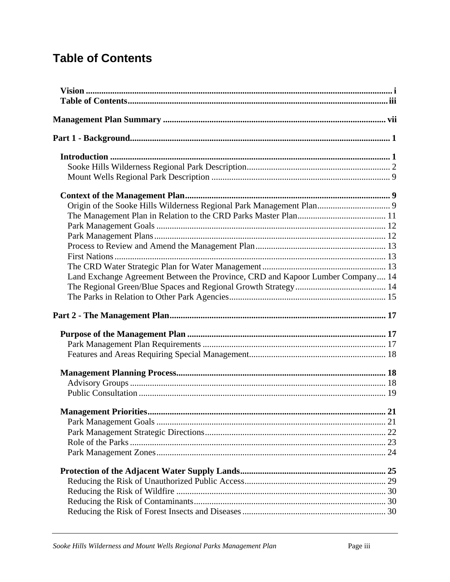# <span id="page-2-0"></span>**Table of Contents**

| Land Exchange Agreement Between the Province, CRD and Kapoor Lumber Company 14 |    |
|--------------------------------------------------------------------------------|----|
|                                                                                |    |
|                                                                                |    |
|                                                                                |    |
|                                                                                |    |
|                                                                                |    |
|                                                                                |    |
|                                                                                |    |
|                                                                                |    |
|                                                                                |    |
|                                                                                |    |
|                                                                                |    |
| <b>Management Priorities</b>                                                   | 21 |
|                                                                                |    |
|                                                                                |    |
|                                                                                |    |
|                                                                                |    |
|                                                                                |    |
|                                                                                |    |
|                                                                                |    |
|                                                                                |    |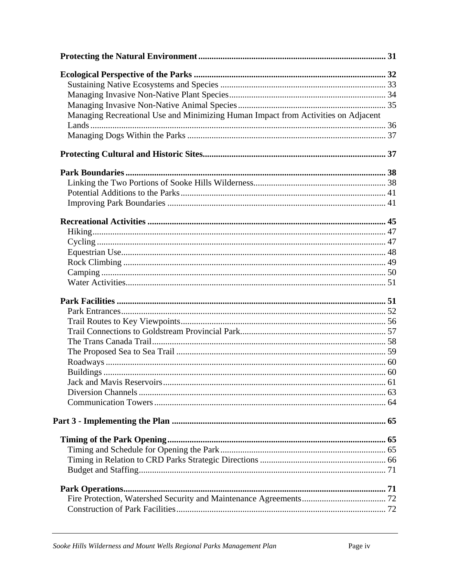| Managing Recreational Use and Minimizing Human Impact from Activities on Adjacent |  |
|-----------------------------------------------------------------------------------|--|
|                                                                                   |  |
|                                                                                   |  |
|                                                                                   |  |
|                                                                                   |  |
|                                                                                   |  |
|                                                                                   |  |
|                                                                                   |  |
|                                                                                   |  |
|                                                                                   |  |
|                                                                                   |  |
|                                                                                   |  |
|                                                                                   |  |
|                                                                                   |  |
|                                                                                   |  |
|                                                                                   |  |
|                                                                                   |  |
|                                                                                   |  |
|                                                                                   |  |
|                                                                                   |  |
|                                                                                   |  |
|                                                                                   |  |
|                                                                                   |  |
|                                                                                   |  |
|                                                                                   |  |
|                                                                                   |  |
|                                                                                   |  |
|                                                                                   |  |
|                                                                                   |  |
|                                                                                   |  |
|                                                                                   |  |
|                                                                                   |  |
|                                                                                   |  |
|                                                                                   |  |
|                                                                                   |  |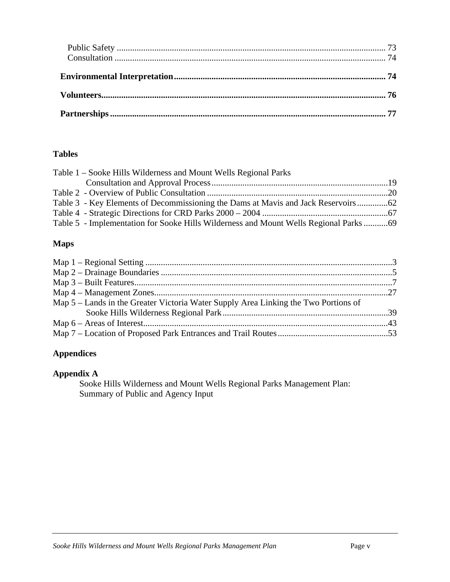#### **Tables**

| Table 1 – Sooke Hills Wilderness and Mount Wells Regional Parks                       |  |
|---------------------------------------------------------------------------------------|--|
|                                                                                       |  |
|                                                                                       |  |
|                                                                                       |  |
|                                                                                       |  |
| Table 5 - Implementation for Sooke Hills Wilderness and Mount Wells Regional Parks 69 |  |

#### **Maps**

## **Appendices**

#### **Appendix A**

Sooke Hills Wilderness and Mount Wells Regional Parks Management Plan: Summary of Public and Agency Input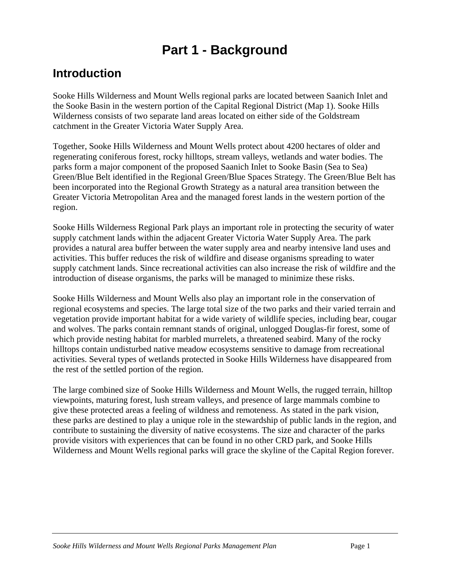# **Part 1 - Background**

# <span id="page-5-0"></span>**Introduction**

Sooke Hills Wilderness and Mount Wells regional parks are located between Saanich Inlet and the Sooke Basin in the western portion of the Capital Regional District (Map 1). Sooke Hills Wilderness consists of two separate land areas located on either side of the Goldstream catchment in the Greater Victoria Water Supply Area.

Together, Sooke Hills Wilderness and Mount Wells protect about 4200 hectares of older and regenerating coniferous forest, rocky hilltops, stream valleys, wetlands and water bodies. The parks form a major component of the proposed Saanich Inlet to Sooke Basin (Sea to Sea) Green/Blue Belt identified in the Regional Green/Blue Spaces Strategy. The Green/Blue Belt has been incorporated into the Regional Growth Strategy as a natural area transition between the Greater Victoria Metropolitan Area and the managed forest lands in the western portion of the region.

Sooke Hills Wilderness Regional Park plays an important role in protecting the security of water supply catchment lands within the adjacent Greater Victoria Water Supply Area. The park provides a natural area buffer between the water supply area and nearby intensive land uses and activities. This buffer reduces the risk of wildfire and disease organisms spreading to water supply catchment lands. Since recreational activities can also increase the risk of wildfire and the introduction of disease organisms, the parks will be managed to minimize these risks.

Sooke Hills Wilderness and Mount Wells also play an important role in the conservation of regional ecosystems and species. The large total size of the two parks and their varied terrain and vegetation provide important habitat for a wide variety of wildlife species, including bear, cougar and wolves. The parks contain remnant stands of original, unlogged Douglas-fir forest, some of which provide nesting habitat for marbled murrelets, a threatened seabird. Many of the rocky hilltops contain undisturbed native meadow ecosystems sensitive to damage from recreational activities. Several types of wetlands protected in Sooke Hills Wilderness have disappeared from the rest of the settled portion of the region.

The large combined size of Sooke Hills Wilderness and Mount Wells, the rugged terrain, hilltop viewpoints, maturing forest, lush stream valleys, and presence of large mammals combine to give these protected areas a feeling of wildness and remoteness. As stated in the park vision, these parks are destined to play a unique role in the stewardship of public lands in the region, and contribute to sustaining the diversity of native ecosystems. The size and character of the parks provide visitors with experiences that can be found in no other CRD park, and Sooke Hills Wilderness and Mount Wells regional parks will grace the skyline of the Capital Region forever.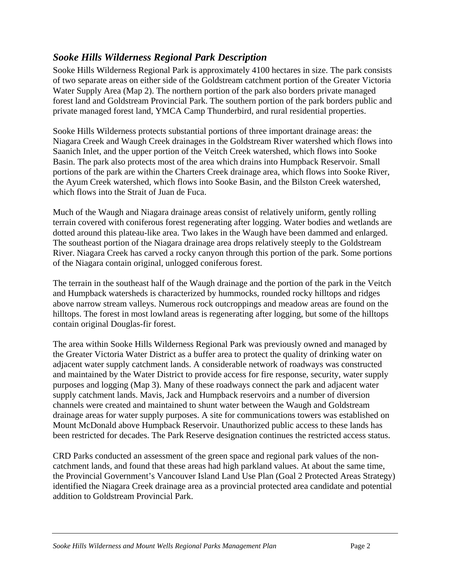## <span id="page-6-0"></span>*Sooke Hills Wilderness Regional Park Description*

Sooke Hills Wilderness Regional Park is approximately 4100 hectares in size. The park consists of two separate areas on either side of the Goldstream catchment portion of the Greater Victoria Water Supply Area (Map 2). The northern portion of the park also borders private managed forest land and Goldstream Provincial Park. The southern portion of the park borders public and private managed forest land, YMCA Camp Thunderbird, and rural residential properties.

Sooke Hills Wilderness protects substantial portions of three important drainage areas: the Niagara Creek and Waugh Creek drainages in the Goldstream River watershed which flows into Saanich Inlet, and the upper portion of the Veitch Creek watershed, which flows into Sooke Basin. The park also protects most of the area which drains into Humpback Reservoir. Small portions of the park are within the Charters Creek drainage area, which flows into Sooke River, the Ayum Creek watershed, which flows into Sooke Basin, and the Bilston Creek watershed, which flows into the Strait of Juan de Fuca.

Much of the Waugh and Niagara drainage areas consist of relatively uniform, gently rolling terrain covered with coniferous forest regenerating after logging. Water bodies and wetlands are dotted around this plateau-like area. Two lakes in the Waugh have been dammed and enlarged. The southeast portion of the Niagara drainage area drops relatively steeply to the Goldstream River. Niagara Creek has carved a rocky canyon through this portion of the park. Some portions of the Niagara contain original, unlogged coniferous forest.

The terrain in the southeast half of the Waugh drainage and the portion of the park in the Veitch and Humpback watersheds is characterized by hummocks, rounded rocky hilltops and ridges above narrow stream valleys. Numerous rock outcroppings and meadow areas are found on the hilltops. The forest in most lowland areas is regenerating after logging, but some of the hilltops contain original Douglas-fir forest.

The area within Sooke Hills Wilderness Regional Park was previously owned and managed by the Greater Victoria Water District as a buffer area to protect the quality of drinking water on adjacent water supply catchment lands. A considerable network of roadways was constructed and maintained by the Water District to provide access for fire response, security, water supply purposes and logging (Map 3). Many of these roadways connect the park and adjacent water supply catchment lands. Mavis, Jack and Humpback reservoirs and a number of diversion channels were created and maintained to shunt water between the Waugh and Goldstream drainage areas for water supply purposes. A site for communications towers was established on Mount McDonald above Humpback Reservoir. Unauthorized public access to these lands has been restricted for decades. The Park Reserve designation continues the restricted access status.

CRD Parks conducted an assessment of the green space and regional park values of the noncatchment lands, and found that these areas had high parkland values. At about the same time, the Provincial Government's Vancouver Island Land Use Plan (Goal 2 Protected Areas Strategy) identified the Niagara Creek drainage area as a provincial protected area candidate and potential addition to Goldstream Provincial Park.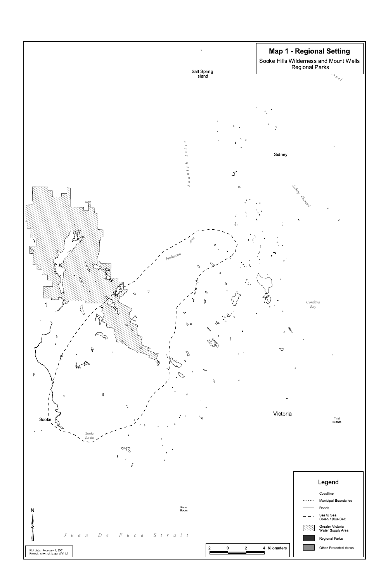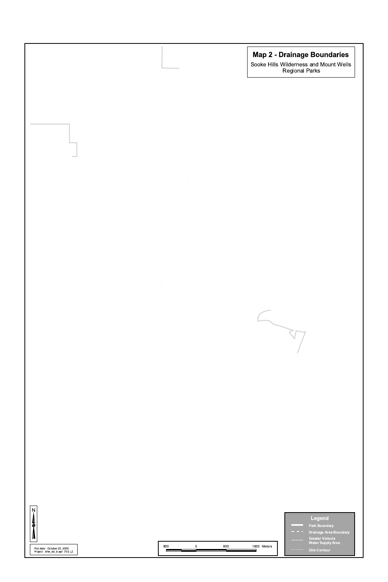

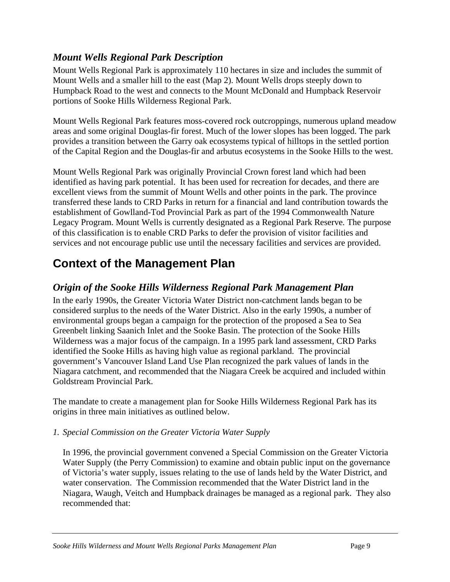## <span id="page-10-0"></span>*Mount Wells Regional Park Description*

Mount Wells Regional Park is approximately 110 hectares in size and includes the summit of Mount Wells and a smaller hill to the east (Map 2). Mount Wells drops steeply down to Humpback Road to the west and connects to the Mount McDonald and Humpback Reservoir portions of Sooke Hills Wilderness Regional Park.

Mount Wells Regional Park features moss-covered rock outcroppings, numerous upland meadow areas and some original Douglas-fir forest. Much of the lower slopes has been logged. The park provides a transition between the Garry oak ecosystems typical of hilltops in the settled portion of the Capital Region and the Douglas-fir and arbutus ecosystems in the Sooke Hills to the west.

Mount Wells Regional Park was originally Provincial Crown forest land which had been identified as having park potential. It has been used for recreation for decades, and there are excellent views from the summit of Mount Wells and other points in the park. The province transferred these lands to CRD Parks in return for a financial and land contribution towards the establishment of Gowlland-Tod Provincial Park as part of the 1994 Commonwealth Nature Legacy Program. Mount Wells is currently designated as a Regional Park Reserve*.* The purpose of this classification is to enable CRD Parks to defer the provision of visitor facilities and services and not encourage public use until the necessary facilities and services are provided.

# **Context of the Management Plan**

## *Origin of the Sooke Hills Wilderness Regional Park Management Plan*

In the early 1990s, the Greater Victoria Water District non-catchment lands began to be considered surplus to the needs of the Water District. Also in the early 1990s, a number of environmental groups began a campaign for the protection of the proposed a Sea to Sea Greenbelt linking Saanich Inlet and the Sooke Basin. The protection of the Sooke Hills Wilderness was a major focus of the campaign. In a 1995 park land assessment, CRD Parks identified the Sooke Hills as having high value as regional parkland. The provincial government's Vancouver Island Land Use Plan recognized the park values of lands in the Niagara catchment, and recommended that the Niagara Creek be acquired and included within Goldstream Provincial Park.

The mandate to create a management plan for Sooke Hills Wilderness Regional Park has its origins in three main initiatives as outlined below.

#### *1. Special Commission on the Greater Victoria Water Supply*

In 1996, the provincial government convened a Special Commission on the Greater Victoria Water Supply (the Perry Commission) to examine and obtain public input on the governance of Victoria's water supply, issues relating to the use of lands held by the Water District, and water conservation. The Commission recommended that the Water District land in the Niagara, Waugh, Veitch and Humpback drainages be managed as a regional park. They also recommended that: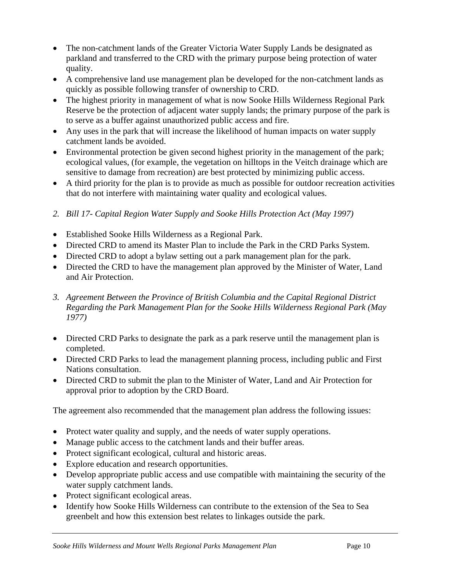- The non-catchment lands of the Greater Victoria Water Supply Lands be designated as parkland and transferred to the CRD with the primary purpose being protection of water quality.
- A comprehensive land use management plan be developed for the non-catchment lands as quickly as possible following transfer of ownership to CRD.
- The highest priority in management of what is now Sooke Hills Wilderness Regional Park Reserve be the protection of adjacent water supply lands; the primary purpose of the park is to serve as a buffer against unauthorized public access and fire.
- Any uses in the park that will increase the likelihood of human impacts on water supply catchment lands be avoided.
- Environmental protection be given second highest priority in the management of the park; ecological values, (for example, the vegetation on hilltops in the Veitch drainage which are sensitive to damage from recreation) are best protected by minimizing public access.
- A third priority for the plan is to provide as much as possible for outdoor recreation activities that do not interfere with maintaining water quality and ecological values.
- *2. Bill 17- Capital Region Water Supply and Sooke Hills Protection Act (May 1997)*
- Established Sooke Hills Wilderness as a Regional Park.
- Directed CRD to amend its Master Plan to include the Park in the CRD Parks System.
- Directed CRD to adopt a bylaw setting out a park management plan for the park.
- Directed the CRD to have the management plan approved by the Minister of Water, Land and Air Protection.
- *3. Agreement Between the Province of British Columbia and the Capital Regional District Regarding the Park Management Plan for the Sooke Hills Wilderness Regional Park (May 1977)*
- Directed CRD Parks to designate the park as a park reserve until the management plan is completed.
- Directed CRD Parks to lead the management planning process, including public and First Nations consultation.
- Directed CRD to submit the plan to the Minister of Water, Land and Air Protection for approval prior to adoption by the CRD Board.

The agreement also recommended that the management plan address the following issues:

- Protect water quality and supply, and the needs of water supply operations.
- Manage public access to the catchment lands and their buffer areas.
- Protect significant ecological, cultural and historic areas.
- Explore education and research opportunities.
- Develop appropriate public access and use compatible with maintaining the security of the water supply catchment lands.
- Protect significant ecological areas.
- Identify how Sooke Hills Wilderness can contribute to the extension of the Sea to Sea greenbelt and how this extension best relates to linkages outside the park.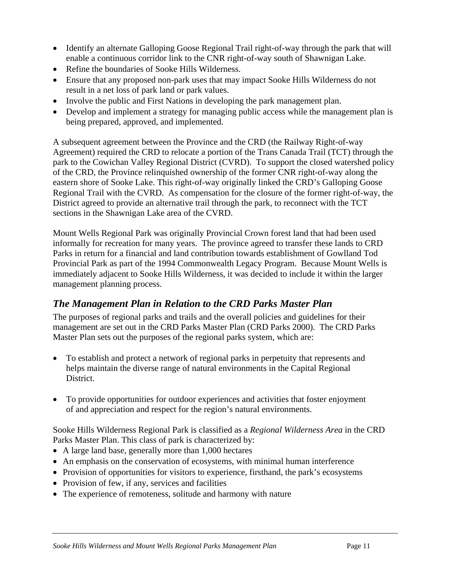- <span id="page-12-0"></span>• Identify an alternate Galloping Goose Regional Trail right-of-way through the park that will enable a continuous corridor link to the CNR right-of-way south of Shawnigan Lake.
- Refine the boundaries of Sooke Hills Wilderness.
- Ensure that any proposed non-park uses that may impact Sooke Hills Wilderness do not result in a net loss of park land or park values.
- Involve the public and First Nations in developing the park management plan.
- Develop and implement a strategy for managing public access while the management plan is being prepared, approved, and implemented.

A subsequent agreement between the Province and the CRD (the Railway Right-of-way Agreement) required the CRD to relocate a portion of the Trans Canada Trail (TCT) through the park to the Cowichan Valley Regional District (CVRD). To support the closed watershed policy of the CRD, the Province relinquished ownership of the former CNR right-of-way along the eastern shore of Sooke Lake. This right-of-way originally linked the CRD's Galloping Goose Regional Trail with the CVRD. As compensation for the closure of the former right-of-way, the District agreed to provide an alternative trail through the park, to reconnect with the TCT sections in the Shawnigan Lake area of the CVRD.

Mount Wells Regional Park was originally Provincial Crown forest land that had been used informally for recreation for many years. The province agreed to transfer these lands to CRD Parks in return for a financial and land contribution towards establishment of Gowlland Tod Provincial Park as part of the 1994 Commonwealth Legacy Program. Because Mount Wells is immediately adjacent to Sooke Hills Wilderness, it was decided to include it within the larger management planning process.

## *The Management Plan in Relation to the CRD Parks Master Plan*

The purposes of regional parks and trails and the overall policies and guidelines for their management are set out in the CRD Parks Master Plan (CRD Parks 2000).The CRD Parks Master Plan sets out the purposes of the regional parks system, which are:

- To establish and protect a network of regional parks in perpetuity that represents and helps maintain the diverse range of natural environments in the Capital Regional District.
- To provide opportunities for outdoor experiences and activities that foster enjoyment of and appreciation and respect for the region's natural environments.

Sooke Hills Wilderness Regional Park is classified as a *Regional Wilderness Area* in the CRD Parks Master Plan. This class of park is characterized by:

- A large land base, generally more than 1,000 hectares
- An emphasis on the conservation of ecosystems, with minimal human interference
- Provision of opportunities for visitors to experience, firsthand, the park's ecosystems
- Provision of few, if any, services and facilities
- The experience of remoteness, solitude and harmony with nature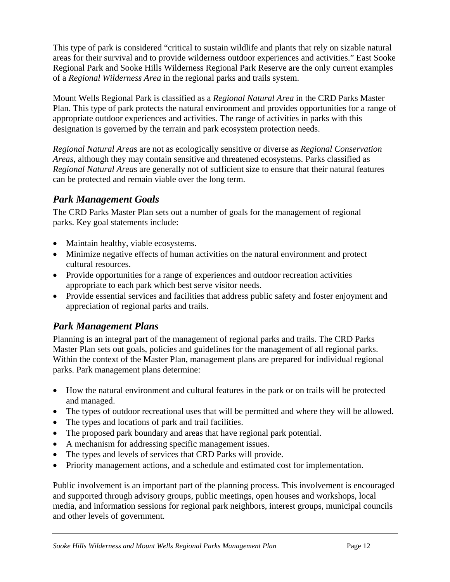<span id="page-13-0"></span>This type of park is considered "critical to sustain wildlife and plants that rely on sizable natural areas for their survival and to provide wilderness outdoor experiences and activities." East Sooke Regional Park and Sooke Hills Wilderness Regional Park Reserve are the only current examples of a *Regional Wilderness Area* in the regional parks and trails system.

Mount Wells Regional Park is classified as a *Regional Natural Area* in the CRD Parks Master Plan. This type of park protects the natural environment and provides opportunities for a range of appropriate outdoor experiences and activities. The range of activities in parks with this designation is governed by the terrain and park ecosystem protection needs.

*Regional Natural Area*s are not as ecologically sensitive or diverse as *Regional Conservation Areas*, although they may contain sensitive and threatened ecosystems. Parks classified as *Regional Natural Area*s are generally not of sufficient size to ensure that their natural features can be protected and remain viable over the long term.

### *Park Management Goals*

The CRD Parks Master Plan sets out a number of goals for the management of regional parks. Key goal statements include:

- Maintain healthy, viable ecosystems.
- Minimize negative effects of human activities on the natural environment and protect cultural resources.
- Provide opportunities for a range of experiences and outdoor recreation activities appropriate to each park which best serve visitor needs.
- Provide essential services and facilities that address public safety and foster enjoyment and appreciation of regional parks and trails.

## *Park Management Plans*

Planning is an integral part of the management of regional parks and trails. The CRD Parks Master Plan sets out goals, policies and guidelines for the management of all regional parks. Within the context of the Master Plan, management plans are prepared for individual regional parks. Park management plans determine:

- How the natural environment and cultural features in the park or on trails will be protected and managed.
- The types of outdoor recreational uses that will be permitted and where they will be allowed.
- The types and locations of park and trail facilities.
- The proposed park boundary and areas that have regional park potential.
- A mechanism for addressing specific management issues.
- The types and levels of services that CRD Parks will provide.
- Priority management actions, and a schedule and estimated cost for implementation.

Public involvement is an important part of the planning process. This involvement is encouraged and supported through advisory groups, public meetings, open houses and workshops, local media, and information sessions for regional park neighbors, interest groups, municipal councils and other levels of government.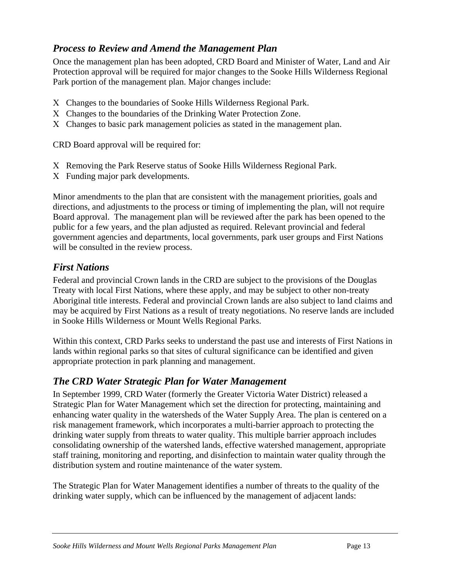## <span id="page-14-0"></span>*Process to Review and Amend the Management Plan*

Once the management plan has been adopted, CRD Board and Minister of Water, Land and Air Protection approval will be required for major changes to the Sooke Hills Wilderness Regional Park portion of the management plan. Major changes include:

- Χ Changes to the boundaries of Sooke Hills Wilderness Regional Park.
- Χ Changes to the boundaries of the Drinking Water Protection Zone.
- Χ Changes to basic park management policies as stated in the management plan.

CRD Board approval will be required for:

- Χ Removing the Park Reserve status of Sooke Hills Wilderness Regional Park.
- Χ Funding major park developments.

Minor amendments to the plan that are consistent with the management priorities, goals and directions, and adjustments to the process or timing of implementing the plan, will not require Board approval. The management plan will be reviewed after the park has been opened to the public for a few years, and the plan adjusted as required. Relevant provincial and federal government agencies and departments, local governments, park user groups and First Nations will be consulted in the review process.

#### *First Nations*

Federal and provincial Crown lands in the CRD are subject to the provisions of the Douglas Treaty with local First Nations, where these apply, and may be subject to other non-treaty Aboriginal title interests. Federal and provincial Crown lands are also subject to land claims and may be acquired by First Nations as a result of treaty negotiations. No reserve lands are included in Sooke Hills Wilderness or Mount Wells Regional Parks.

Within this context, CRD Parks seeks to understand the past use and interests of First Nations in lands within regional parks so that sites of cultural significance can be identified and given appropriate protection in park planning and management.

## *The CRD Water Strategic Plan for Water Management*

In September 1999, CRD Water (formerly the Greater Victoria Water District) released a Strategic Plan for Water Management which set the direction for protecting, maintaining and enhancing water quality in the watersheds of the Water Supply Area. The plan is centered on a risk management framework, which incorporates a multi-barrier approach to protecting the drinking water supply from threats to water quality. This multiple barrier approach includes consolidating ownership of the watershed lands, effective watershed management, appropriate staff training, monitoring and reporting, and disinfection to maintain water quality through the distribution system and routine maintenance of the water system.

The Strategic Plan for Water Management identifies a number of threats to the quality of the drinking water supply, which can be influenced by the management of adjacent lands: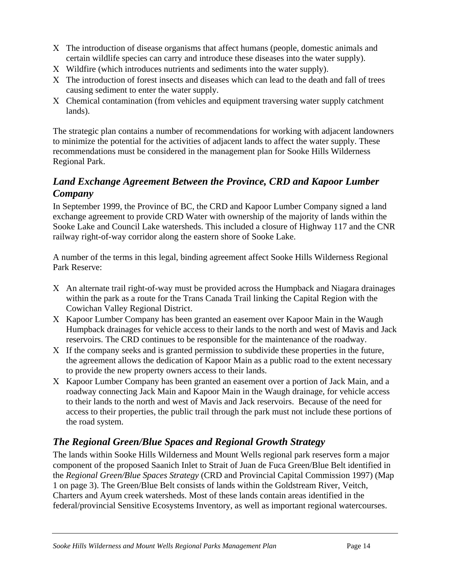- <span id="page-15-0"></span>Χ The introduction of disease organisms that affect humans (people, domestic animals and certain wildlife species can carry and introduce these diseases into the water supply).
- Χ Wildfire (which introduces nutrients and sediments into the water supply).
- Χ The introduction of forest insects and diseases which can lead to the death and fall of trees causing sediment to enter the water supply.
- Χ Chemical contamination (from vehicles and equipment traversing water supply catchment lands).

The strategic plan contains a number of recommendations for working with adjacent landowners to minimize the potential for the activities of adjacent lands to affect the water supply. These recommendations must be considered in the management plan for Sooke Hills Wilderness Regional Park.

### *Land Exchange Agreement Between the Province, CRD and Kapoor Lumber Company*

In September 1999, the Province of BC, the CRD and Kapoor Lumber Company signed a land exchange agreement to provide CRD Water with ownership of the majority of lands within the Sooke Lake and Council Lake watersheds. This included a closure of Highway 117 and the CNR railway right-of-way corridor along the eastern shore of Sooke Lake.

A number of the terms in this legal, binding agreement affect Sooke Hills Wilderness Regional Park Reserve:

- Χ An alternate trail right-of-way must be provided across the Humpback and Niagara drainages within the park as a route for the Trans Canada Trail linking the Capital Region with the Cowichan Valley Regional District.
- Χ Kapoor Lumber Company has been granted an easement over Kapoor Main in the Waugh Humpback drainages for vehicle access to their lands to the north and west of Mavis and Jack reservoirs. The CRD continues to be responsible for the maintenance of the roadway.
- Χ If the company seeks and is granted permission to subdivide these properties in the future, the agreement allows the dedication of Kapoor Main as a public road to the extent necessary to provide the new property owners access to their lands.
- Χ Kapoor Lumber Company has been granted an easement over a portion of Jack Main, and a roadway connecting Jack Main and Kapoor Main in the Waugh drainage, for vehicle access to their lands to the north and west of Mavis and Jack reservoirs. Because of the need for access to their properties, the public trail through the park must not include these portions of the road system.

# *The Regional Green/Blue Spaces and Regional Growth Strategy*

The lands within Sooke Hills Wilderness and Mount Wells regional park reserves form a major component of the proposed Saanich Inlet to Strait of Juan de Fuca Green/Blue Belt identified in the *Regional Green/Blue Spaces Strategy* (CRD and Provincial Capital Commission 1997) (Map 1 on page 3). The Green/Blue Belt consists of lands within the Goldstream River, Veitch, Charters and Ayum creek watersheds. Most of these lands contain areas identified in the federal/provincial Sensitive Ecosystems Inventory, as well as important regional watercourses.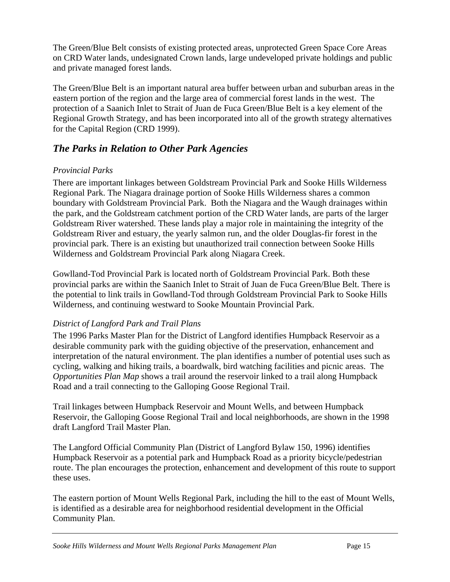<span id="page-16-0"></span>The Green/Blue Belt consists of existing protected areas, unprotected Green Space Core Areas on CRD Water lands, undesignated Crown lands, large undeveloped private holdings and public and private managed forest lands.

The Green/Blue Belt is an important natural area buffer between urban and suburban areas in the eastern portion of the region and the large area of commercial forest lands in the west. The protection of a Saanich Inlet to Strait of Juan de Fuca Green/Blue Belt is a key element of the Regional Growth Strategy, and has been incorporated into all of the growth strategy alternatives for the Capital Region (CRD 1999).

## *The Parks in Relation to Other Park Agencies*

#### *Provincial Parks*

There are important linkages between Goldstream Provincial Park and Sooke Hills Wilderness Regional Park. The Niagara drainage portion of Sooke Hills Wilderness shares a common boundary with Goldstream Provincial Park. Both the Niagara and the Waugh drainages within the park, and the Goldstream catchment portion of the CRD Water lands, are parts of the larger Goldstream River watershed. These lands play a major role in maintaining the integrity of the Goldstream River and estuary, the yearly salmon run, and the older Douglas-fir forest in the provincial park. There is an existing but unauthorized trail connection between Sooke Hills Wilderness and Goldstream Provincial Park along Niagara Creek.

Gowlland-Tod Provincial Park is located north of Goldstream Provincial Park. Both these provincial parks are within the Saanich Inlet to Strait of Juan de Fuca Green/Blue Belt. There is the potential to link trails in Gowlland-Tod through Goldstream Provincial Park to Sooke Hills Wilderness, and continuing westward to Sooke Mountain Provincial Park.

#### *District of Langford Park and Trail Plans*

The 1996 Parks Master Plan for the District of Langford identifies Humpback Reservoir as a desirable community park with the guiding objective of the preservation, enhancement and interpretation of the natural environment. The plan identifies a number of potential uses such as cycling, walking and hiking trails, a boardwalk, bird watching facilities and picnic areas. The *Opportunities Plan Map* shows a trail around the reservoir linked to a trail along Humpback Road and a trail connecting to the Galloping Goose Regional Trail.

Trail linkages between Humpback Reservoir and Mount Wells, and between Humpback Reservoir, the Galloping Goose Regional Trail and local neighborhoods, are shown in the 1998 draft Langford Trail Master Plan.

The Langford Official Community Plan (District of Langford Bylaw 150, 1996) identifies Humpback Reservoir as a potential park and Humpback Road as a priority bicycle/pedestrian route. The plan encourages the protection, enhancement and development of this route to support these uses.

The eastern portion of Mount Wells Regional Park, including the hill to the east of Mount Wells, is identified as a desirable area for neighborhood residential development in the Official Community Plan.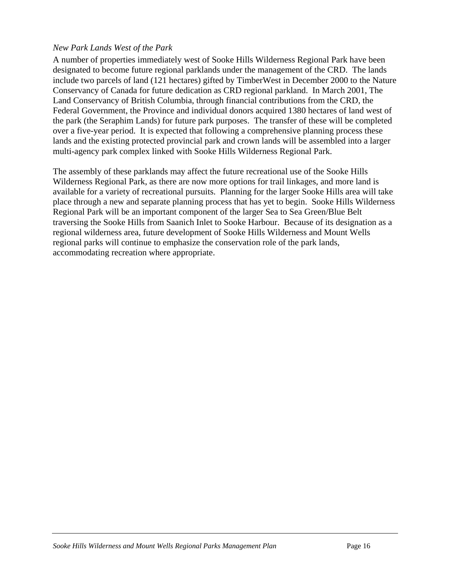#### *New Park Lands West of the Park*

A number of properties immediately west of Sooke Hills Wilderness Regional Park have been designated to become future regional parklands under the management of the CRD. The lands include two parcels of land (121 hectares) gifted by TimberWest in December 2000 to the Nature Conservancy of Canada for future dedication as CRD regional parkland. In March 2001, The Land Conservancy of British Columbia, through financial contributions from the CRD, the Federal Government, the Province and individual donors acquired 1380 hectares of land west of the park (the Seraphim Lands) for future park purposes. The transfer of these will be completed over a five-year period. It is expected that following a comprehensive planning process these lands and the existing protected provincial park and crown lands will be assembled into a larger multi-agency park complex linked with Sooke Hills Wilderness Regional Park.

The assembly of these parklands may affect the future recreational use of the Sooke Hills Wilderness Regional Park, as there are now more options for trail linkages, and more land is available for a variety of recreational pursuits. Planning for the larger Sooke Hills area will take place through a new and separate planning process that has yet to begin. Sooke Hills Wilderness Regional Park will be an important component of the larger Sea to Sea Green/Blue Belt traversing the Sooke Hills from Saanich Inlet to Sooke Harbour. Because of its designation as a regional wilderness area, future development of Sooke Hills Wilderness and Mount Wells regional parks will continue to emphasize the conservation role of the park lands, accommodating recreation where appropriate.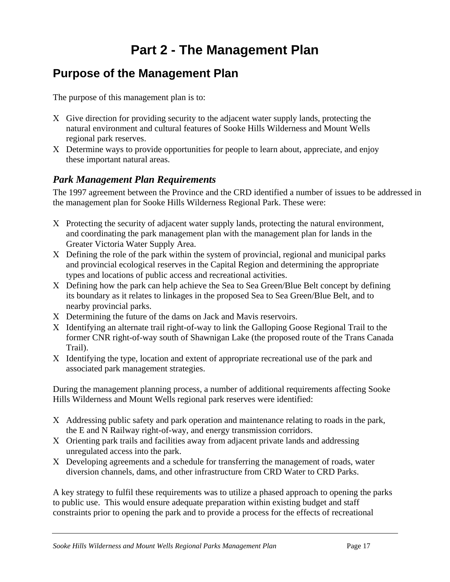# **Part 2 - The Management Plan**

# <span id="page-18-0"></span>**Purpose of the Management Plan**

The purpose of this management plan is to:

- Χ Give direction for providing security to the adjacent water supply lands, protecting the natural environment and cultural features of Sooke Hills Wilderness and Mount Wells regional park reserves.
- Χ Determine ways to provide opportunities for people to learn about, appreciate, and enjoy these important natural areas.

### *Park Management Plan Requirements*

The 1997 agreement between the Province and the CRD identified a number of issues to be addressed in the management plan for Sooke Hills Wilderness Regional Park. These were:

- Χ Protecting the security of adjacent water supply lands, protecting the natural environment, and coordinating the park management plan with the management plan for lands in the Greater Victoria Water Supply Area.
- Χ Defining the role of the park within the system of provincial, regional and municipal parks and provincial ecological reserves in the Capital Region and determining the appropriate types and locations of public access and recreational activities.
- Χ Defining how the park can help achieve the Sea to Sea Green/Blue Belt concept by defining its boundary as it relates to linkages in the proposed Sea to Sea Green/Blue Belt, and to nearby provincial parks.
- Χ Determining the future of the dams on Jack and Mavis reservoirs.
- Χ Identifying an alternate trail right-of-way to link the Galloping Goose Regional Trail to the former CNR right-of-way south of Shawnigan Lake (the proposed route of the Trans Canada Trail).
- Χ Identifying the type, location and extent of appropriate recreational use of the park and associated park management strategies.

During the management planning process, a number of additional requirements affecting Sooke Hills Wilderness and Mount Wells regional park reserves were identified:

- Χ Addressing public safety and park operation and maintenance relating to roads in the park, the E and N Railway right-of-way, and energy transmission corridors.
- Χ Orienting park trails and facilities away from adjacent private lands and addressing unregulated access into the park.
- Χ Developing agreements and a schedule for transferring the management of roads, water diversion channels, dams, and other infrastructure from CRD Water to CRD Parks.

A key strategy to fulfil these requirements was to utilize a phased approach to opening the parks to public use. This would ensure adequate preparation within existing budget and staff constraints prior to opening the park and to provide a process for the effects of recreational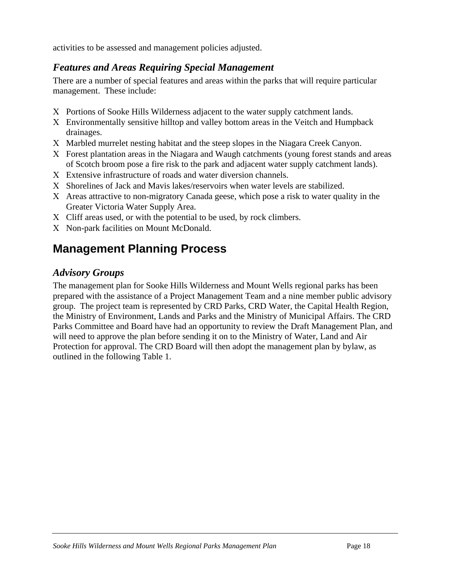<span id="page-19-0"></span>activities to be assessed and management policies adjusted.

## *Features and Areas Requiring Special Management*

There are a number of special features and areas within the parks that will require particular management. These include:

- Χ Portions of Sooke Hills Wilderness adjacent to the water supply catchment lands.
- Χ Environmentally sensitive hilltop and valley bottom areas in the Veitch and Humpback drainages.
- Χ Marbled murrelet nesting habitat and the steep slopes in the Niagara Creek Canyon.
- Χ Forest plantation areas in the Niagara and Waugh catchments (young forest stands and areas of Scotch broom pose a fire risk to the park and adjacent water supply catchment lands).
- Χ Extensive infrastructure of roads and water diversion channels.
- Χ Shorelines of Jack and Mavis lakes/reservoirs when water levels are stabilized.
- Χ Areas attractive to non-migratory Canada geese, which pose a risk to water quality in the Greater Victoria Water Supply Area.
- Χ Cliff areas used, or with the potential to be used, by rock climbers.
- Χ Non-park facilities on Mount McDonald.

# **Management Planning Process**

## *Advisory Groups*

The management plan for Sooke Hills Wilderness and Mount Wells regional parks has been prepared with the assistance of a Project Management Team and a nine member public advisory group. The project team is represented by CRD Parks, CRD Water, the Capital Health Region, the Ministry of Environment, Lands and Parks and the Ministry of Municipal Affairs. The CRD Parks Committee and Board have had an opportunity to review the Draft Management Plan, and will need to approve the plan before sending it on to the Ministry of Water, Land and Air Protection for approval. The CRD Board will then adopt the management plan by bylaw, as outlined in the following Table 1.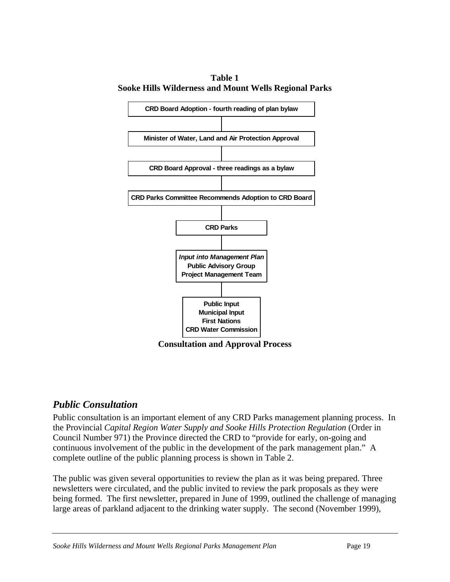<span id="page-20-0"></span>**Table 1 Sooke Hills Wilderness and Mount Wells Regional Parks** 



#### *Public Consultation*

Public consultation is an important element of any CRD Parks management planning process. In the Provincial *Capital Region Water Supply and Sooke Hills Protection Regulation* (Order in Council Number 971) the Province directed the CRD to "provide for early, on-going and continuous involvement of the public in the development of the park management plan." A complete outline of the public planning process is shown in Table 2.

The public was given several opportunities to review the plan as it was being prepared. Three newsletters were circulated, and the public invited to review the park proposals as they were being formed. The first newsletter, prepared in June of 1999, outlined the challenge of managing large areas of parkland adjacent to the drinking water supply. The second (November 1999),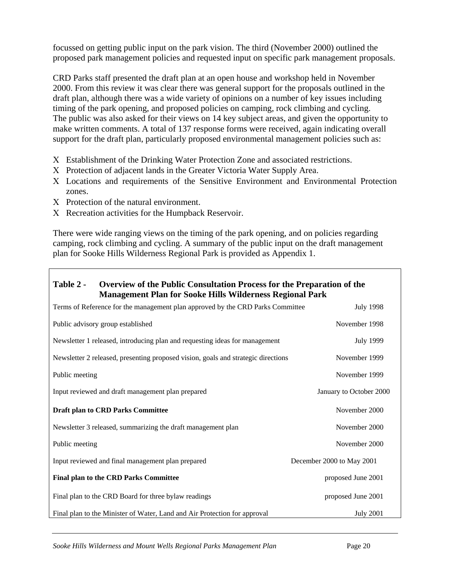<span id="page-21-0"></span>focussed on getting public input on the park vision. The third (November 2000) outlined the proposed park management policies and requested input on specific park management proposals.

CRD Parks staff presented the draft plan at an open house and workshop held in November 2000. From this review it was clear there was general support for the proposals outlined in the draft plan, although there was a wide variety of opinions on a number of key issues including timing of the park opening, and proposed policies on camping, rock climbing and cycling. The public was also asked for their views on 14 key subject areas, and given the opportunity to make written comments. A total of 137 response forms were received, again indicating overall support for the draft plan, particularly proposed environmental management policies such as:

- Χ Establishment of the Drinking Water Protection Zone and associated restrictions.
- Χ Protection of adjacent lands in the Greater Victoria Water Supply Area.
- Χ Locations and requirements of the Sensitive Environment and Environmental Protection zones.
- Χ Protection of the natural environment.
- Χ Recreation activities for the Humpback Reservoir.

There were wide ranging views on the timing of the park opening, and on policies regarding camping, rock climbing and cycling. A summary of the public input on the draft management plan for Sooke Hills Wilderness Regional Park is provided as Appendix 1.

#### **Table 2 - Overview of the Public Consultation Process for the Preparation of the Management Plan for Sooke Hills Wilderness Regional Park**

| Terms of Reference for the management plan approved by the CRD Parks Committee    | <b>July 1998</b>          |
|-----------------------------------------------------------------------------------|---------------------------|
| Public advisory group established                                                 | November 1998             |
| Newsletter 1 released, introducing plan and requesting ideas for management       | <b>July 1999</b>          |
| Newsletter 2 released, presenting proposed vision, goals and strategic directions | November 1999             |
| Public meeting                                                                    | November 1999             |
| Input reviewed and draft management plan prepared                                 | January to October 2000   |
| <b>Draft plan to CRD Parks Committee</b>                                          | November 2000             |
| Newsletter 3 released, summarizing the draft management plan                      | November 2000             |
| Public meeting                                                                    | November 2000             |
| Input reviewed and final management plan prepared                                 | December 2000 to May 2001 |
| <b>Final plan to the CRD Parks Committee</b>                                      | proposed June 2001        |
| Final plan to the CRD Board for three bylaw readings                              | proposed June 2001        |
| Final plan to the Minister of Water, Land and Air Protection for approval         | <b>July 2001</b>          |

*Sooke Hills Wilderness and Mount Wells Regional Parks Management Plan* Page 20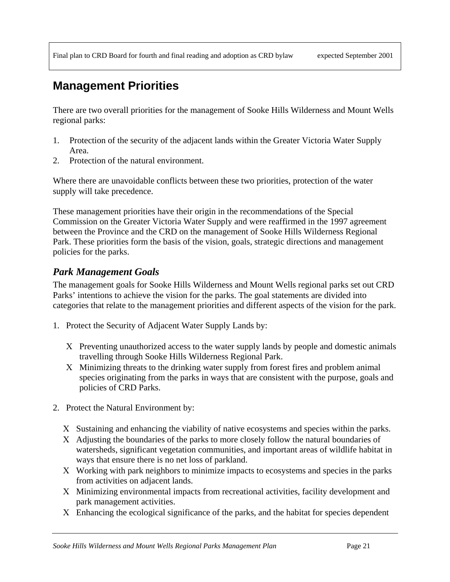# **Management Priorities**

There are two overall priorities for the management of Sooke Hills Wilderness and Mount Wells regional parks:

- 1. Protection of the security of the adjacent lands within the Greater Victoria Water Supply Area.
- 2. Protection of the natural environment.

Where there are unavoidable conflicts between these two priorities, protection of the water supply will take precedence.

These management priorities have their origin in the recommendations of the Special Commission on the Greater Victoria Water Supply and were reaffirmed in the 1997 agreement between the Province and the CRD on the management of Sooke Hills Wilderness Regional Park. These priorities form the basis of the vision, goals, strategic directions and management policies for the parks.

#### *Park Management Goals*

The management goals for Sooke Hills Wilderness and Mount Wells regional parks set out CRD Parks' intentions to achieve the vision for the parks. The goal statements are divided into categories that relate to the management priorities and different aspects of the vision for the park.

- 1. Protect the Security of Adjacent Water Supply Lands by:
	- Χ Preventing unauthorized access to the water supply lands by people and domestic animals travelling through Sooke Hills Wilderness Regional Park.
	- Χ Minimizing threats to the drinking water supply from forest fires and problem animal species originating from the parks in ways that are consistent with the purpose, goals and policies of CRD Parks.
- 2. Protect the Natural Environment by:
	- Χ Sustaining and enhancing the viability of native ecosystems and species within the parks.
	- Χ Adjusting the boundaries of the parks to more closely follow the natural boundaries of watersheds, significant vegetation communities, and important areas of wildlife habitat in ways that ensure there is no net loss of parkland.
	- Χ Working with park neighbors to minimize impacts to ecosystems and species in the parks from activities on adjacent lands.
	- Χ Minimizing environmental impacts from recreational activities, facility development and park management activities.
	- Χ Enhancing the ecological significance of the parks, and the habitat for species dependent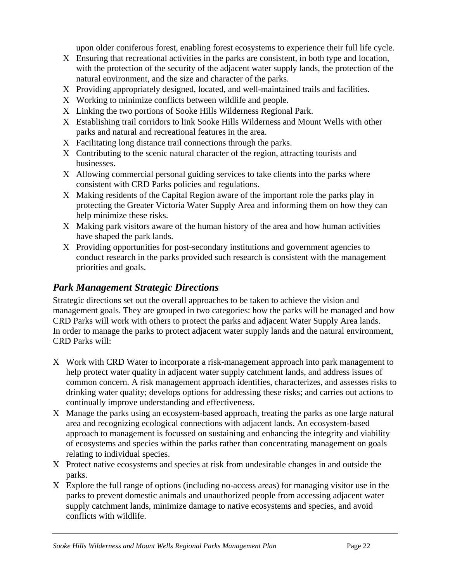upon older coniferous forest, enabling forest ecosystems to experience their full life cycle.

- <span id="page-23-0"></span>Χ Ensuring that recreational activities in the parks are consistent, in both type and location, with the protection of the security of the adjacent water supply lands, the protection of the natural environment, and the size and character of the parks.
- Χ Providing appropriately designed, located, and well-maintained trails and facilities.
- Χ Working to minimize conflicts between wildlife and people.
- Χ Linking the two portions of Sooke Hills Wilderness Regional Park.
- Χ Establishing trail corridors to link Sooke Hills Wilderness and Mount Wells with other parks and natural and recreational features in the area.
- Χ Facilitating long distance trail connections through the parks.
- Χ Contributing to the scenic natural character of the region, attracting tourists and businesses.
- Χ Allowing commercial personal guiding services to take clients into the parks where consistent with CRD Parks policies and regulations.
- Χ Making residents of the Capital Region aware of the important role the parks play in protecting the Greater Victoria Water Supply Area and informing them on how they can help minimize these risks.
- Χ Making park visitors aware of the human history of the area and how human activities have shaped the park lands.
- Χ Providing opportunities for post-secondary institutions and government agencies to conduct research in the parks provided such research is consistent with the management priorities and goals.

## *Park Management Strategic Directions*

Strategic directions set out the overall approaches to be taken to achieve the vision and management goals. They are grouped in two categories: how the parks will be managed and how CRD Parks will work with others to protect the parks and adjacent Water Supply Area lands. In order to manage the parks to protect adjacent water supply lands and the natural environment, CRD Parks will:

- Χ Work with CRD Water to incorporate a risk-management approach into park management to help protect water quality in adjacent water supply catchment lands, and address issues of common concern. A risk management approach identifies, characterizes, and assesses risks to drinking water quality; develops options for addressing these risks; and carries out actions to continually improve understanding and effectiveness.
- Χ Manage the parks using an ecosystem-based approach, treating the parks as one large natural area and recognizing ecological connections with adjacent lands. An ecosystem-based approach to management is focussed on sustaining and enhancing the integrity and viability of ecosystems and species within the parks rather than concentrating management on goals relating to individual species.
- Χ Protect native ecosystems and species at risk from undesirable changes in and outside the parks.
- Χ Explore the full range of options (including no-access areas) for managing visitor use in the parks to prevent domestic animals and unauthorized people from accessing adjacent water supply catchment lands, minimize damage to native ecosystems and species, and avoid conflicts with wildlife.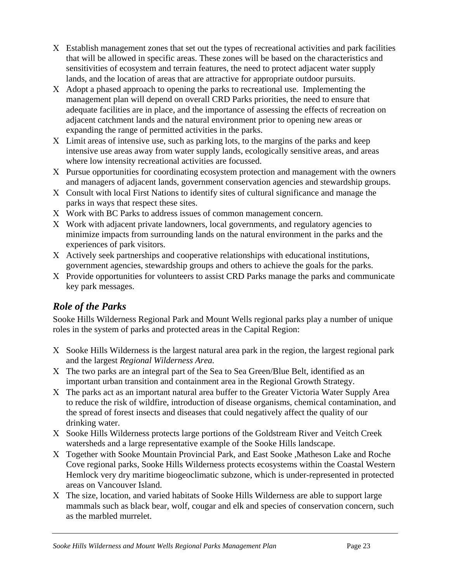- <span id="page-24-0"></span>Χ Establish management zones that set out the types of recreational activities and park facilities that will be allowed in specific areas. These zones will be based on the characteristics and sensitivities of ecosystem and terrain features, the need to protect adjacent water supply lands, and the location of areas that are attractive for appropriate outdoor pursuits.
- Χ Adopt a phased approach to opening the parks to recreational use. Implementing the management plan will depend on overall CRD Parks priorities, the need to ensure that adequate facilities are in place, and the importance of assessing the effects of recreation on adjacent catchment lands and the natural environment prior to opening new areas or expanding the range of permitted activities in the parks.
- Χ Limit areas of intensive use, such as parking lots, to the margins of the parks and keep intensive use areas away from water supply lands, ecologically sensitive areas, and areas where low intensity recreational activities are focussed.
- Χ Pursue opportunities for coordinating ecosystem protection and management with the owners and managers of adjacent lands, government conservation agencies and stewardship groups.
- Χ Consult with local First Nations to identify sites of cultural significance and manage the parks in ways that respect these sites.
- Χ Work with BC Parks to address issues of common management concern.
- Χ Work with adjacent private landowners, local governments, and regulatory agencies to minimize impacts from surrounding lands on the natural environment in the parks and the experiences of park visitors.
- Χ Actively seek partnerships and cooperative relationships with educational institutions, government agencies, stewardship groups and others to achieve the goals for the parks.
- Χ Provide opportunities for volunteers to assist CRD Parks manage the parks and communicate key park messages.

# *Role of the Parks*

Sooke Hills Wilderness Regional Park and Mount Wells regional parks play a number of unique roles in the system of parks and protected areas in the Capital Region:

- Χ Sooke Hills Wilderness is the largest natural area park in the region, the largest regional park and the largest *Regional Wilderness Area.*
- Χ The two parks are an integral part of the Sea to Sea Green/Blue Belt, identified as an important urban transition and containment area in the Regional Growth Strategy.
- Χ The parks act as an important natural area buffer to the Greater Victoria Water Supply Area to reduce the risk of wildfire, introduction of disease organisms, chemical contamination, and the spread of forest insects and diseases that could negatively affect the quality of our drinking water.
- Χ Sooke Hills Wilderness protects large portions of the Goldstream River and Veitch Creek watersheds and a large representative example of the Sooke Hills landscape.
- Χ Together with Sooke Mountain Provincial Park, and East Sooke ,Matheson Lake and Roche Cove regional parks, Sooke Hills Wilderness protects ecosystems within the Coastal Western Hemlock very dry maritime biogeoclimatic subzone, which is under-represented in protected areas on Vancouver Island.
- Χ The size, location, and varied habitats of Sooke Hills Wilderness are able to support large mammals such as black bear, wolf, cougar and elk and species of conservation concern, such as the marbled murrelet.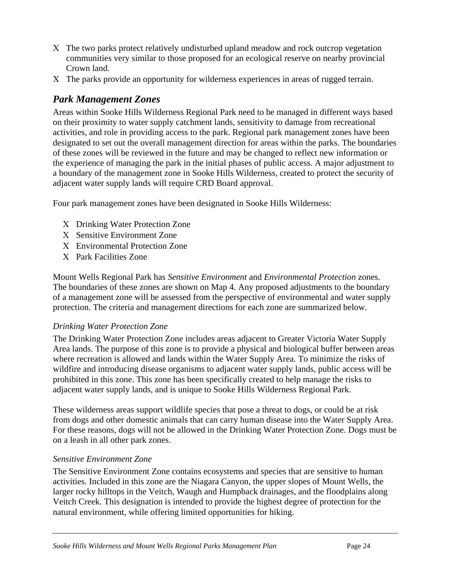- <span id="page-25-0"></span>Χ The two parks protect relatively undisturbed upland meadow and rock outcrop vegetation communities very similar to those proposed for an ecological reserve on nearby provincial Crown land.
- Χ The parks provide an opportunity for wilderness experiences in areas of rugged terrain.

#### *Park Management Zones*

Areas within Sooke Hills Wilderness Regional Park need to be managed in different ways based on their proximity to water supply catchment lands, sensitivity to damage from recreational activities, and role in providing access to the park. Regional park management zones have been designated to set out the overall management direction for areas within the parks. The boundaries of these zones will be reviewed in the future and may be changed to reflect new information or the experience of managing the park in the initial phases of public access. A major adjustment to a boundary of the management zone in Sooke Hills Wilderness, created to protect the security of adjacent water supply lands will require CRD Board approval.

Four park management zones have been designated in Sooke Hills Wilderness:

- Χ Drinking Water Protection Zone
- Χ Sensitive Environment Zone
- Χ Environmental Protection Zone
- Χ Park Facilities Zone

Mount Wells Regional Park has *Sensitive Environment* and *Environmental Protection* zones. The boundaries of these zones are shown on Map 4. Any proposed adjustments to the boundary of a management zone will be assessed from the perspective of environmental and water supply protection. The criteria and management directions for each zone are summarized below.

#### *Drinking Water Protection Zone*

The Drinking Water Protection Zone includes areas adjacent to Greater Victoria Water Supply Area lands. The purpose of this zone is to provide a physical and biological buffer between areas where recreation is allowed and lands within the Water Supply Area. To minimize the risks of wildfire and introducing disease organisms to adjacent water supply lands, public access will be prohibited in this zone. This zone has been specifically created to help manage the risks to adjacent water supply lands, and is unique to Sooke Hills Wilderness Regional Park.

These wilderness areas support wildlife species that pose a threat to dogs, or could be at risk from dogs and other domestic animals that can carry human disease into the Water Supply Area. For these reasons, dogs will not be allowed in the Drinking Water Protection Zone. Dogs must be on a leash in all other park zones.

#### *Sensitive Environment Zone*

The Sensitive Environment Zone contains ecosystems and species that are sensitive to human activities. Included in this zone are the Niagara Canyon, the upper slopes of Mount Wells, the larger rocky hilltops in the Veitch, Waugh and Humpback drainages, and the floodplains along Veitch Creek. This designation is intended to provide the highest degree of protection for the natural environment, while offering limited opportunities for hiking.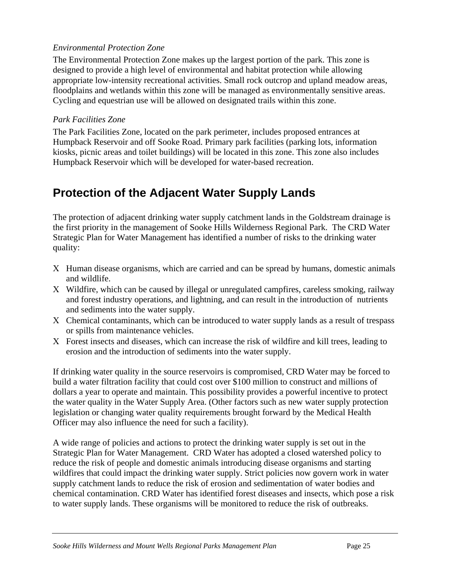#### <span id="page-26-0"></span>*Environmental Protection Zone*

The Environmental Protection Zone makes up the largest portion of the park. This zone is designed to provide a high level of environmental and habitat protection while allowing appropriate low-intensity recreational activities. Small rock outcrop and upland meadow areas, floodplains and wetlands within this zone will be managed as environmentally sensitive areas. Cycling and equestrian use will be allowed on designated trails within this zone.

#### *Park Facilities Zone*

The Park Facilities Zone, located on the park perimeter, includes proposed entrances at Humpback Reservoir and off Sooke Road. Primary park facilities (parking lots, information kiosks, picnic areas and toilet buildings) will be located in this zone. This zone also includes Humpback Reservoir which will be developed for water-based recreation.

# **Protection of the Adjacent Water Supply Lands**

The protection of adjacent drinking water supply catchment lands in the Goldstream drainage is the first priority in the management of Sooke Hills Wilderness Regional Park. The CRD Water Strategic Plan for Water Management has identified a number of risks to the drinking water quality:

- Χ Human disease organisms, which are carried and can be spread by humans, domestic animals and wildlife.
- Χ Wildfire, which can be caused by illegal or unregulated campfires, careless smoking, railway and forest industry operations, and lightning, and can result in the introduction of nutrients and sediments into the water supply.
- Χ Chemical contaminants, which can be introduced to water supply lands as a result of trespass or spills from maintenance vehicles.
- Χ Forest insects and diseases, which can increase the risk of wildfire and kill trees, leading to erosion and the introduction of sediments into the water supply.

If drinking water quality in the source reservoirs is compromised, CRD Water may be forced to build a water filtration facility that could cost over \$100 million to construct and millions of dollars a year to operate and maintain. This possibility provides a powerful incentive to protect the water quality in the Water Supply Area. (Other factors such as new water supply protection legislation or changing water quality requirements brought forward by the Medical Health Officer may also influence the need for such a facility).

A wide range of policies and actions to protect the drinking water supply is set out in the Strategic Plan for Water Management. CRD Water has adopted a closed watershed policy to reduce the risk of people and domestic animals introducing disease organisms and starting wildfires that could impact the drinking water supply. Strict policies now govern work in water supply catchment lands to reduce the risk of erosion and sedimentation of water bodies and chemical contamination. CRD Water has identified forest diseases and insects, which pose a risk to water supply lands. These organisms will be monitored to reduce the risk of outbreaks.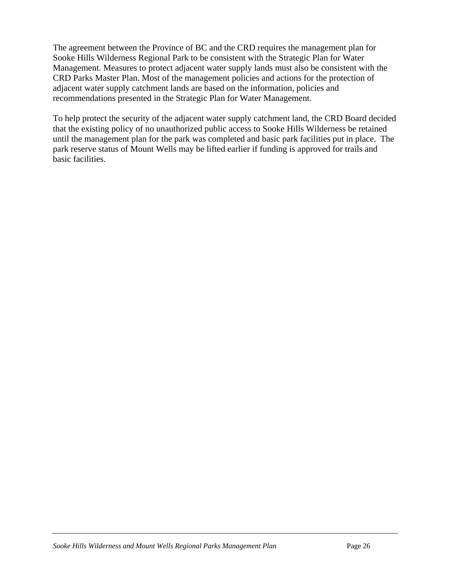The agreement between the Province of BC and the CRD requires the management plan for Sooke Hills Wilderness Regional Park to be consistent with the Strategic Plan for Water Management. Measures to protect adjacent water supply lands must also be consistent with the CRD Parks Master Plan. Most of the management policies and actions for the protection of adjacent water supply catchment lands are based on the information, policies and recommendations presented in the Strategic Plan for Water Management.

To help protect the security of the adjacent water supply catchment land, the CRD Board decided that the existing policy of no unauthorized public access to Sooke Hills Wilderness be retained until the management plan for the park was completed and basic park facilities put in place. The park reserve status of Mount Wells may be lifted earlier if funding is approved for trails and basic facilities.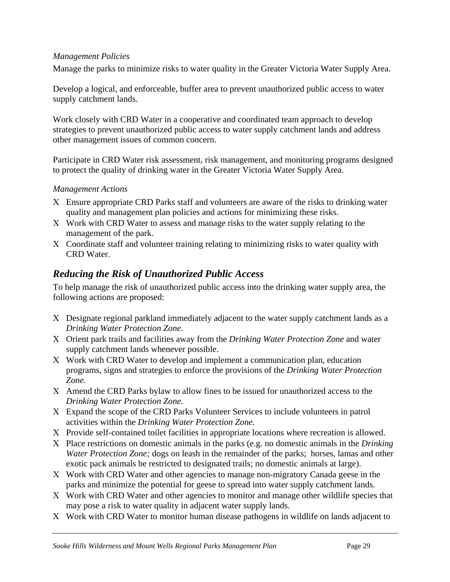#### <span id="page-29-0"></span>*Management Policies*

Manage the parks to minimize risks to water quality in the Greater Victoria Water Supply Area.

Develop a logical, and enforceable, buffer area to prevent unauthorized public access to water supply catchment lands.

Work closely with CRD Water in a cooperative and coordinated team approach to develop strategies to prevent unauthorized public access to water supply catchment lands and address other management issues of common concern.

Participate in CRD Water risk assessment, risk management, and monitoring programs designed to protect the quality of drinking water in the Greater Victoria Water Supply Area.

#### *Management Actions*

- Χ Ensure appropriate CRD Parks staff and volunteers are aware of the risks to drinking water quality and management plan policies and actions for minimizing these risks.
- Χ Work with CRD Water to assess and manage risks to the water supply relating to the management of the park.
- Χ Coordinate staff and volunteer training relating to minimizing risks to water quality with CRD Water.

#### *Reducing the Risk of Unauthorized Public Access*

To help manage the risk of unauthorized public access into the drinking water supply area, the following actions are proposed:

- Χ Designate regional parkland immediately adjacent to the water supply catchment lands as a *Drinking Water Protection Zone.*
- Χ Orient park trails and facilities away from the *Drinking Water Protection Zone* and water supply catchment lands whenever possible.
- Χ Work with CRD Water to develop and implement a communication plan, education programs, signs and strategies to enforce the provisions of the *Drinking Water Protection Zone.*
- Χ Amend the CRD Parks bylaw to allow fines to be issued for unauthorized access to the *Drinking Water Protection Zone.*
- Χ Expand the scope of the CRD Parks Volunteer Services to include volunteers in patrol activities within the *Drinking Water Protection Zone.*
- Χ Provide self-contained toilet facilities in appropriate locations where recreation is allowed.
- Χ Place restrictions on domestic animals in the parks (e.g. no domestic animals in the *Drinking Water Protection Zone;* dogs on leash in the remainder of the parks; horses, lamas and other exotic pack animals be restricted to designated trails; no domestic animals at large).
- Χ Work with CRD Water and other agencies to manage non-migratory Canada geese in the parks and minimize the potential for geese to spread into water supply catchment lands.
- Χ Work with CRD Water and other agencies to monitor and manage other wildlife species that may pose a risk to water quality in adjacent water supply lands.
- Χ Work with CRD Water to monitor human disease pathogens in wildlife on lands adjacent to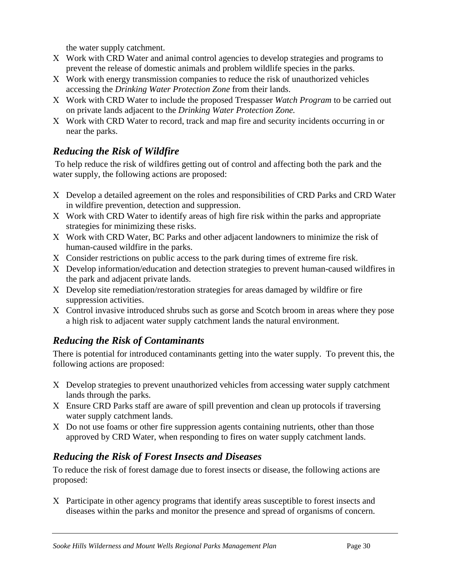the water supply catchment.

- <span id="page-30-0"></span>Χ Work with CRD Water and animal control agencies to develop strategies and programs to prevent the release of domestic animals and problem wildlife species in the parks.
- Χ Work with energy transmission companies to reduce the risk of unauthorized vehicles accessing the *Drinking Water Protection Zone* from their lands.
- Χ Work with CRD Water to include the proposed Trespasser *Watch Program* to be carried out on private lands adjacent to the *Drinking Water Protection Zone.*
- Χ Work with CRD Water to record, track and map fire and security incidents occurring in or near the parks.

# *Reducing the Risk of Wildfire*

 To help reduce the risk of wildfires getting out of control and affecting both the park and the water supply, the following actions are proposed:

- Χ Develop a detailed agreement on the roles and responsibilities of CRD Parks and CRD Water in wildfire prevention, detection and suppression.
- Χ Work with CRD Water to identify areas of high fire risk within the parks and appropriate strategies for minimizing these risks.
- Χ Work with CRD Water, BC Parks and other adjacent landowners to minimize the risk of human-caused wildfire in the parks.
- Χ Consider restrictions on public access to the park during times of extreme fire risk.
- Χ Develop information/education and detection strategies to prevent human-caused wildfires in the park and adjacent private lands.
- Χ Develop site remediation/restoration strategies for areas damaged by wildfire or fire suppression activities.
- Χ Control invasive introduced shrubs such as gorse and Scotch broom in areas where they pose a high risk to adjacent water supply catchment lands the natural environment.

# *Reducing the Risk of Contaminants*

There is potential for introduced contaminants getting into the water supply. To prevent this, the following actions are proposed:

- Χ Develop strategies to prevent unauthorized vehicles from accessing water supply catchment lands through the parks.
- Χ Ensure CRD Parks staff are aware of spill prevention and clean up protocols if traversing water supply catchment lands.
- Χ Do not use foams or other fire suppression agents containing nutrients, other than those approved by CRD Water, when responding to fires on water supply catchment lands.

## *Reducing the Risk of Forest Insects and Diseases*

To reduce the risk of forest damage due to forest insects or disease, the following actions are proposed:

Χ Participate in other agency programs that identify areas susceptible to forest insects and diseases within the parks and monitor the presence and spread of organisms of concern.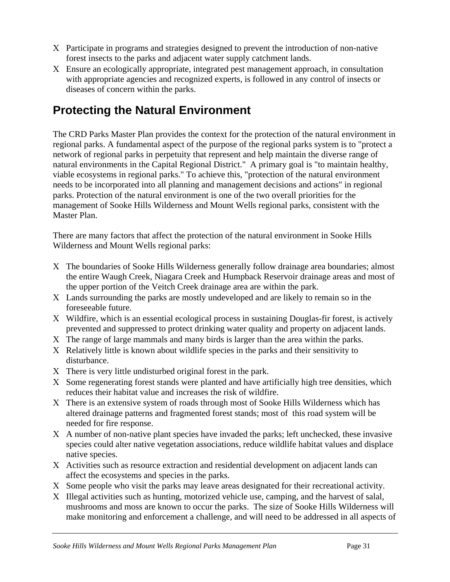- <span id="page-31-0"></span>Χ Participate in programs and strategies designed to prevent the introduction of non-native forest insects to the parks and adjacent water supply catchment lands.
- Χ Ensure an ecologically appropriate, integrated pest management approach, in consultation with appropriate agencies and recognized experts, is followed in any control of insects or diseases of concern within the parks.

# **Protecting the Natural Environment**

The CRD Parks Master Plan provides the context for the protection of the natural environment in regional parks. A fundamental aspect of the purpose of the regional parks system is to "protect a network of regional parks in perpetuity that represent and help maintain the diverse range of natural environments in the Capital Regional District." A primary goal is "to maintain healthy, viable ecosystems in regional parks." To achieve this, "protection of the natural environment needs to be incorporated into all planning and management decisions and actions" in regional parks. Protection of the natural environment is one of the two overall priorities for the management of Sooke Hills Wilderness and Mount Wells regional parks, consistent with the Master Plan.

There are many factors that affect the protection of the natural environment in Sooke Hills Wilderness and Mount Wells regional parks:

- Χ The boundaries of Sooke Hills Wilderness generally follow drainage area boundaries; almost the entire Waugh Creek, Niagara Creek and Humpback Reservoir drainage areas and most of the upper portion of the Veitch Creek drainage area are within the park.
- Χ Lands surrounding the parks are mostly undeveloped and are likely to remain so in the foreseeable future.
- Χ Wildfire, which is an essential ecological process in sustaining Douglas-fir forest, is actively prevented and suppressed to protect drinking water quality and property on adjacent lands.
- Χ The range of large mammals and many birds is larger than the area within the parks.
- Χ Relatively little is known about wildlife species in the parks and their sensitivity to disturbance.
- Χ There is very little undisturbed original forest in the park.
- Χ Some regenerating forest stands were planted and have artificially high tree densities, which reduces their habitat value and increases the risk of wildfire.
- Χ There is an extensive system of roads through most of Sooke Hills Wilderness which has altered drainage patterns and fragmented forest stands; most of this road system will be needed for fire response.
- Χ A number of non-native plant species have invaded the parks; left unchecked, these invasive species could alter native vegetation associations, reduce wildlife habitat values and displace native species.
- Χ Activities such as resource extraction and residential development on adjacent lands can affect the ecosystems and species in the parks.
- Χ Some people who visit the parks may leave areas designated for their recreational activity.
- Χ Illegal activities such as hunting, motorized vehicle use, camping, and the harvest of salal, mushrooms and moss are known to occur the parks. The size of Sooke Hills Wilderness will make monitoring and enforcement a challenge, and will need to be addressed in all aspects of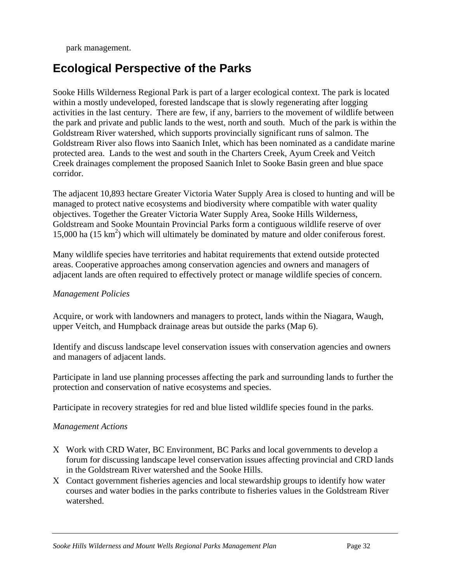<span id="page-32-0"></span>park management.

# **Ecological Perspective of the Parks**

Sooke Hills Wilderness Regional Park is part of a larger ecological context. The park is located within a mostly undeveloped, forested landscape that is slowly regenerating after logging activities in the last century. There are few, if any, barriers to the movement of wildlife between the park and private and public lands to the west, north and south. Much of the park is within the Goldstream River watershed, which supports provincially significant runs of salmon. The Goldstream River also flows into Saanich Inlet, which has been nominated as a candidate marine protected area. Lands to the west and south in the Charters Creek, Ayum Creek and Veitch Creek drainages complement the proposed Saanich Inlet to Sooke Basin green and blue space corridor.

The adjacent 10,893 hectare Greater Victoria Water Supply Area is closed to hunting and will be managed to protect native ecosystems and biodiversity where compatible with water quality objectives. Together the Greater Victoria Water Supply Area, Sooke Hills Wilderness, Goldstream and Sooke Mountain Provincial Parks form a contiguous wildlife reserve of over 15,000 ha  $(15 \text{ km}^2)$  which will ultimately be dominated by mature and older coniferous forest.

Many wildlife species have territories and habitat requirements that extend outside protected areas. Cooperative approaches among conservation agencies and owners and managers of adjacent lands are often required to effectively protect or manage wildlife species of concern.

#### *Management Policies*

Acquire, or work with landowners and managers to protect, lands within the Niagara, Waugh, upper Veitch, and Humpback drainage areas but outside the parks (Map 6).

Identify and discuss landscape level conservation issues with conservation agencies and owners and managers of adjacent lands.

Participate in land use planning processes affecting the park and surrounding lands to further the protection and conservation of native ecosystems and species.

Participate in recovery strategies for red and blue listed wildlife species found in the parks.

#### *Management Actions*

- Χ Work with CRD Water, BC Environment, BC Parks and local governments to develop a forum for discussing landscape level conservation issues affecting provincial and CRD lands in the Goldstream River watershed and the Sooke Hills.
- Χ Contact government fisheries agencies and local stewardship groups to identify how water courses and water bodies in the parks contribute to fisheries values in the Goldstream River watershed.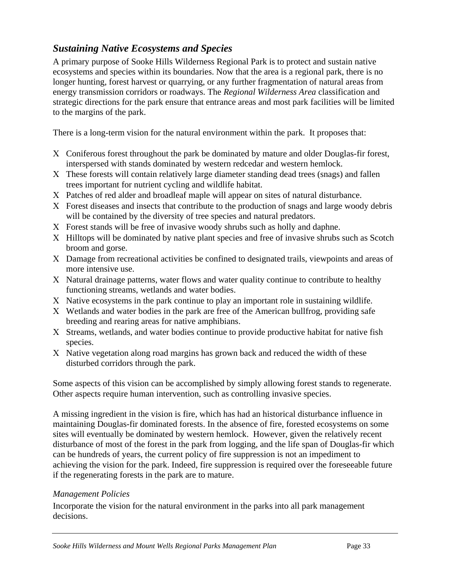## <span id="page-33-0"></span>*Sustaining Native Ecosystems and Species*

A primary purpose of Sooke Hills Wilderness Regional Park is to protect and sustain native ecosystems and species within its boundaries. Now that the area is a regional park, there is no longer hunting, forest harvest or quarrying, or any further fragmentation of natural areas from energy transmission corridors or roadways. The *Regional Wilderness Area* classification and strategic directions for the park ensure that entrance areas and most park facilities will be limited to the margins of the park.

There is a long-term vision for the natural environment within the park. It proposes that:

- Χ Coniferous forest throughout the park be dominated by mature and older Douglas-fir forest, interspersed with stands dominated by western redcedar and western hemlock.
- Χ These forests will contain relatively large diameter standing dead trees (snags) and fallen trees important for nutrient cycling and wildlife habitat.
- Χ Patches of red alder and broadleaf maple will appear on sites of natural disturbance.
- Χ Forest diseases and insects that contribute to the production of snags and large woody debris will be contained by the diversity of tree species and natural predators.
- Χ Forest stands will be free of invasive woody shrubs such as holly and daphne.
- Χ Hilltops will be dominated by native plant species and free of invasive shrubs such as Scotch broom and gorse.
- Χ Damage from recreational activities be confined to designated trails, viewpoints and areas of more intensive use.
- Χ Natural drainage patterns, water flows and water quality continue to contribute to healthy functioning streams, wetlands and water bodies.
- Χ Native ecosystems in the park continue to play an important role in sustaining wildlife.
- Χ Wetlands and water bodies in the park are free of the American bullfrog, providing safe breeding and rearing areas for native amphibians.
- Χ Streams, wetlands, and water bodies continue to provide productive habitat for native fish species.
- Χ Native vegetation along road margins has grown back and reduced the width of these disturbed corridors through the park.

Some aspects of this vision can be accomplished by simply allowing forest stands to regenerate. Other aspects require human intervention, such as controlling invasive species.

A missing ingredient in the vision is fire, which has had an historical disturbance influence in maintaining Douglas-fir dominated forests. In the absence of fire, forested ecosystems on some sites will eventually be dominated by western hemlock. However, given the relatively recent disturbance of most of the forest in the park from logging, and the life span of Douglas-fir which can be hundreds of years, the current policy of fire suppression is not an impediment to achieving the vision for the park. Indeed, fire suppression is required over the foreseeable future if the regenerating forests in the park are to mature.

#### *Management Policies*

Incorporate the vision for the natural environment in the parks into all park management decisions.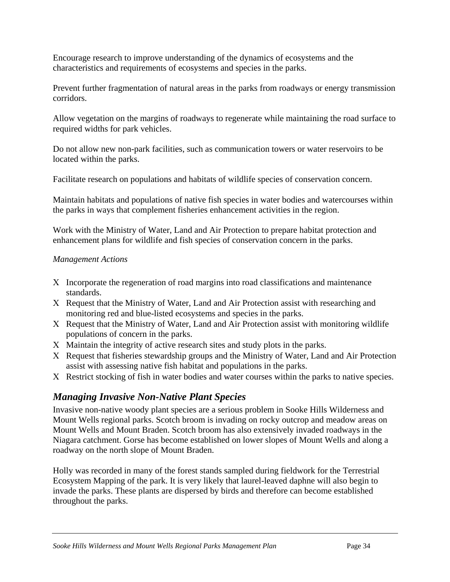<span id="page-34-0"></span>Encourage research to improve understanding of the dynamics of ecosystems and the characteristics and requirements of ecosystems and species in the parks.

Prevent further fragmentation of natural areas in the parks from roadways or energy transmission corridors.

Allow vegetation on the margins of roadways to regenerate while maintaining the road surface to required widths for park vehicles.

Do not allow new non-park facilities, such as communication towers or water reservoirs to be located within the parks.

Facilitate research on populations and habitats of wildlife species of conservation concern.

Maintain habitats and populations of native fish species in water bodies and watercourses within the parks in ways that complement fisheries enhancement activities in the region.

Work with the Ministry of Water, Land and Air Protection to prepare habitat protection and enhancement plans for wildlife and fish species of conservation concern in the parks.

#### *Management Actions*

- Χ Incorporate the regeneration of road margins into road classifications and maintenance standards.
- Χ Request that the Ministry of Water, Land and Air Protection assist with researching and monitoring red and blue-listed ecosystems and species in the parks.
- Χ Request that the Ministry of Water, Land and Air Protection assist with monitoring wildlife populations of concern in the parks.
- Χ Maintain the integrity of active research sites and study plots in the parks.
- Χ Request that fisheries stewardship groups and the Ministry of Water, Land and Air Protection assist with assessing native fish habitat and populations in the parks.
- Χ Restrict stocking of fish in water bodies and water courses within the parks to native species.

## *Managing Invasive Non-Native Plant Species*

Invasive non-native woody plant species are a serious problem in Sooke Hills Wilderness and Mount Wells regional parks. Scotch broom is invading on rocky outcrop and meadow areas on Mount Wells and Mount Braden. Scotch broom has also extensively invaded roadways in the Niagara catchment. Gorse has become established on lower slopes of Mount Wells and along a roadway on the north slope of Mount Braden.

Holly was recorded in many of the forest stands sampled during fieldwork for the Terrestrial Ecosystem Mapping of the park. It is very likely that laurel-leaved daphne will also begin to invade the parks. These plants are dispersed by birds and therefore can become established throughout the parks.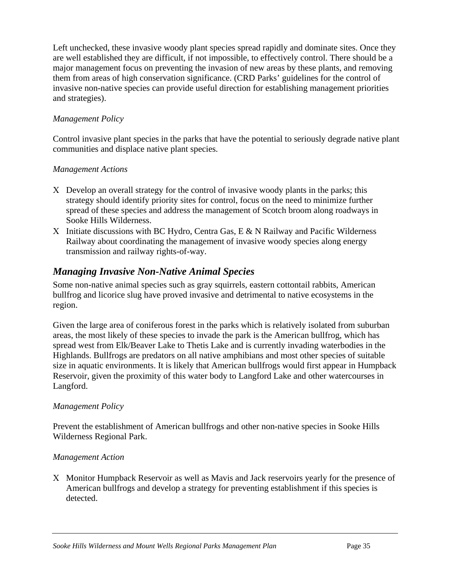<span id="page-35-0"></span>Left unchecked, these invasive woody plant species spread rapidly and dominate sites. Once they are well established they are difficult, if not impossible, to effectively control. There should be a major management focus on preventing the invasion of new areas by these plants, and removing them from areas of high conservation significance. (CRD Parks' guidelines for the control of invasive non-native species can provide useful direction for establishing management priorities and strategies).

#### *Management Policy*

Control invasive plant species in the parks that have the potential to seriously degrade native plant communities and displace native plant species.

#### *Management Actions*

- Χ Develop an overall strategy for the control of invasive woody plants in the parks; this strategy should identify priority sites for control, focus on the need to minimize further spread of these species and address the management of Scotch broom along roadways in Sooke Hills Wilderness.
- Χ Initiate discussions with BC Hydro, Centra Gas, E & N Railway and Pacific Wilderness Railway about coordinating the management of invasive woody species along energy transmission and railway rights-of-way.

### *Managing Invasive Non-Native Animal Species*

Some non-native animal species such as gray squirrels*,* eastern cottontail rabbits, American bullfrog and licorice slug have proved invasive and detrimental to native ecosystems in the region.

Given the large area of coniferous forest in the parks which is relatively isolated from suburban areas, the most likely of these species to invade the park is the American bullfrog, which has spread west from Elk/Beaver Lake to Thetis Lake and is currently invading waterbodies in the Highlands. Bullfrogs are predators on all native amphibians and most other species of suitable size in aquatic environments. It is likely that American bullfrogs would first appear in Humpback Reservoir, given the proximity of this water body to Langford Lake and other watercourses in Langford.

#### *Management Policy*

Prevent the establishment of American bullfrogs and other non-native species in Sooke Hills Wilderness Regional Park.

#### *Management Action*

Χ Monitor Humpback Reservoir as well as Mavis and Jack reservoirs yearly for the presence of American bullfrogs and develop a strategy for preventing establishment if this species is detected.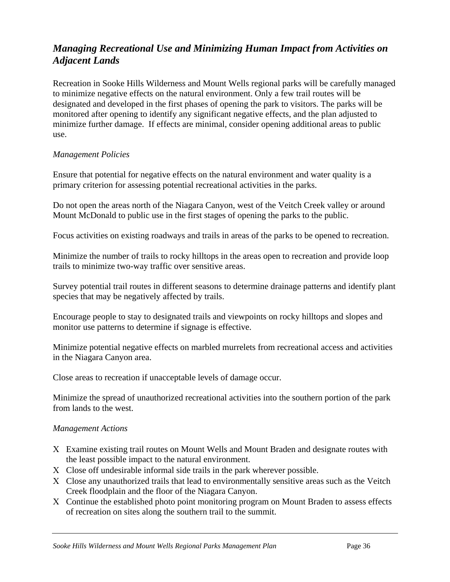# *Managing Recreational Use and Minimizing Human Impact from Activities on Adjacent Lands*

Recreation in Sooke Hills Wilderness and Mount Wells regional parks will be carefully managed to minimize negative effects on the natural environment. Only a few trail routes will be designated and developed in the first phases of opening the park to visitors. The parks will be monitored after opening to identify any significant negative effects, and the plan adjusted to minimize further damage. If effects are minimal, consider opening additional areas to public use.

#### *Management Policies*

Ensure that potential for negative effects on the natural environment and water quality is a primary criterion for assessing potential recreational activities in the parks.

Do not open the areas north of the Niagara Canyon, west of the Veitch Creek valley or around Mount McDonald to public use in the first stages of opening the parks to the public.

Focus activities on existing roadways and trails in areas of the parks to be opened to recreation.

Minimize the number of trails to rocky hilltops in the areas open to recreation and provide loop trails to minimize two-way traffic over sensitive areas.

Survey potential trail routes in different seasons to determine drainage patterns and identify plant species that may be negatively affected by trails.

Encourage people to stay to designated trails and viewpoints on rocky hilltops and slopes and monitor use patterns to determine if signage is effective.

Minimize potential negative effects on marbled murrelets from recreational access and activities in the Niagara Canyon area.

Close areas to recreation if unacceptable levels of damage occur.

Minimize the spread of unauthorized recreational activities into the southern portion of the park from lands to the west.

## *Management Actions*

- Χ Examine existing trail routes on Mount Wells and Mount Braden and designate routes with the least possible impact to the natural environment.
- Χ Close off undesirable informal side trails in the park wherever possible.
- Χ Close any unauthorized trails that lead to environmentally sensitive areas such as the Veitch Creek floodplain and the floor of the Niagara Canyon.
- Χ Continue the established photo point monitoring program on Mount Braden to assess effects of recreation on sites along the southern trail to the summit.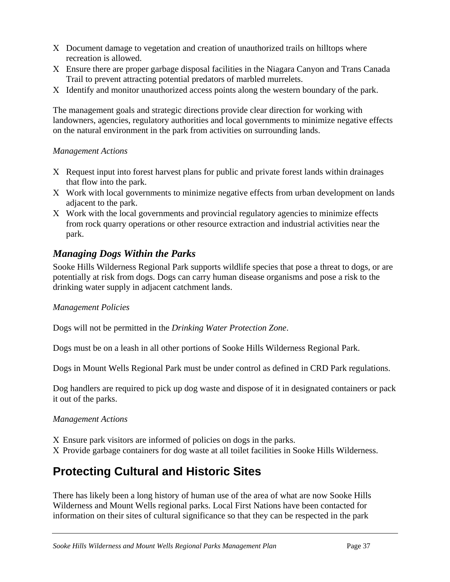- Χ Document damage to vegetation and creation of unauthorized trails on hilltops where recreation is allowed.
- Χ Ensure there are proper garbage disposal facilities in the Niagara Canyon and Trans Canada Trail to prevent attracting potential predators of marbled murrelets.
- Χ Identify and monitor unauthorized access points along the western boundary of the park.

The management goals and strategic directions provide clear direction for working with landowners, agencies, regulatory authorities and local governments to minimize negative effects on the natural environment in the park from activities on surrounding lands.

#### *Management Actions*

- Χ Request input into forest harvest plans for public and private forest lands within drainages that flow into the park.
- Χ Work with local governments to minimize negative effects from urban development on lands adjacent to the park.
- Χ Work with the local governments and provincial regulatory agencies to minimize effects from rock quarry operations or other resource extraction and industrial activities near the park.

# *Managing Dogs Within the Parks*

Sooke Hills Wilderness Regional Park supports wildlife species that pose a threat to dogs, or are potentially at risk from dogs. Dogs can carry human disease organisms and pose a risk to the drinking water supply in adjacent catchment lands.

## *Management Policies*

Dogs will not be permitted in the *Drinking Water Protection Zone*.

Dogs must be on a leash in all other portions of Sooke Hills Wilderness Regional Park.

Dogs in Mount Wells Regional Park must be under control as defined in CRD Park regulations.

Dog handlers are required to pick up dog waste and dispose of it in designated containers or pack it out of the parks.

## *Management Actions*

Χ Ensure park visitors are informed of policies on dogs in the parks.

Χ Provide garbage containers for dog waste at all toilet facilities in Sooke Hills Wilderness.

# **Protecting Cultural and Historic Sites**

There has likely been a long history of human use of the area of what are now Sooke Hills Wilderness and Mount Wells regional parks. Local First Nations have been contacted for information on their sites of cultural significance so that they can be respected in the park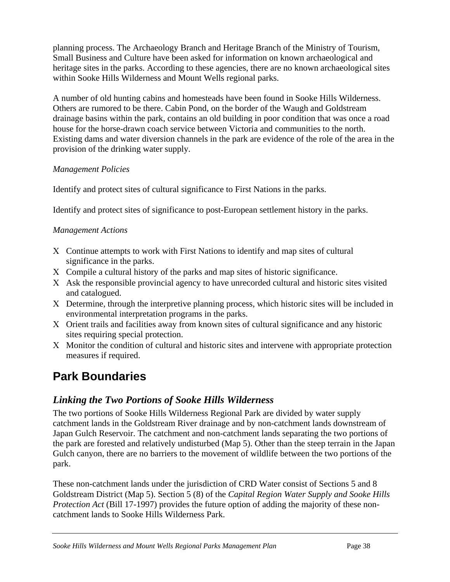planning process. The Archaeology Branch and Heritage Branch of the Ministry of Tourism, Small Business and Culture have been asked for information on known archaeological and heritage sites in the parks. According to these agencies, there are no known archaeological sites within Sooke Hills Wilderness and Mount Wells regional parks.

A number of old hunting cabins and homesteads have been found in Sooke Hills Wilderness. Others are rumored to be there. Cabin Pond, on the border of the Waugh and Goldstream drainage basins within the park, contains an old building in poor condition that was once a road house for the horse-drawn coach service between Victoria and communities to the north. Existing dams and water diversion channels in the park are evidence of the role of the area in the provision of the drinking water supply.

#### *Management Policies*

Identify and protect sites of cultural significance to First Nations in the parks.

Identify and protect sites of significance to post-European settlement history in the parks.

## *Management Actions*

- Χ Continue attempts to work with First Nations to identify and map sites of cultural significance in the parks.
- Χ Compile a cultural history of the parks and map sites of historic significance.
- Χ Ask the responsible provincial agency to have unrecorded cultural and historic sites visited and catalogued.
- Χ Determine, through the interpretive planning process, which historic sites will be included in environmental interpretation programs in the parks.
- Χ Orient trails and facilities away from known sites of cultural significance and any historic sites requiring special protection.
- Χ Monitor the condition of cultural and historic sites and intervene with appropriate protection measures if required.

# **Park Boundaries**

## *Linking the Two Portions of Sooke Hills Wilderness*

The two portions of Sooke Hills Wilderness Regional Park are divided by water supply catchment lands in the Goldstream River drainage and by non-catchment lands downstream of Japan Gulch Reservoir. The catchment and non-catchment lands separating the two portions of the park are forested and relatively undisturbed (Map 5). Other than the steep terrain in the Japan Gulch canyon, there are no barriers to the movement of wildlife between the two portions of the park.

These non-catchment lands under the jurisdiction of CRD Water consist of Sections 5 and 8 Goldstream District (Map 5). Section 5 (8) of the *Capital Region Water Supply and Sooke Hills Protection Act* (Bill 17-1997) provides the future option of adding the majority of these noncatchment lands to Sooke Hills Wilderness Park.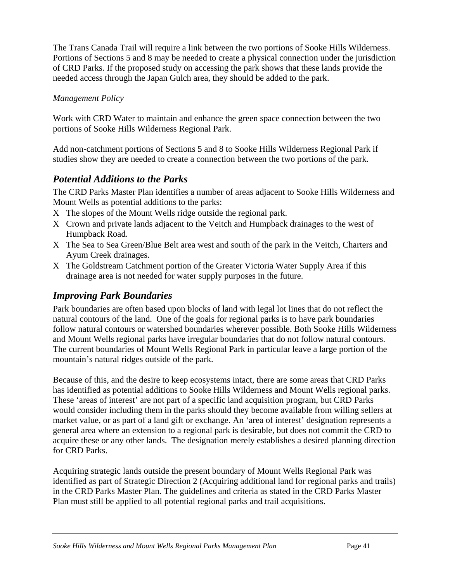The Trans Canada Trail will require a link between the two portions of Sooke Hills Wilderness. Portions of Sections 5 and 8 may be needed to create a physical connection under the jurisdiction of CRD Parks. If the proposed study on accessing the park shows that these lands provide the needed access through the Japan Gulch area, they should be added to the park.

## *Management Policy*

Work with CRD Water to maintain and enhance the green space connection between the two portions of Sooke Hills Wilderness Regional Park.

Add non-catchment portions of Sections 5 and 8 to Sooke Hills Wilderness Regional Park if studies show they are needed to create a connection between the two portions of the park.

# *Potential Additions to the Parks*

The CRD Parks Master Plan identifies a number of areas adjacent to Sooke Hills Wilderness and Mount Wells as potential additions to the parks:

- Χ The slopes of the Mount Wells ridge outside the regional park.
- Χ Crown and private lands adjacent to the Veitch and Humpback drainages to the west of Humpback Road.
- Χ The Sea to Sea Green/Blue Belt area west and south of the park in the Veitch, Charters and Ayum Creek drainages.
- Χ The Goldstream Catchment portion of the Greater Victoria Water Supply Area if this drainage area is not needed for water supply purposes in the future.

# *Improving Park Boundaries*

Park boundaries are often based upon blocks of land with legal lot lines that do not reflect the natural contours of the land. One of the goals for regional parks is to have park boundaries follow natural contours or watershed boundaries wherever possible. Both Sooke Hills Wilderness and Mount Wells regional parks have irregular boundaries that do not follow natural contours. The current boundaries of Mount Wells Regional Park in particular leave a large portion of the mountain's natural ridges outside of the park.

Because of this, and the desire to keep ecosystems intact, there are some areas that CRD Parks has identified as potential additions to Sooke Hills Wilderness and Mount Wells regional parks. These 'areas of interest' are not part of a specific land acquisition program, but CRD Parks would consider including them in the parks should they become available from willing sellers at market value, or as part of a land gift or exchange. An 'area of interest' designation represents a general area where an extension to a regional park is desirable, but does not commit the CRD to acquire these or any other lands. The designation merely establishes a desired planning direction for CRD Parks.

Acquiring strategic lands outside the present boundary of Mount Wells Regional Park was identified as part of Strategic Direction 2 (Acquiring additional land for regional parks and trails) in the CRD Parks Master Plan. The guidelines and criteria as stated in the CRD Parks Master Plan must still be applied to all potential regional parks and trail acquisitions.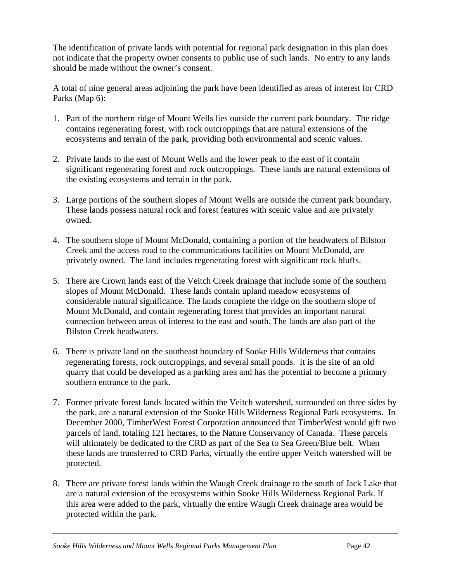The identification of private lands with potential for regional park designation in this plan does not indicate that the property owner consents to public use of such lands. No entry to any lands should be made without the owner's consent.

A total of nine general areas adjoining the park have been identified as areas of interest for CRD Parks (Map 6):

- 1. Part of the northern ridge of Mount Wells lies outside the current park boundary. The ridge contains regenerating forest, with rock outcroppings that are natural extensions of the ecosystems and terrain of the park, providing both environmental and scenic values.
- 2. Private lands to the east of Mount Wells and the lower peak to the east of it contain significant regenerating forest and rock outcroppings. These lands are natural extensions of the existing ecosystems and terrain in the park.
- 3. Large portions of the southern slopes of Mount Wells are outside the current park boundary. These lands possess natural rock and forest features with scenic value and are privately owned.
- 4. The southern slope of Mount McDonald, containing a portion of the headwaters of Bilston Creek and the access road to the communications facilities on Mount McDonald, are privately owned. The land includes regenerating forest with significant rock bluffs.
- 5. There are Crown lands east of the Veitch Creek drainage that include some of the southern slopes of Mount McDonald. These lands contain upland meadow ecosystems of considerable natural significance. The lands complete the ridge on the southern slope of Mount McDonald, and contain regenerating forest that provides an important natural connection between areas of interest to the east and south. The lands are also part of the Bilston Creek headwaters.
- 6. There is private land on the southeast boundary of Sooke Hills Wilderness that contains regenerating forests, rock outcroppings, and several small ponds. It is the site of an old quarry that could be developed as a parking area and has the potential to become a primary southern entrance to the park.
- 7. Former private forest lands located within the Veitch watershed, surrounded on three sides by the park, are a natural extension of the Sooke Hills Wilderness Regional Park ecosystems. In December 2000, TimberWest Forest Corporation announced that TimberWest would gift two parcels of land, totaling 121 hectares, to the Nature Conservancy of Canada. These parcels will ultimately be dedicated to the CRD as part of the Sea to Sea Green/Blue belt. When these lands are transferred to CRD Parks, virtually the entire upper Veitch watershed will be protected.
- 8. There are private forest lands within the Waugh Creek drainage to the south of Jack Lake that are a natural extension of the ecosystems within Sooke Hills Wilderness Regional Park. If this area were added to the park, virtually the entire Waugh Creek drainage area would be protected within the park.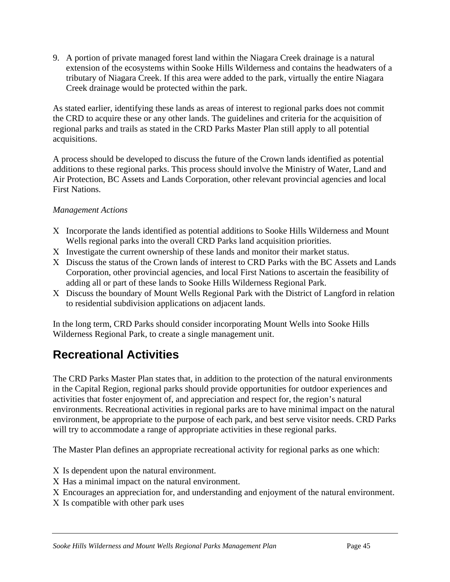9. A portion of private managed forest land within the Niagara Creek drainage is a natural extension of the ecosystems within Sooke Hills Wilderness and contains the headwaters of a tributary of Niagara Creek. If this area were added to the park, virtually the entire Niagara Creek drainage would be protected within the park.

As stated earlier, identifying these lands as areas of interest to regional parks does not commit the CRD to acquire these or any other lands. The guidelines and criteria for the acquisition of regional parks and trails as stated in the CRD Parks Master Plan still apply to all potential acquisitions.

A process should be developed to discuss the future of the Crown lands identified as potential additions to these regional parks. This process should involve the Ministry of Water, Land and Air Protection, BC Assets and Lands Corporation, other relevant provincial agencies and local First Nations.

## *Management Actions*

- Χ Incorporate the lands identified as potential additions to Sooke Hills Wilderness and Mount Wells regional parks into the overall CRD Parks land acquisition priorities.
- Χ Investigate the current ownership of these lands and monitor their market status.
- Χ Discuss the status of the Crown lands of interest to CRD Parks with the BC Assets and Lands Corporation, other provincial agencies, and local First Nations to ascertain the feasibility of adding all or part of these lands to Sooke Hills Wilderness Regional Park.
- Χ Discuss the boundary of Mount Wells Regional Park with the District of Langford in relation to residential subdivision applications on adjacent lands.

In the long term, CRD Parks should consider incorporating Mount Wells into Sooke Hills Wilderness Regional Park, to create a single management unit.

# **Recreational Activities**

The CRD Parks Master Plan states that, in addition to the protection of the natural environments in the Capital Region, regional parks should provide opportunities for outdoor experiences and activities that foster enjoyment of, and appreciation and respect for, the region's natural environments. Recreational activities in regional parks are to have minimal impact on the natural environment, be appropriate to the purpose of each park, and best serve visitor needs. CRD Parks will try to accommodate a range of appropriate activities in these regional parks.

The Master Plan defines an appropriate recreational activity for regional parks as one which:

- Χ Is dependent upon the natural environment.
- Χ Has a minimal impact on the natural environment.
- Χ Encourages an appreciation for, and understanding and enjoyment of the natural environment.
- Χ Is compatible with other park uses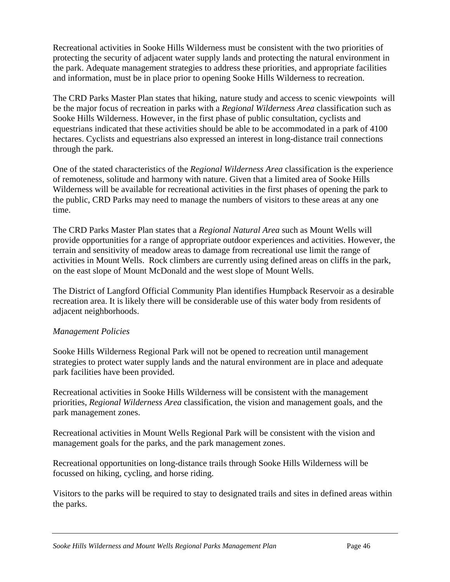Recreational activities in Sooke Hills Wilderness must be consistent with the two priorities of protecting the security of adjacent water supply lands and protecting the natural environment in the park. Adequate management strategies to address these priorities, and appropriate facilities and information, must be in place prior to opening Sooke Hills Wilderness to recreation.

The CRD Parks Master Plan states that hiking, nature study and access to scenic viewpoints will be the major focus of recreation in parks with a *Regional Wilderness Area* classification such as Sooke Hills Wilderness. However, in the first phase of public consultation, cyclists and equestrians indicated that these activities should be able to be accommodated in a park of 4100 hectares. Cyclists and equestrians also expressed an interest in long-distance trail connections through the park.

One of the stated characteristics of the *Regional Wilderness Area* classification is the experience of remoteness, solitude and harmony with nature. Given that a limited area of Sooke Hills Wilderness will be available for recreational activities in the first phases of opening the park to the public, CRD Parks may need to manage the numbers of visitors to these areas at any one time.

The CRD Parks Master Plan states that a *Regional Natural Area* such as Mount Wells will provide opportunities for a range of appropriate outdoor experiences and activities. However, the terrain and sensitivity of meadow areas to damage from recreational use limit the range of activities in Mount Wells. Rock climbers are currently using defined areas on cliffs in the park, on the east slope of Mount McDonald and the west slope of Mount Wells.

The District of Langford Official Community Plan identifies Humpback Reservoir as a desirable recreation area. It is likely there will be considerable use of this water body from residents of adjacent neighborhoods.

#### *Management Policies*

Sooke Hills Wilderness Regional Park will not be opened to recreation until management strategies to protect water supply lands and the natural environment are in place and adequate park facilities have been provided.

Recreational activities in Sooke Hills Wilderness will be consistent with the management priorities, *Regional Wilderness Area* classification, the vision and management goals, and the park management zones.

Recreational activities in Mount Wells Regional Park will be consistent with the vision and management goals for the parks, and the park management zones.

Recreational opportunities on long-distance trails through Sooke Hills Wilderness will be focussed on hiking, cycling, and horse riding.

Visitors to the parks will be required to stay to designated trails and sites in defined areas within the parks.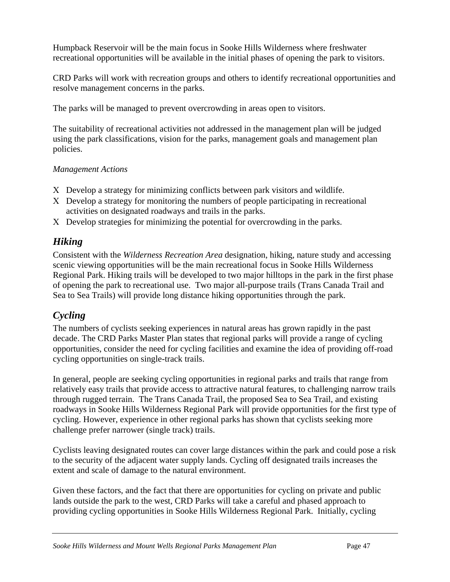Humpback Reservoir will be the main focus in Sooke Hills Wilderness where freshwater recreational opportunities will be available in the initial phases of opening the park to visitors.

CRD Parks will work with recreation groups and others to identify recreational opportunities and resolve management concerns in the parks.

The parks will be managed to prevent overcrowding in areas open to visitors.

The suitability of recreational activities not addressed in the management plan will be judged using the park classifications, vision for the parks, management goals and management plan policies.

#### *Management Actions*

- Χ Develop a strategy for minimizing conflicts between park visitors and wildlife.
- Χ Develop a strategy for monitoring the numbers of people participating in recreational activities on designated roadways and trails in the parks.
- Χ Develop strategies for minimizing the potential for overcrowding in the parks.

## *Hiking*

Consistent with the *Wilderness Recreation Area* designation, hiking, nature study and accessing scenic viewing opportunities will be the main recreational focus in Sooke Hills Wilderness Regional Park. Hiking trails will be developed to two major hilltops in the park in the first phase of opening the park to recreational use. Two major all-purpose trails (Trans Canada Trail and Sea to Sea Trails) will provide long distance hiking opportunities through the park.

# *Cycling*

The numbers of cyclists seeking experiences in natural areas has grown rapidly in the past decade. The CRD Parks Master Plan states that regional parks will provide a range of cycling opportunities, consider the need for cycling facilities and examine the idea of providing off-road cycling opportunities on single-track trails.

In general, people are seeking cycling opportunities in regional parks and trails that range from relatively easy trails that provide access to attractive natural features, to challenging narrow trails through rugged terrain. The Trans Canada Trail, the proposed Sea to Sea Trail, and existing roadways in Sooke Hills Wilderness Regional Park will provide opportunities for the first type of cycling. However, experience in other regional parks has shown that cyclists seeking more challenge prefer narrower (single track) trails.

Cyclists leaving designated routes can cover large distances within the park and could pose a risk to the security of the adjacent water supply lands. Cycling off designated trails increases the extent and scale of damage to the natural environment.

Given these factors, and the fact that there are opportunities for cycling on private and public lands outside the park to the west, CRD Parks will take a careful and phased approach to providing cycling opportunities in Sooke Hills Wilderness Regional Park. Initially, cycling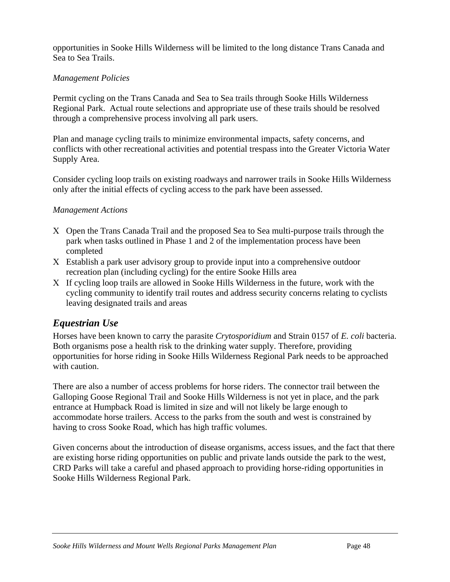opportunities in Sooke Hills Wilderness will be limited to the long distance Trans Canada and Sea to Sea Trails.

#### *Management Policies*

Permit cycling on the Trans Canada and Sea to Sea trails through Sooke Hills Wilderness Regional Park. Actual route selections and appropriate use of these trails should be resolved through a comprehensive process involving all park users.

Plan and manage cycling trails to minimize environmental impacts, safety concerns, and conflicts with other recreational activities and potential trespass into the Greater Victoria Water Supply Area.

Consider cycling loop trails on existing roadways and narrower trails in Sooke Hills Wilderness only after the initial effects of cycling access to the park have been assessed.

#### *Management Actions*

- Χ Open the Trans Canada Trail and the proposed Sea to Sea multi-purpose trails through the park when tasks outlined in Phase 1 and 2 of the implementation process have been completed
- Χ Establish a park user advisory group to provide input into a comprehensive outdoor recreation plan (including cycling) for the entire Sooke Hills area
- Χ If cycling loop trails are allowed in Sooke Hills Wilderness in the future, work with the cycling community to identify trail routes and address security concerns relating to cyclists leaving designated trails and areas

## *Equestrian Use*

Horses have been known to carry the parasite *Crytosporidium* and Strain 0157 of *E. coli* bacteria. Both organisms pose a health risk to the drinking water supply. Therefore, providing opportunities for horse riding in Sooke Hills Wilderness Regional Park needs to be approached with caution.

There are also a number of access problems for horse riders. The connector trail between the Galloping Goose Regional Trail and Sooke Hills Wilderness is not yet in place, and the park entrance at Humpback Road is limited in size and will not likely be large enough to accommodate horse trailers. Access to the parks from the south and west is constrained by having to cross Sooke Road, which has high traffic volumes.

Given concerns about the introduction of disease organisms, access issues, and the fact that there are existing horse riding opportunities on public and private lands outside the park to the west, CRD Parks will take a careful and phased approach to providing horse-riding opportunities in Sooke Hills Wilderness Regional Park.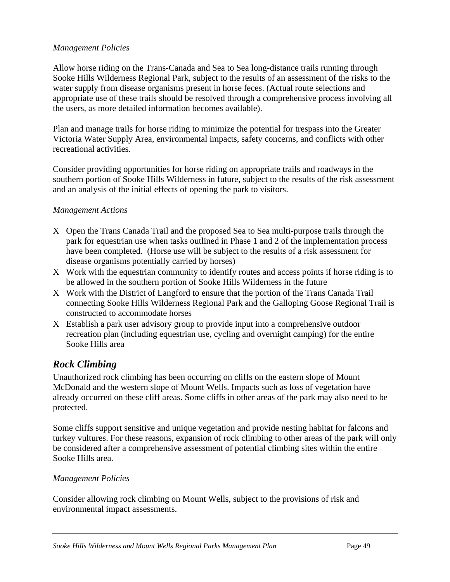#### *Management Policies*

Allow horse riding on the Trans-Canada and Sea to Sea long-distance trails running through Sooke Hills Wilderness Regional Park, subject to the results of an assessment of the risks to the water supply from disease organisms present in horse feces. (Actual route selections and appropriate use of these trails should be resolved through a comprehensive process involving all the users, as more detailed information becomes available).

Plan and manage trails for horse riding to minimize the potential for trespass into the Greater Victoria Water Supply Area, environmental impacts, safety concerns, and conflicts with other recreational activities.

Consider providing opportunities for horse riding on appropriate trails and roadways in the southern portion of Sooke Hills Wilderness in future, subject to the results of the risk assessment and an analysis of the initial effects of opening the park to visitors.

#### *Management Actions*

- Χ Open the Trans Canada Trail and the proposed Sea to Sea multi-purpose trails through the park for equestrian use when tasks outlined in Phase 1 and 2 of the implementation process have been completed. (Horse use will be subject to the results of a risk assessment for disease organisms potentially carried by horses)
- Χ Work with the equestrian community to identify routes and access points if horse riding is to be allowed in the southern portion of Sooke Hills Wilderness in the future
- Χ Work with the District of Langford to ensure that the portion of the Trans Canada Trail connecting Sooke Hills Wilderness Regional Park and the Galloping Goose Regional Trail is constructed to accommodate horses
- Χ Establish a park user advisory group to provide input into a comprehensive outdoor recreation plan (including equestrian use, cycling and overnight camping) for the entire Sooke Hills area

# *Rock Climbing*

Unauthorized rock climbing has been occurring on cliffs on the eastern slope of Mount McDonald and the western slope of Mount Wells. Impacts such as loss of vegetation have already occurred on these cliff areas. Some cliffs in other areas of the park may also need to be protected.

Some cliffs support sensitive and unique vegetation and provide nesting habitat for falcons and turkey vultures. For these reasons, expansion of rock climbing to other areas of the park will only be considered after a comprehensive assessment of potential climbing sites within the entire Sooke Hills area.

#### *Management Policies*

Consider allowing rock climbing on Mount Wells, subject to the provisions of risk and environmental impact assessments.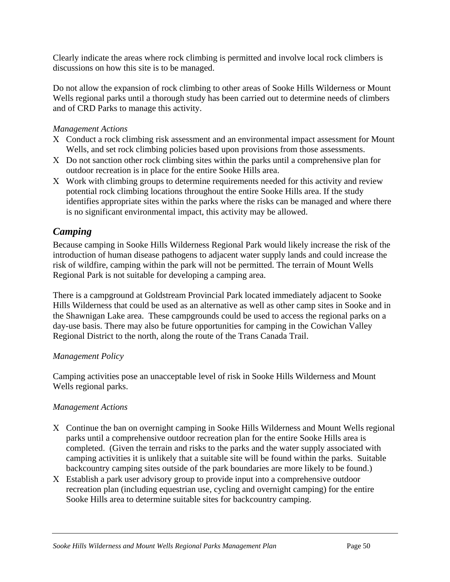Clearly indicate the areas where rock climbing is permitted and involve local rock climbers is discussions on how this site is to be managed.

Do not allow the expansion of rock climbing to other areas of Sooke Hills Wilderness or Mount Wells regional parks until a thorough study has been carried out to determine needs of climbers and of CRD Parks to manage this activity.

#### *Management Actions*

- Χ Conduct a rock climbing risk assessment and an environmental impact assessment for Mount Wells, and set rock climbing policies based upon provisions from those assessments.
- Χ Do not sanction other rock climbing sites within the parks until a comprehensive plan for outdoor recreation is in place for the entire Sooke Hills area.
- Χ Work with climbing groups to determine requirements needed for this activity and review potential rock climbing locations throughout the entire Sooke Hills area. If the study identifies appropriate sites within the parks where the risks can be managed and where there is no significant environmental impact, this activity may be allowed.

## *Camping*

Because camping in Sooke Hills Wilderness Regional Park would likely increase the risk of the introduction of human disease pathogens to adjacent water supply lands and could increase the risk of wildfire, camping within the park will not be permitted. The terrain of Mount Wells Regional Park is not suitable for developing a camping area.

There is a campground at Goldstream Provincial Park located immediately adjacent to Sooke Hills Wilderness that could be used as an alternative as well as other camp sites in Sooke and in the Shawnigan Lake area. These campgrounds could be used to access the regional parks on a day-use basis. There may also be future opportunities for camping in the Cowichan Valley Regional District to the north, along the route of the Trans Canada Trail.

#### *Management Policy*

Camping activities pose an unacceptable level of risk in Sooke Hills Wilderness and Mount Wells regional parks.

## *Management Actions*

- Χ Continue the ban on overnight camping in Sooke Hills Wilderness and Mount Wells regional parks until a comprehensive outdoor recreation plan for the entire Sooke Hills area is completed. (Given the terrain and risks to the parks and the water supply associated with camping activities it is unlikely that a suitable site will be found within the parks. Suitable backcountry camping sites outside of the park boundaries are more likely to be found.)
- Χ Establish a park user advisory group to provide input into a comprehensive outdoor recreation plan (including equestrian use, cycling and overnight camping) for the entire Sooke Hills area to determine suitable sites for backcountry camping.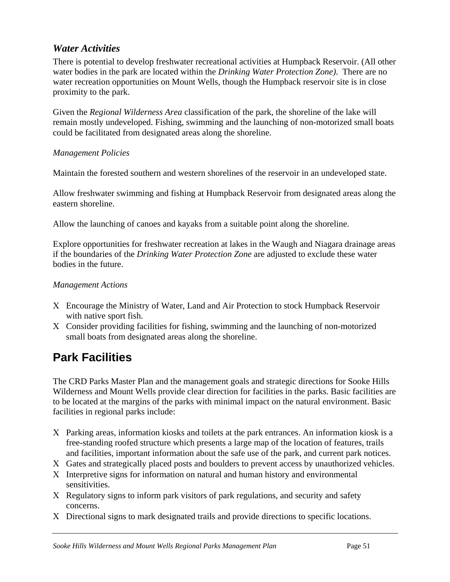## *Water Activities*

There is potential to develop freshwater recreational activities at Humpback Reservoir. (All other water bodies in the park are located within the *Drinking Water Protection Zone)*. There are no water recreation opportunities on Mount Wells, though the Humpback reservoir site is in close proximity to the park.

Given the *Regional Wilderness Area* classification of the park, the shoreline of the lake will remain mostly undeveloped. Fishing, swimming and the launching of non-motorized small boats could be facilitated from designated areas along the shoreline.

#### *Management Policies*

Maintain the forested southern and western shorelines of the reservoir in an undeveloped state.

Allow freshwater swimming and fishing at Humpback Reservoir from designated areas along the eastern shoreline.

Allow the launching of canoes and kayaks from a suitable point along the shoreline.

Explore opportunities for freshwater recreation at lakes in the Waugh and Niagara drainage areas if the boundaries of the *Drinking Water Protection Zone* are adjusted to exclude these water bodies in the future.

## *Management Actions*

- Χ Encourage the Ministry of Water, Land and Air Protection to stock Humpback Reservoir with native sport fish.
- Χ Consider providing facilities for fishing, swimming and the launching of non-motorized small boats from designated areas along the shoreline.

# **Park Facilities**

The CRD Parks Master Plan and the management goals and strategic directions for Sooke Hills Wilderness and Mount Wells provide clear direction for facilities in the parks. Basic facilities are to be located at the margins of the parks with minimal impact on the natural environment. Basic facilities in regional parks include:

- Χ Parking areas, information kiosks and toilets at the park entrances. An information kiosk is a free-standing roofed structure which presents a large map of the location of features, trails and facilities, important information about the safe use of the park, and current park notices.
- Χ Gates and strategically placed posts and boulders to prevent access by unauthorized vehicles.
- Χ Interpretive signs for information on natural and human history and environmental sensitivities.
- Χ Regulatory signs to inform park visitors of park regulations, and security and safety concerns.
- Χ Directional signs to mark designated trails and provide directions to specific locations.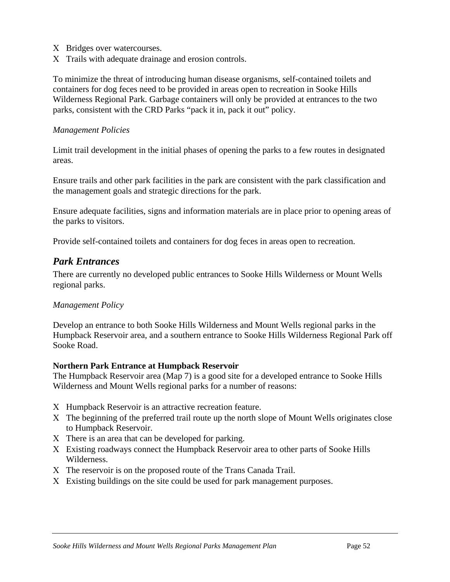- Χ Bridges over watercourses.
- Χ Trails with adequate drainage and erosion controls.

To minimize the threat of introducing human disease organisms, self-contained toilets and containers for dog feces need to be provided in areas open to recreation in Sooke Hills Wilderness Regional Park. Garbage containers will only be provided at entrances to the two parks, consistent with the CRD Parks "pack it in, pack it out" policy.

#### *Management Policies*

Limit trail development in the initial phases of opening the parks to a few routes in designated areas.

Ensure trails and other park facilities in the park are consistent with the park classification and the management goals and strategic directions for the park.

Ensure adequate facilities, signs and information materials are in place prior to opening areas of the parks to visitors.

Provide self-contained toilets and containers for dog feces in areas open to recreation.

#### *Park Entrances*

There are currently no developed public entrances to Sooke Hills Wilderness or Mount Wells regional parks.

#### *Management Policy*

Develop an entrance to both Sooke Hills Wilderness and Mount Wells regional parks in the Humpback Reservoir area, and a southern entrance to Sooke Hills Wilderness Regional Park off Sooke Road.

#### **Northern Park Entrance at Humpback Reservoir**

The Humpback Reservoir area (Map 7) is a good site for a developed entrance to Sooke Hills Wilderness and Mount Wells regional parks for a number of reasons:

- Χ Humpback Reservoir is an attractive recreation feature.
- Χ The beginning of the preferred trail route up the north slope of Mount Wells originates close to Humpback Reservoir.
- Χ There is an area that can be developed for parking.
- Χ Existing roadways connect the Humpback Reservoir area to other parts of Sooke Hills Wilderness.
- Χ The reservoir is on the proposed route of the Trans Canada Trail.
- Χ Existing buildings on the site could be used for park management purposes.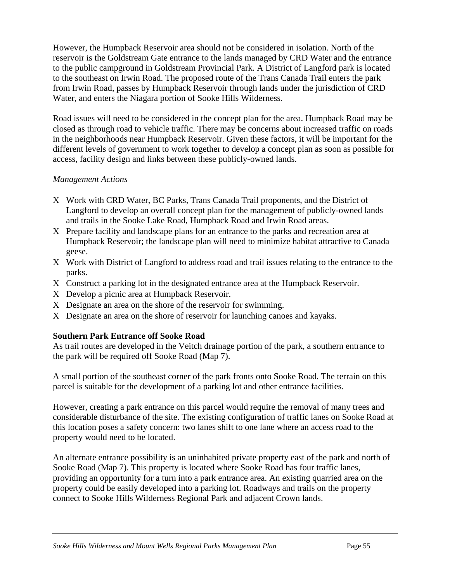However, the Humpback Reservoir area should not be considered in isolation. North of the reservoir is the Goldstream Gate entrance to the lands managed by CRD Water and the entrance to the public campground in Goldstream Provincial Park. A District of Langford park is located to the southeast on Irwin Road. The proposed route of the Trans Canada Trail enters the park from Irwin Road, passes by Humpback Reservoir through lands under the jurisdiction of CRD Water, and enters the Niagara portion of Sooke Hills Wilderness.

Road issues will need to be considered in the concept plan for the area. Humpback Road may be closed as through road to vehicle traffic. There may be concerns about increased traffic on roads in the neighborhoods near Humpback Reservoir. Given these factors, it will be important for the different levels of government to work together to develop a concept plan as soon as possible for access, facility design and links between these publicly-owned lands.

#### *Management Actions*

- Χ Work with CRD Water, BC Parks, Trans Canada Trail proponents, and the District of Langford to develop an overall concept plan for the management of publicly-owned lands and trails in the Sooke Lake Road, Humpback Road and Irwin Road areas.
- Χ Prepare facility and landscape plans for an entrance to the parks and recreation area at Humpback Reservoir; the landscape plan will need to minimize habitat attractive to Canada geese.
- Χ Work with District of Langford to address road and trail issues relating to the entrance to the parks.
- Χ Construct a parking lot in the designated entrance area at the Humpback Reservoir.
- Χ Develop a picnic area at Humpback Reservoir.
- Χ Designate an area on the shore of the reservoir for swimming.
- Χ Designate an area on the shore of reservoir for launching canoes and kayaks.

## **Southern Park Entrance off Sooke Road**

As trail routes are developed in the Veitch drainage portion of the park, a southern entrance to the park will be required off Sooke Road (Map 7).

A small portion of the southeast corner of the park fronts onto Sooke Road. The terrain on this parcel is suitable for the development of a parking lot and other entrance facilities.

However, creating a park entrance on this parcel would require the removal of many trees and considerable disturbance of the site. The existing configuration of traffic lanes on Sooke Road at this location poses a safety concern: two lanes shift to one lane where an access road to the property would need to be located.

An alternate entrance possibility is an uninhabited private property east of the park and north of Sooke Road (Map 7). This property is located where Sooke Road has four traffic lanes, providing an opportunity for a turn into a park entrance area. An existing quarried area on the property could be easily developed into a parking lot. Roadways and trails on the property connect to Sooke Hills Wilderness Regional Park and adjacent Crown lands.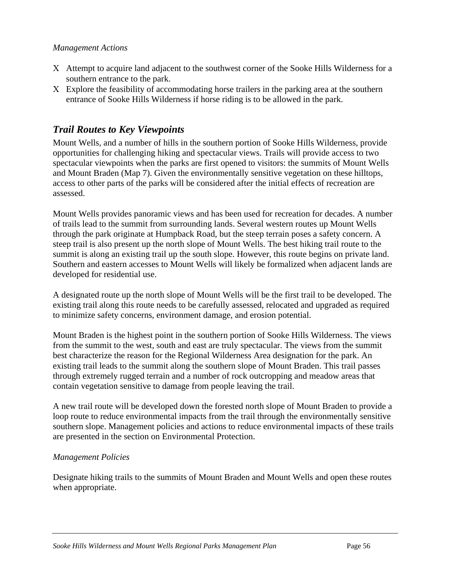#### *Management Actions*

- Χ Attempt to acquire land adjacent to the southwest corner of the Sooke Hills Wilderness for a southern entrance to the park.
- Χ Explore the feasibility of accommodating horse trailers in the parking area at the southern entrance of Sooke Hills Wilderness if horse riding is to be allowed in the park.

## *Trail Routes to Key Viewpoints*

Mount Wells, and a number of hills in the southern portion of Sooke Hills Wilderness, provide opportunities for challenging hiking and spectacular views. Trails will provide access to two spectacular viewpoints when the parks are first opened to visitors: the summits of Mount Wells and Mount Braden (Map 7). Given the environmentally sensitive vegetation on these hilltops, access to other parts of the parks will be considered after the initial effects of recreation are assessed.

Mount Wells provides panoramic views and has been used for recreation for decades. A number of trails lead to the summit from surrounding lands. Several western routes up Mount Wells through the park originate at Humpback Road, but the steep terrain poses a safety concern. A steep trail is also present up the north slope of Mount Wells. The best hiking trail route to the summit is along an existing trail up the south slope. However, this route begins on private land. Southern and eastern accesses to Mount Wells will likely be formalized when adjacent lands are developed for residential use.

A designated route up the north slope of Mount Wells will be the first trail to be developed. The existing trail along this route needs to be carefully assessed, relocated and upgraded as required to minimize safety concerns, environment damage, and erosion potential.

Mount Braden is the highest point in the southern portion of Sooke Hills Wilderness. The views from the summit to the west, south and east are truly spectacular. The views from the summit best characterize the reason for the Regional Wilderness Area designation for the park. An existing trail leads to the summit along the southern slope of Mount Braden. This trail passes through extremely rugged terrain and a number of rock outcropping and meadow areas that contain vegetation sensitive to damage from people leaving the trail.

A new trail route will be developed down the forested north slope of Mount Braden to provide a loop route to reduce environmental impacts from the trail through the environmentally sensitive southern slope. Management policies and actions to reduce environmental impacts of these trails are presented in the section on Environmental Protection.

#### *Management Policies*

Designate hiking trails to the summits of Mount Braden and Mount Wells and open these routes when appropriate.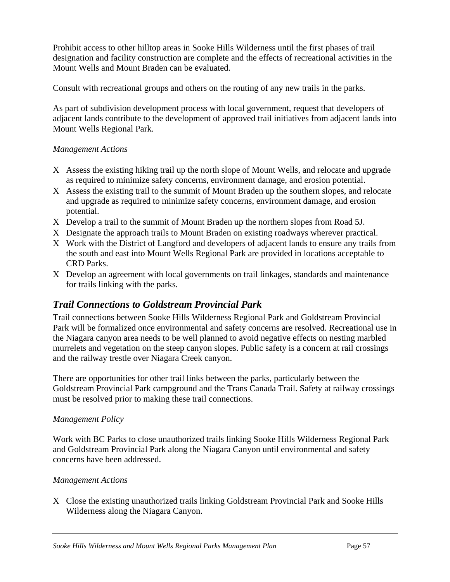Prohibit access to other hilltop areas in Sooke Hills Wilderness until the first phases of trail designation and facility construction are complete and the effects of recreational activities in the Mount Wells and Mount Braden can be evaluated.

Consult with recreational groups and others on the routing of any new trails in the parks.

As part of subdivision development process with local government, request that developers of adjacent lands contribute to the development of approved trail initiatives from adjacent lands into Mount Wells Regional Park.

#### *Management Actions*

- Χ Assess the existing hiking trail up the north slope of Mount Wells, and relocate and upgrade as required to minimize safety concerns, environment damage, and erosion potential.
- Χ Assess the existing trail to the summit of Mount Braden up the southern slopes, and relocate and upgrade as required to minimize safety concerns, environment damage, and erosion potential.
- Χ Develop a trail to the summit of Mount Braden up the northern slopes from Road 5J.
- Χ Designate the approach trails to Mount Braden on existing roadways wherever practical.
- Χ Work with the District of Langford and developers of adjacent lands to ensure any trails from the south and east into Mount Wells Regional Park are provided in locations acceptable to CRD Parks.
- Χ Develop an agreement with local governments on trail linkages, standards and maintenance for trails linking with the parks.

## *Trail Connections to Goldstream Provincial Park*

Trail connections between Sooke Hills Wilderness Regional Park and Goldstream Provincial Park will be formalized once environmental and safety concerns are resolved. Recreational use in the Niagara canyon area needs to be well planned to avoid negative effects on nesting marbled murrelets and vegetation on the steep canyon slopes. Public safety is a concern at rail crossings and the railway trestle over Niagara Creek canyon.

There are opportunities for other trail links between the parks, particularly between the Goldstream Provincial Park campground and the Trans Canada Trail. Safety at railway crossings must be resolved prior to making these trail connections.

#### *Management Policy*

Work with BC Parks to close unauthorized trails linking Sooke Hills Wilderness Regional Park and Goldstream Provincial Park along the Niagara Canyon until environmental and safety concerns have been addressed.

#### *Management Actions*

Χ Close the existing unauthorized trails linking Goldstream Provincial Park and Sooke Hills Wilderness along the Niagara Canyon.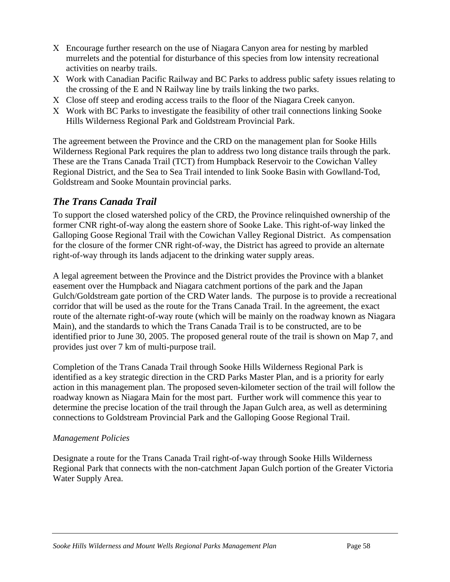- Χ Encourage further research on the use of Niagara Canyon area for nesting by marbled murrelets and the potential for disturbance of this species from low intensity recreational activities on nearby trails.
- Χ Work with Canadian Pacific Railway and BC Parks to address public safety issues relating to the crossing of the E and N Railway line by trails linking the two parks.
- Χ Close off steep and eroding access trails to the floor of the Niagara Creek canyon.
- Χ Work with BC Parks to investigate the feasibility of other trail connections linking Sooke Hills Wilderness Regional Park and Goldstream Provincial Park.

The agreement between the Province and the CRD on the management plan for Sooke Hills Wilderness Regional Park requires the plan to address two long distance trails through the park. These are the Trans Canada Trail (TCT) from Humpback Reservoir to the Cowichan Valley Regional District, and the Sea to Sea Trail intended to link Sooke Basin with Gowlland-Tod, Goldstream and Sooke Mountain provincial parks.

# *The Trans Canada Trail*

To support the closed watershed policy of the CRD, the Province relinquished ownership of the former CNR right-of-way along the eastern shore of Sooke Lake. This right-of-way linked the Galloping Goose Regional Trail with the Cowichan Valley Regional District. As compensation for the closure of the former CNR right-of-way, the District has agreed to provide an alternate right-of-way through its lands adjacent to the drinking water supply areas.

A legal agreement between the Province and the District provides the Province with a blanket easement over the Humpback and Niagara catchment portions of the park and the Japan Gulch/Goldstream gate portion of the CRD Water lands. The purpose is to provide a recreational corridor that will be used as the route for the Trans Canada Trail. In the agreement, the exact route of the alternate right-of-way route (which will be mainly on the roadway known as Niagara Main), and the standards to which the Trans Canada Trail is to be constructed, are to be identified prior to June 30, 2005. The proposed general route of the trail is shown on Map 7, and provides just over 7 km of multi-purpose trail.

Completion of the Trans Canada Trail through Sooke Hills Wilderness Regional Park is identified as a key strategic direction in the CRD Parks Master Plan, and is a priority for early action in this management plan. The proposed seven-kilometer section of the trail will follow the roadway known as Niagara Main for the most part. Further work will commence this year to determine the precise location of the trail through the Japan Gulch area, as well as determining connections to Goldstream Provincial Park and the Galloping Goose Regional Trail.

## *Management Policies*

Designate a route for the Trans Canada Trail right-of-way through Sooke Hills Wilderness Regional Park that connects with the non-catchment Japan Gulch portion of the Greater Victoria Water Supply Area.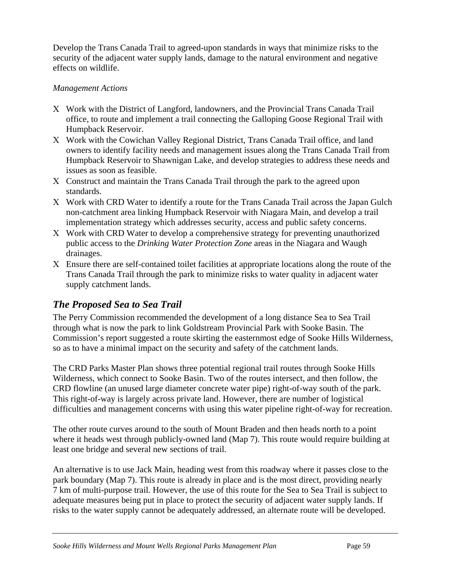Develop the Trans Canada Trail to agreed-upon standards in ways that minimize risks to the security of the adjacent water supply lands, damage to the natural environment and negative effects on wildlife.

#### *Management Actions*

- Χ Work with the District of Langford, landowners, and the Provincial Trans Canada Trail office, to route and implement a trail connecting the Galloping Goose Regional Trail with Humpback Reservoir.
- Χ Work with the Cowichan Valley Regional District, Trans Canada Trail office, and land owners to identify facility needs and management issues along the Trans Canada Trail from Humpback Reservoir to Shawnigan Lake, and develop strategies to address these needs and issues as soon as feasible.
- Χ Construct and maintain the Trans Canada Trail through the park to the agreed upon standards.
- Χ Work with CRD Water to identify a route for the Trans Canada Trail across the Japan Gulch non-catchment area linking Humpback Reservoir with Niagara Main, and develop a trail implementation strategy which addresses security, access and public safety concerns.
- Χ Work with CRD Water to develop a comprehensive strategy for preventing unauthorized public access to the *Drinking Water Protection Zone* areas in the Niagara and Waugh drainages.
- Χ Ensure there are self-contained toilet facilities at appropriate locations along the route of the Trans Canada Trail through the park to minimize risks to water quality in adjacent water supply catchment lands.

# *The Proposed Sea to Sea Trail*

The Perry Commission recommended the development of a long distance Sea to Sea Trail through what is now the park to link Goldstream Provincial Park with Sooke Basin. The Commission's report suggested a route skirting the easternmost edge of Sooke Hills Wilderness, so as to have a minimal impact on the security and safety of the catchment lands.

The CRD Parks Master Plan shows three potential regional trail routes through Sooke Hills Wilderness, which connect to Sooke Basin. Two of the routes intersect, and then follow, the CRD flowline (an unused large diameter concrete water pipe) right-of-way south of the park. This right-of-way is largely across private land. However, there are number of logistical difficulties and management concerns with using this water pipeline right-of-way for recreation.

The other route curves around to the south of Mount Braden and then heads north to a point where it heads west through publicly-owned land (Map 7). This route would require building at least one bridge and several new sections of trail.

An alternative is to use Jack Main, heading west from this roadway where it passes close to the park boundary (Map 7). This route is already in place and is the most direct, providing nearly 7 km of multi-purpose trail. However, the use of this route for the Sea to Sea Trail is subject to adequate measures being put in place to protect the security of adjacent water supply lands. If risks to the water supply cannot be adequately addressed, an alternate route will be developed.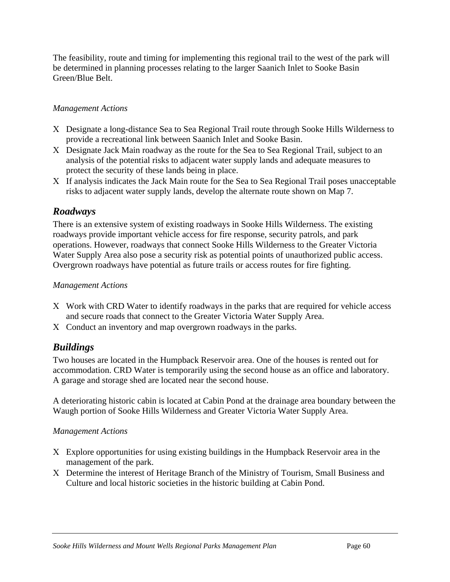The feasibility, route and timing for implementing this regional trail to the west of the park will be determined in planning processes relating to the larger Saanich Inlet to Sooke Basin Green/Blue Belt.

### *Management Actions*

- Χ Designate a long-distance Sea to Sea Regional Trail route through Sooke Hills Wilderness to provide a recreational link between Saanich Inlet and Sooke Basin.
- Χ Designate Jack Main roadway as the route for the Sea to Sea Regional Trail, subject to an analysis of the potential risks to adjacent water supply lands and adequate measures to protect the security of these lands being in place.
- Χ If analysis indicates the Jack Main route for the Sea to Sea Regional Trail poses unacceptable risks to adjacent water supply lands, develop the alternate route shown on Map 7.

## *Roadways*

There is an extensive system of existing roadways in Sooke Hills Wilderness. The existing roadways provide important vehicle access for fire response, security patrols, and park operations. However, roadways that connect Sooke Hills Wilderness to the Greater Victoria Water Supply Area also pose a security risk as potential points of unauthorized public access. Overgrown roadways have potential as future trails or access routes for fire fighting.

#### *Management Actions*

- Χ Work with CRD Water to identify roadways in the parks that are required for vehicle access and secure roads that connect to the Greater Victoria Water Supply Area.
- Χ Conduct an inventory and map overgrown roadways in the parks.

## *Buildings*

Two houses are located in the Humpback Reservoir area. One of the houses is rented out for accommodation. CRD Water is temporarily using the second house as an office and laboratory. A garage and storage shed are located near the second house.

A deteriorating historic cabin is located at Cabin Pond at the drainage area boundary between the Waugh portion of Sooke Hills Wilderness and Greater Victoria Water Supply Area.

#### *Management Actions*

- Χ Explore opportunities for using existing buildings in the Humpback Reservoir area in the management of the park.
- Χ Determine the interest of Heritage Branch of the Ministry of Tourism, Small Business and Culture and local historic societies in the historic building at Cabin Pond.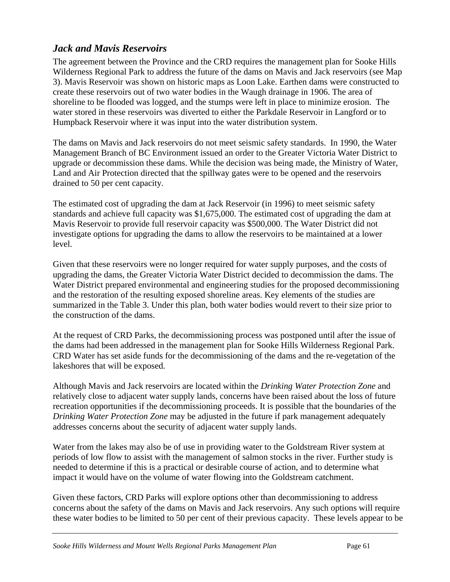## *Jack and Mavis Reservoirs*

The agreement between the Province and the CRD requires the management plan for Sooke Hills Wilderness Regional Park to address the future of the dams on Mavis and Jack reservoirs (see Map 3). Mavis Reservoir was shown on historic maps as Loon Lake. Earthen dams were constructed to create these reservoirs out of two water bodies in the Waugh drainage in 1906. The area of shoreline to be flooded was logged, and the stumps were left in place to minimize erosion. The water stored in these reservoirs was diverted to either the Parkdale Reservoir in Langford or to Humpback Reservoir where it was input into the water distribution system.

The dams on Mavis and Jack reservoirs do not meet seismic safety standards. In 1990, the Water Management Branch of BC Environment issued an order to the Greater Victoria Water District to upgrade or decommission these dams. While the decision was being made, the Ministry of Water, Land and Air Protection directed that the spillway gates were to be opened and the reservoirs drained to 50 per cent capacity.

The estimated cost of upgrading the dam at Jack Reservoir (in 1996) to meet seismic safety standards and achieve full capacity was \$1,675,000. The estimated cost of upgrading the dam at Mavis Reservoir to provide full reservoir capacity was \$500,000. The Water District did not investigate options for upgrading the dams to allow the reservoirs to be maintained at a lower level.

Given that these reservoirs were no longer required for water supply purposes, and the costs of upgrading the dams, the Greater Victoria Water District decided to decommission the dams. The Water District prepared environmental and engineering studies for the proposed decommissioning and the restoration of the resulting exposed shoreline areas. Key elements of the studies are summarized in the Table 3. Under this plan, both water bodies would revert to their size prior to the construction of the dams.

At the request of CRD Parks, the decommissioning process was postponed until after the issue of the dams had been addressed in the management plan for Sooke Hills Wilderness Regional Park. CRD Water has set aside funds for the decommissioning of the dams and the re-vegetation of the lakeshores that will be exposed.

Although Mavis and Jack reservoirs are located within the *Drinking Water Protection Zone* and relatively close to adjacent water supply lands, concerns have been raised about the loss of future recreation opportunities if the decommissioning proceeds. It is possible that the boundaries of the *Drinking Water Protection Zone* may be adjusted in the future if park management adequately addresses concerns about the security of adjacent water supply lands.

Water from the lakes may also be of use in providing water to the Goldstream River system at periods of low flow to assist with the management of salmon stocks in the river. Further study is needed to determine if this is a practical or desirable course of action, and to determine what impact it would have on the volume of water flowing into the Goldstream catchment.

Given these factors, CRD Parks will explore options other than decommissioning to address concerns about the safety of the dams on Mavis and Jack reservoirs. Any such options will require these water bodies to be limited to 50 per cent of their previous capacity. These levels appear to be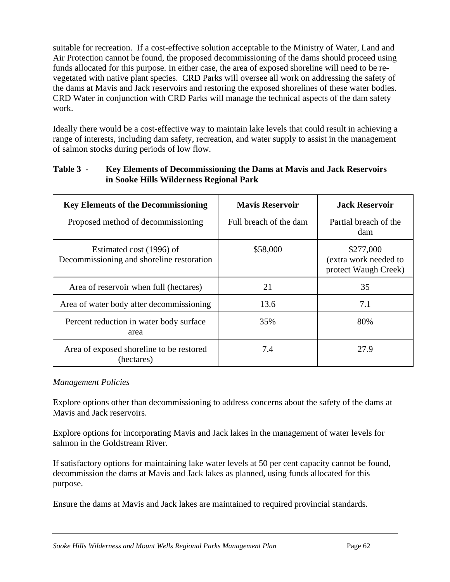suitable for recreation. If a cost-effective solution acceptable to the Ministry of Water, Land and Air Protection cannot be found, the proposed decommissioning of the dams should proceed using funds allocated for this purpose. In either case, the area of exposed shoreline will need to be revegetated with native plant species. CRD Parks will oversee all work on addressing the safety of the dams at Mavis and Jack reservoirs and restoring the exposed shorelines of these water bodies. CRD Water in conjunction with CRD Parks will manage the technical aspects of the dam safety work.

Ideally there would be a cost-effective way to maintain lake levels that could result in achieving a range of interests, including dam safety, recreation, and water supply to assist in the management of salmon stocks during periods of low flow.

| <b>Key Elements of the Decommissioning</b>                            | <b>Mavis Reservoir</b> | <b>Jack Reservoir</b>                                      |
|-----------------------------------------------------------------------|------------------------|------------------------------------------------------------|
| Proposed method of decommissioning                                    | Full breach of the dam | Partial breach of the<br>dam                               |
| Estimated cost (1996) of<br>Decommissioning and shoreline restoration | \$58,000               | \$277,000<br>(extra work needed to<br>protect Waugh Creek) |
| Area of reservoir when full (hectares)                                | 21                     | 35                                                         |
| Area of water body after decommissioning                              | 13.6                   | 7.1                                                        |
| Percent reduction in water body surface<br>area                       | 35%                    | 80%                                                        |
| Area of exposed shoreline to be restored<br>(hectares)                | 7.4                    | 27.9                                                       |

#### **Table 3 - Key Elements of Decommissioning the Dams at Mavis and Jack Reservoirs in Sooke Hills Wilderness Regional Park**

## *Management Policies*

Explore options other than decommissioning to address concerns about the safety of the dams at Mavis and Jack reservoirs.

Explore options for incorporating Mavis and Jack lakes in the management of water levels for salmon in the Goldstream River.

If satisfactory options for maintaining lake water levels at 50 per cent capacity cannot be found, decommission the dams at Mavis and Jack lakes as planned, using funds allocated for this purpose.

Ensure the dams at Mavis and Jack lakes are maintained to required provincial standards*.*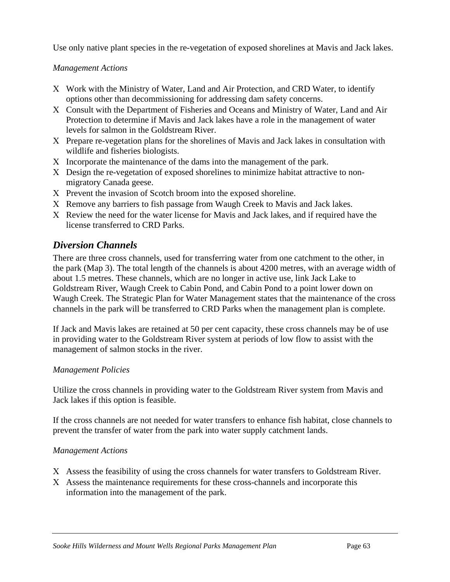Use only native plant species in the re-vegetation of exposed shorelines at Mavis and Jack lakes.

*Management Actions*

- Χ Work with the Ministry of Water, Land and Air Protection, and CRD Water, to identify options other than decommissioning for addressing dam safety concerns.
- Χ Consult with the Department of Fisheries and Oceans and Ministry of Water, Land and Air Protection to determine if Mavis and Jack lakes have a role in the management of water levels for salmon in the Goldstream River.
- Χ Prepare re-vegetation plans for the shorelines of Mavis and Jack lakes in consultation with wildlife and fisheries biologists.
- Χ Incorporate the maintenance of the dams into the management of the park.
- Χ Design the re-vegetation of exposed shorelines to minimize habitat attractive to nonmigratory Canada geese.
- Χ Prevent the invasion of Scotch broom into the exposed shoreline.
- Χ Remove any barriers to fish passage from Waugh Creek to Mavis and Jack lakes.
- Χ Review the need for the water license for Mavis and Jack lakes, and if required have the license transferred to CRD Parks.

# *Diversion Channels*

There are three cross channels, used for transferring water from one catchment to the other, in the park (Map 3). The total length of the channels is about 4200 metres, with an average width of about 1.5 metres. These channels, which are no longer in active use, link Jack Lake to Goldstream River, Waugh Creek to Cabin Pond, and Cabin Pond to a point lower down on Waugh Creek. The Strategic Plan for Water Management states that the maintenance of the cross channels in the park will be transferred to CRD Parks when the management plan is complete.

If Jack and Mavis lakes are retained at 50 per cent capacity, these cross channels may be of use in providing water to the Goldstream River system at periods of low flow to assist with the management of salmon stocks in the river.

## *Management Policies*

Utilize the cross channels in providing water to the Goldstream River system from Mavis and Jack lakes if this option is feasible.

If the cross channels are not needed for water transfers to enhance fish habitat, close channels to prevent the transfer of water from the park into water supply catchment lands.

## *Management Actions*

- Χ Assess the feasibility of using the cross channels for water transfers to Goldstream River.
- Χ Assess the maintenance requirements for these cross-channels and incorporate this information into the management of the park.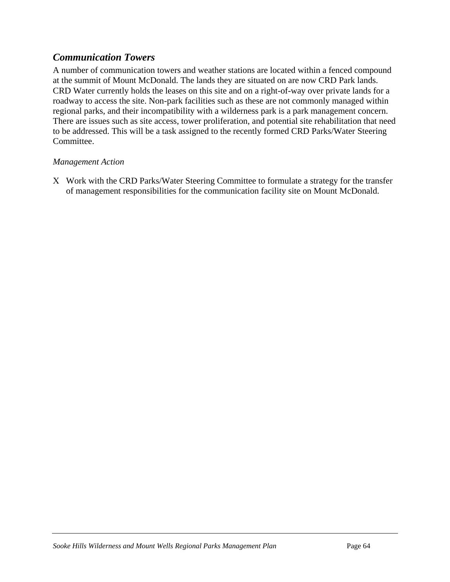## *Communication Towers*

A number of communication towers and weather stations are located within a fenced compound at the summit of Mount McDonald. The lands they are situated on are now CRD Park lands. CRD Water currently holds the leases on this site and on a right-of-way over private lands for a roadway to access the site. Non-park facilities such as these are not commonly managed within regional parks, and their incompatibility with a wilderness park is a park management concern. There are issues such as site access, tower proliferation, and potential site rehabilitation that need to be addressed. This will be a task assigned to the recently formed CRD Parks/Water Steering Committee.

#### *Management Action*

Χ Work with the CRD Parks/Water Steering Committee to formulate a strategy for the transfer of management responsibilities for the communication facility site on Mount McDonald.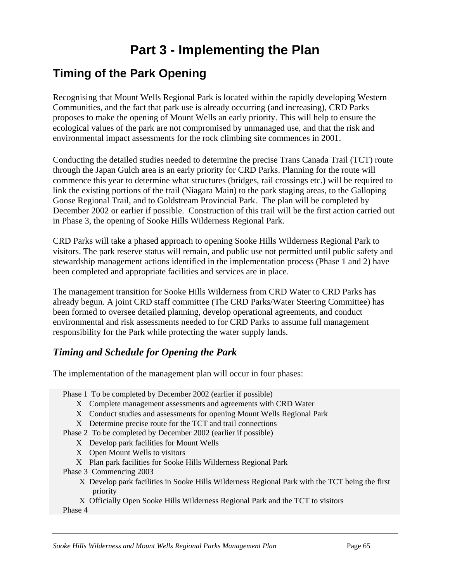# **Part 3 - Implementing the Plan**

# **Timing of the Park Opening**

Recognising that Mount Wells Regional Park is located within the rapidly developing Western Communities, and the fact that park use is already occurring (and increasing), CRD Parks proposes to make the opening of Mount Wells an early priority. This will help to ensure the ecological values of the park are not compromised by unmanaged use, and that the risk and environmental impact assessments for the rock climbing site commences in 2001.

Conducting the detailed studies needed to determine the precise Trans Canada Trail (TCT) route through the Japan Gulch area is an early priority for CRD Parks. Planning for the route will commence this year to determine what structures (bridges, rail crossings etc.) will be required to link the existing portions of the trail (Niagara Main) to the park staging areas, to the Galloping Goose Regional Trail, and to Goldstream Provincial Park. The plan will be completed by December 2002 or earlier if possible. Construction of this trail will be the first action carried out in Phase 3, the opening of Sooke Hills Wilderness Regional Park.

CRD Parks will take a phased approach to opening Sooke Hills Wilderness Regional Park to visitors. The park reserve status will remain, and public use not permitted until public safety and stewardship management actions identified in the implementation process (Phase 1 and 2) have been completed and appropriate facilities and services are in place.

The management transition for Sooke Hills Wilderness from CRD Water to CRD Parks has already begun. A joint CRD staff committee (The CRD Parks/Water Steering Committee) has been formed to oversee detailed planning, develop operational agreements, and conduct environmental and risk assessments needed to for CRD Parks to assume full management responsibility for the Park while protecting the water supply lands.

# *Timing and Schedule for Opening the Park*

The implementation of the management plan will occur in four phases:

|                         | Phase 1 To be completed by December 2002 (earlier if possible)                                             |  |  |
|-------------------------|------------------------------------------------------------------------------------------------------------|--|--|
|                         | X Complete management assessments and agreements with CRD Water                                            |  |  |
|                         | X Conduct studies and assessments for opening Mount Wells Regional Park                                    |  |  |
|                         | X Determine precise route for the TCT and trail connections                                                |  |  |
|                         | Phase 2 To be completed by December 2002 (earlier if possible)                                             |  |  |
|                         | X Develop park facilities for Mount Wells                                                                  |  |  |
|                         | X Open Mount Wells to visitors                                                                             |  |  |
|                         | X Plan park facilities for Sooke Hills Wilderness Regional Park                                            |  |  |
| Phase 3 Commencing 2003 |                                                                                                            |  |  |
|                         | X Develop park facilities in Sooke Hills Wilderness Regional Park with the TCT being the first<br>priority |  |  |
|                         | X Officially Open Sooke Hills Wilderness Regional Park and the TCT to visitors                             |  |  |
|                         | Phase 4                                                                                                    |  |  |
|                         |                                                                                                            |  |  |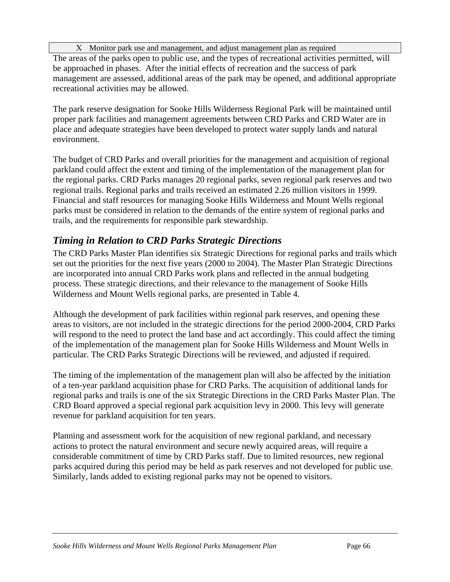Χ Monitor park use and management, and adjust management plan as required

The areas of the parks open to public use, and the types of recreational activities permitted, will be approached in phases. After the initial effects of recreation and the success of park management are assessed, additional areas of the park may be opened, and additional appropriate recreational activities may be allowed.

The park reserve designation for Sooke Hills Wilderness Regional Park will be maintained until proper park facilities and management agreements between CRD Parks and CRD Water are in place and adequate strategies have been developed to protect water supply lands and natural environment.

The budget of CRD Parks and overall priorities for the management and acquisition of regional parkland could affect the extent and timing of the implementation of the management plan for the regional parks. CRD Parks manages 20 regional parks, seven regional park reserves and two regional trails. Regional parks and trails received an estimated 2.26 million visitors in 1999. Financial and staff resources for managing Sooke Hills Wilderness and Mount Wells regional parks must be considered in relation to the demands of the entire system of regional parks and trails, and the requirements for responsible park stewardship.

# *Timing in Relation to CRD Parks Strategic Directions*

The CRD Parks Master Plan identifies six Strategic Directions for regional parks and trails which set out the priorities for the next five years (2000 to 2004). The Master Plan Strategic Directions are incorporated into annual CRD Parks work plans and reflected in the annual budgeting process. These strategic directions, and their relevance to the management of Sooke Hills Wilderness and Mount Wells regional parks, are presented in Table 4.

Although the development of park facilities within regional park reserves, and opening these areas to visitors, are not included in the strategic directions for the period 2000-2004, CRD Parks will respond to the need to protect the land base and act accordingly. This could affect the timing of the implementation of the management plan for Sooke Hills Wilderness and Mount Wells in particular. The CRD Parks Strategic Directions will be reviewed, and adjusted if required.

The timing of the implementation of the management plan will also be affected by the initiation of a ten-year parkland acquisition phase for CRD Parks. The acquisition of additional lands for regional parks and trails is one of the six Strategic Directions in the CRD Parks Master Plan. The CRD Board approved a special regional park acquisition levy in 2000. This levy will generate revenue for parkland acquisition for ten years.

Planning and assessment work for the acquisition of new regional parkland, and necessary actions to protect the natural environment and secure newly acquired areas, will require a considerable commitment of time by CRD Parks staff. Due to limited resources, new regional parks acquired during this period may be held as park reserves and not developed for public use. Similarly, lands added to existing regional parks may not be opened to visitors.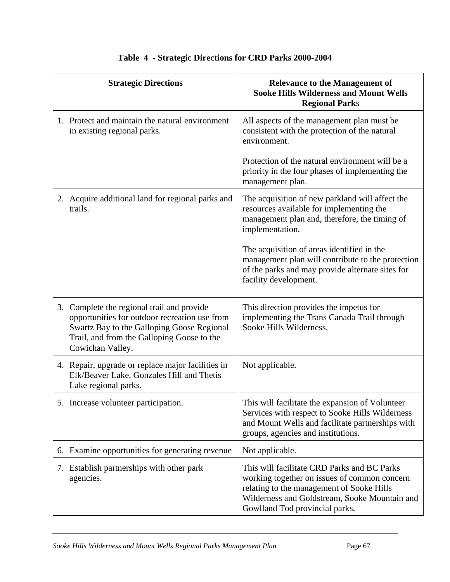| <b>Strategic Directions</b>                                                                                                                                                                                 | <b>Relevance to the Management of</b><br><b>Sooke Hills Wilderness and Mount Wells</b><br><b>Regional Parks</b>                                                                                                             |
|-------------------------------------------------------------------------------------------------------------------------------------------------------------------------------------------------------------|-----------------------------------------------------------------------------------------------------------------------------------------------------------------------------------------------------------------------------|
| 1. Protect and maintain the natural environment<br>in existing regional parks.                                                                                                                              | All aspects of the management plan must be<br>consistent with the protection of the natural<br>environment.                                                                                                                 |
|                                                                                                                                                                                                             | Protection of the natural environment will be a<br>priority in the four phases of implementing the<br>management plan.                                                                                                      |
| 2. Acquire additional land for regional parks and<br>trails.                                                                                                                                                | The acquisition of new parkland will affect the<br>resources available for implementing the<br>management plan and, therefore, the timing of<br>implementation.                                                             |
|                                                                                                                                                                                                             | The acquisition of areas identified in the<br>management plan will contribute to the protection<br>of the parks and may provide alternate sites for<br>facility development.                                                |
| 3. Complete the regional trail and provide<br>opportunities for outdoor recreation use from<br>Swartz Bay to the Galloping Goose Regional<br>Trail, and from the Galloping Goose to the<br>Cowichan Valley. | This direction provides the impetus for<br>implementing the Trans Canada Trail through<br>Sooke Hills Wilderness.                                                                                                           |
| 4. Repair, upgrade or replace major facilities in<br>Elk/Beaver Lake, Gonzales Hill and Thetis<br>Lake regional parks.                                                                                      | Not applicable.                                                                                                                                                                                                             |
| 5. Increase volunteer participation.                                                                                                                                                                        | This will facilitate the expansion of Volunteer<br>Services with respect to Sooke Hills Wilderness<br>and Mount Wells and facilitate partnerships with<br>groups, agencies and institutions.                                |
| 6. Examine opportunities for generating revenue                                                                                                                                                             | Not applicable.                                                                                                                                                                                                             |
| 7. Establish partnerships with other park<br>agencies.                                                                                                                                                      | This will facilitate CRD Parks and BC Parks<br>working together on issues of common concern<br>relating to the management of Sooke Hills<br>Wilderness and Goldstream, Sooke Mountain and<br>Gowlland Tod provincial parks. |

## **Table 4 - Strategic Directions for CRD Parks 2000-2004**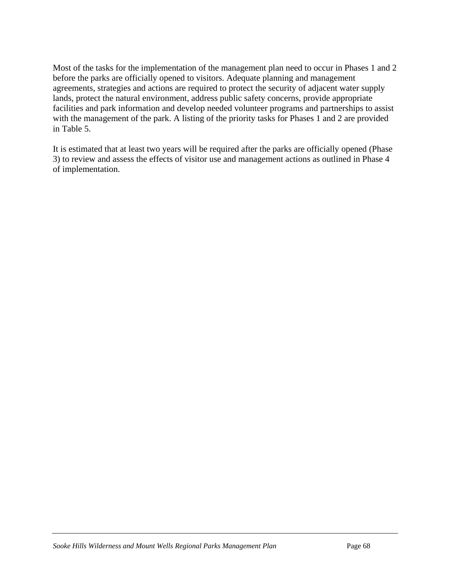Most of the tasks for the implementation of the management plan need to occur in Phases 1 and 2 before the parks are officially opened to visitors. Adequate planning and management agreements, strategies and actions are required to protect the security of adjacent water supply lands, protect the natural environment, address public safety concerns, provide appropriate facilities and park information and develop needed volunteer programs and partnerships to assist with the management of the park. A listing of the priority tasks for Phases 1 and 2 are provided in Table 5.

It is estimated that at least two years will be required after the parks are officially opened (Phase 3) to review and assess the effects of visitor use and management actions as outlined in Phase 4 of implementation.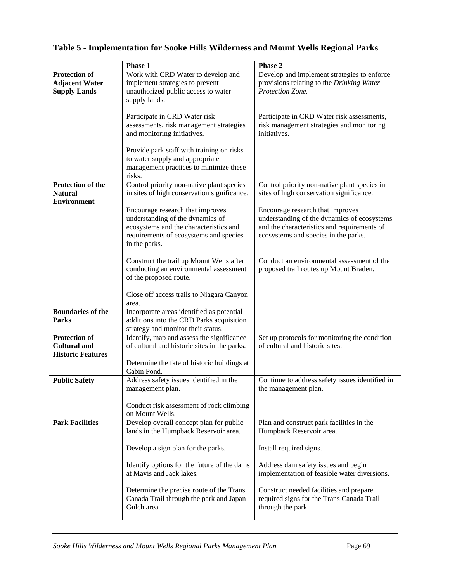|                          | <b>Phase 1</b>                                                                     | Phase 2                                         |
|--------------------------|------------------------------------------------------------------------------------|-------------------------------------------------|
| Protection of            | Work with CRD Water to develop and                                                 | Develop and implement strategies to enforce     |
| <b>Adjacent Water</b>    | implement strategies to prevent                                                    | provisions relating to the Drinking Water       |
| <b>Supply Lands</b>      | unauthorized public access to water                                                | Protection Zone.                                |
|                          | supply lands.                                                                      |                                                 |
|                          |                                                                                    |                                                 |
|                          | Participate in CRD Water risk                                                      | Participate in CRD Water risk assessments,      |
|                          | assessments, risk management strategies                                            | risk management strategies and monitoring       |
|                          | and monitoring initiatives.                                                        | initiatives.                                    |
|                          |                                                                                    |                                                 |
|                          | Provide park staff with training on risks                                          |                                                 |
|                          | to water supply and appropriate                                                    |                                                 |
|                          | management practices to minimize these                                             |                                                 |
|                          | risks.                                                                             |                                                 |
| Protection of the        | Control priority non-native plant species                                          | Control priority non-native plant species in    |
| <b>Natural</b>           | in sites of high conservation significance.                                        | sites of high conservation significance.        |
| <b>Environment</b>       |                                                                                    |                                                 |
|                          | Encourage research that improves                                                   | Encourage research that improves                |
|                          | understanding of the dynamics of                                                   | understanding of the dynamics of ecosystems     |
|                          | ecosystems and the characteristics and                                             | and the characteristics and requirements of     |
|                          | requirements of ecosystems and species                                             | ecosystems and species in the parks.            |
|                          | in the parks.                                                                      |                                                 |
|                          |                                                                                    |                                                 |
|                          | Construct the trail up Mount Wells after<br>conducting an environmental assessment | Conduct an environmental assessment of the      |
|                          | of the proposed route.                                                             | proposed trail routes up Mount Braden.          |
|                          |                                                                                    |                                                 |
|                          | Close off access trails to Niagara Canyon                                          |                                                 |
|                          | area.                                                                              |                                                 |
| <b>Boundaries of the</b> | Incorporate areas identified as potential                                          |                                                 |
| <b>Parks</b>             | additions into the CRD Parks acquisition                                           |                                                 |
|                          | strategy and monitor their status.                                                 |                                                 |
| <b>Protection of</b>     | Identify, map and assess the significance                                          | Set up protocols for monitoring the condition   |
| <b>Cultural and</b>      | of cultural and historic sites in the parks.                                       | of cultural and historic sites.                 |
| <b>Historic Features</b> |                                                                                    |                                                 |
|                          | Determine the fate of historic buildings at                                        |                                                 |
|                          | Cabin Pond.                                                                        |                                                 |
| <b>Public Safety</b>     | Address safety issues identified in the                                            | Continue to address safety issues identified in |
|                          | management plan.                                                                   | the management plan.                            |
|                          |                                                                                    |                                                 |
|                          | Conduct risk assessment of rock climbing                                           |                                                 |
|                          | on Mount Wells.                                                                    |                                                 |
| <b>Park Facilities</b>   | Develop overall concept plan for public                                            | Plan and construct park facilities in the       |
|                          | lands in the Humpback Reservoir area.                                              | Humpback Reservoir area.                        |
|                          | Develop a sign plan for the parks.                                                 | Install required signs.                         |
|                          |                                                                                    |                                                 |
|                          | Identify options for the future of the dams                                        | Address dam safety issues and begin             |
|                          | at Mavis and Jack lakes.                                                           | implementation of feasible water diversions.    |
|                          |                                                                                    |                                                 |
|                          | Determine the precise route of the Trans                                           | Construct needed facilities and prepare         |
|                          | Canada Trail through the park and Japan                                            | required signs for the Trans Canada Trail       |
|                          | Gulch area.                                                                        | through the park.                               |
|                          |                                                                                    |                                                 |

## **Table 5 - Implementation for Sooke Hills Wilderness and Mount Wells Regional Parks**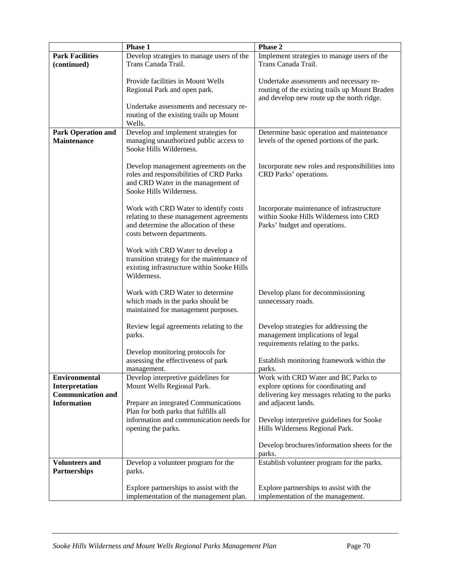| Phase 1                   |                                            | Phase 2                                         |  |
|---------------------------|--------------------------------------------|-------------------------------------------------|--|
| <b>Park Facilities</b>    | Develop strategies to manage users of the  | Implement strategies to manage users of the     |  |
| (continued)               | Trans Canada Trail.                        | Trans Canada Trail.                             |  |
|                           |                                            |                                                 |  |
|                           | Provide facilities in Mount Wells          | Undertake assessments and necessary re-         |  |
|                           |                                            |                                                 |  |
|                           | Regional Park and open park.               | routing of the existing trails up Mount Braden  |  |
|                           |                                            | and develop new route up the north ridge.       |  |
|                           | Undertake assessments and necessary re-    |                                                 |  |
|                           | routing of the existing trails up Mount    |                                                 |  |
|                           | Wells.                                     |                                                 |  |
| <b>Park Operation and</b> | Develop and implement strategies for       | Determine basic operation and maintenance       |  |
| <b>Maintenance</b>        | managing unauthorized public access to     | levels of the opened portions of the park.      |  |
|                           | Sooke Hills Wilderness.                    |                                                 |  |
|                           |                                            |                                                 |  |
|                           |                                            |                                                 |  |
|                           | Develop management agreements on the       | Incorporate new roles and responsibilities into |  |
|                           | roles and responsibilities of CRD Parks    | CRD Parks' operations.                          |  |
|                           | and CRD Water in the management of         |                                                 |  |
|                           | Sooke Hills Wilderness.                    |                                                 |  |
|                           |                                            |                                                 |  |
|                           | Work with CRD Water to identify costs      | Incorporate maintenance of infrastructure       |  |
|                           | relating to these management agreements    | within Sooke Hills Wilderness into CRD          |  |
|                           | and determine the allocation of these      | Parks' budget and operations.                   |  |
|                           | costs between departments.                 |                                                 |  |
|                           |                                            |                                                 |  |
|                           | Work with CRD Water to develop a           |                                                 |  |
|                           |                                            |                                                 |  |
|                           | transition strategy for the maintenance of |                                                 |  |
|                           | existing infrastructure within Sooke Hills |                                                 |  |
|                           | Wilderness.                                |                                                 |  |
|                           |                                            |                                                 |  |
|                           | Work with CRD Water to determine           | Develop plans for decommissioning               |  |
|                           | which roads in the parks should be         | unnecessary roads.                              |  |
|                           | maintained for management purposes.        |                                                 |  |
|                           |                                            |                                                 |  |
|                           | Review legal agreements relating to the    | Develop strategies for addressing the           |  |
|                           | parks.                                     | management implications of legal                |  |
|                           |                                            | requirements relating to the parks.             |  |
|                           |                                            |                                                 |  |
|                           | Develop monitoring protocols for           |                                                 |  |
|                           | assessing the effectiveness of park        | Establish monitoring framework within the       |  |
|                           | management.                                | parks.                                          |  |
| <b>Environmental</b>      | Develop interpretive guidelines for        | Work with CRD Water and BC Parks to             |  |
| Interpretation            | Mount Wells Regional Park.                 | explore options for coordinating and            |  |
| <b>Communication and</b>  |                                            | delivering key messages relating to the parks   |  |
| <b>Information</b>        | Prepare an integrated Communications       | and adjacent lands.                             |  |
|                           | Plan for both parks that fulfills all      |                                                 |  |
|                           | information and communication needs for    | Develop interpretive guidelines for Sooke       |  |
|                           | opening the parks.                         | Hills Wilderness Regional Park.                 |  |
|                           |                                            |                                                 |  |
|                           |                                            |                                                 |  |
|                           |                                            | Develop brochures/information sheets for the    |  |
|                           |                                            | parks.                                          |  |
| <b>Volunteers and</b>     | Develop a volunteer program for the        | Establish volunteer program for the parks.      |  |
| Partnerships              | parks.                                     |                                                 |  |
|                           |                                            |                                                 |  |
|                           | Explore partnerships to assist with the    | Explore partnerships to assist with the         |  |
|                           | implementation of the management plan.     | implementation of the management.               |  |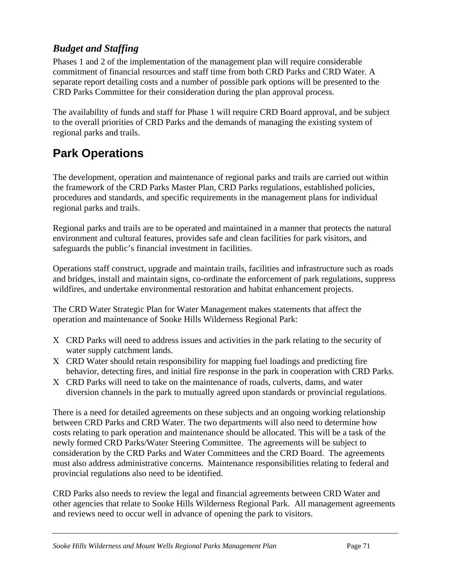# *Budget and Staffing*

Phases 1 and 2 of the implementation of the management plan will require considerable commitment of financial resources and staff time from both CRD Parks and CRD Water. A separate report detailing costs and a number of possible park options will be presented to the CRD Parks Committee for their consideration during the plan approval process.

The availability of funds and staff for Phase 1 will require CRD Board approval, and be subject to the overall priorities of CRD Parks and the demands of managing the existing system of regional parks and trails.

# **Park Operations**

The development, operation and maintenance of regional parks and trails are carried out within the framework of the CRD Parks Master Plan, CRD Parks regulations, established policies, procedures and standards, and specific requirements in the management plans for individual regional parks and trails.

Regional parks and trails are to be operated and maintained in a manner that protects the natural environment and cultural features, provides safe and clean facilities for park visitors, and safeguards the public's financial investment in facilities.

Operations staff construct, upgrade and maintain trails, facilities and infrastructure such as roads and bridges, install and maintain signs, co-ordinate the enforcement of park regulations, suppress wildfires, and undertake environmental restoration and habitat enhancement projects.

The CRD Water Strategic Plan for Water Management makes statements that affect the operation and maintenance of Sooke Hills Wilderness Regional Park:

- Χ CRD Parks will need to address issues and activities in the park relating to the security of water supply catchment lands.
- Χ CRD Water should retain responsibility for mapping fuel loadings and predicting fire behavior, detecting fires, and initial fire response in the park in cooperation with CRD Parks.
- Χ CRD Parks will need to take on the maintenance of roads, culverts, dams, and water diversion channels in the park to mutually agreed upon standards or provincial regulations.

There is a need for detailed agreements on these subjects and an ongoing working relationship between CRD Parks and CRD Water. The two departments will also need to determine how costs relating to park operation and maintenance should be allocated. This will be a task of the newly formed CRD Parks/Water Steering Committee. The agreements will be subject to consideration by the CRD Parks and Water Committees and the CRD Board. The agreements must also address administrative concerns. Maintenance responsibilities relating to federal and provincial regulations also need to be identified.

CRD Parks also needs to review the legal and financial agreements between CRD Water and other agencies that relate to Sooke Hills Wilderness Regional Park. All management agreements and reviews need to occur well in advance of opening the park to visitors.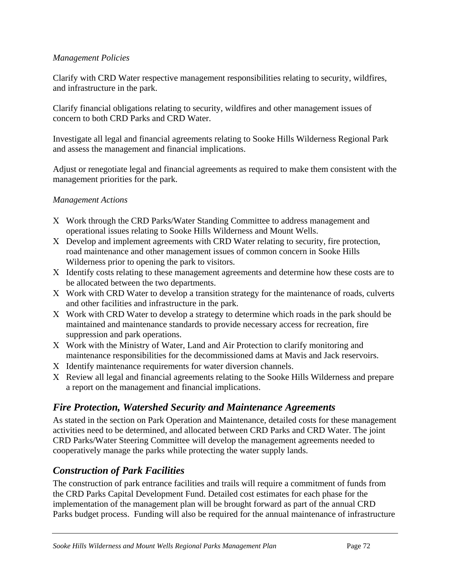#### *Management Policies*

Clarify with CRD Water respective management responsibilities relating to security, wildfires, and infrastructure in the park.

Clarify financial obligations relating to security, wildfires and other management issues of concern to both CRD Parks and CRD Water.

Investigate all legal and financial agreements relating to Sooke Hills Wilderness Regional Park and assess the management and financial implications.

Adjust or renegotiate legal and financial agreements as required to make them consistent with the management priorities for the park.

#### *Management Actions*

- Χ Work through the CRD Parks/Water Standing Committee to address management and operational issues relating to Sooke Hills Wilderness and Mount Wells.
- Χ Develop and implement agreements with CRD Water relating to security, fire protection, road maintenance and other management issues of common concern in Sooke Hills Wilderness prior to opening the park to visitors.
- Χ Identify costs relating to these management agreements and determine how these costs are to be allocated between the two departments.
- Χ Work with CRD Water to develop a transition strategy for the maintenance of roads, culverts and other facilities and infrastructure in the park.
- Χ Work with CRD Water to develop a strategy to determine which roads in the park should be maintained and maintenance standards to provide necessary access for recreation, fire suppression and park operations.
- Χ Work with the Ministry of Water, Land and Air Protection to clarify monitoring and maintenance responsibilities for the decommissioned dams at Mavis and Jack reservoirs.
- Χ Identify maintenance requirements for water diversion channels.
- Χ Review all legal and financial agreements relating to the Sooke Hills Wilderness and prepare a report on the management and financial implications.

# *Fire Protection, Watershed Security and Maintenance Agreements*

As stated in the section on Park Operation and Maintenance, detailed costs for these management activities need to be determined, and allocated between CRD Parks and CRD Water. The joint CRD Parks/Water Steering Committee will develop the management agreements needed to cooperatively manage the parks while protecting the water supply lands.

# *Construction of Park Facilities*

The construction of park entrance facilities and trails will require a commitment of funds from the CRD Parks Capital Development Fund. Detailed cost estimates for each phase for the implementation of the management plan will be brought forward as part of the annual CRD Parks budget process. Funding will also be required for the annual maintenance of infrastructure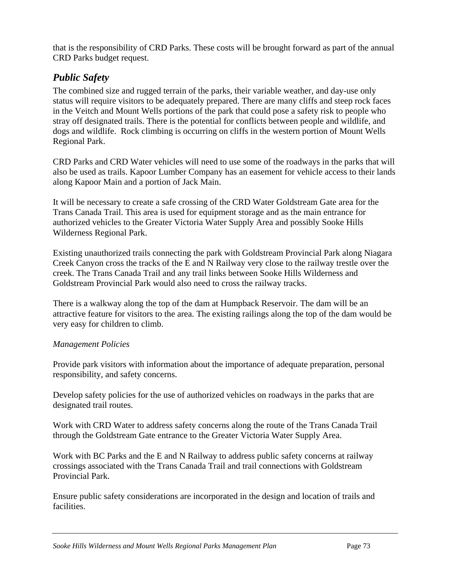that is the responsibility of CRD Parks. These costs will be brought forward as part of the annual CRD Parks budget request.

## *Public Safety*

The combined size and rugged terrain of the parks, their variable weather, and day-use only status will require visitors to be adequately prepared. There are many cliffs and steep rock faces in the Veitch and Mount Wells portions of the park that could pose a safety risk to people who stray off designated trails. There is the potential for conflicts between people and wildlife, and dogs and wildlife. Rock climbing is occurring on cliffs in the western portion of Mount Wells Regional Park.

CRD Parks and CRD Water vehicles will need to use some of the roadways in the parks that will also be used as trails. Kapoor Lumber Company has an easement for vehicle access to their lands along Kapoor Main and a portion of Jack Main.

It will be necessary to create a safe crossing of the CRD Water Goldstream Gate area for the Trans Canada Trail. This area is used for equipment storage and as the main entrance for authorized vehicles to the Greater Victoria Water Supply Area and possibly Sooke Hills Wilderness Regional Park.

Existing unauthorized trails connecting the park with Goldstream Provincial Park along Niagara Creek Canyon cross the tracks of the E and N Railway very close to the railway trestle over the creek. The Trans Canada Trail and any trail links between Sooke Hills Wilderness and Goldstream Provincial Park would also need to cross the railway tracks.

There is a walkway along the top of the dam at Humpback Reservoir. The dam will be an attractive feature for visitors to the area. The existing railings along the top of the dam would be very easy for children to climb.

## *Management Policies*

Provide park visitors with information about the importance of adequate preparation, personal responsibility, and safety concerns.

Develop safety policies for the use of authorized vehicles on roadways in the parks that are designated trail routes.

Work with CRD Water to address safety concerns along the route of the Trans Canada Trail through the Goldstream Gate entrance to the Greater Victoria Water Supply Area.

Work with BC Parks and the E and N Railway to address public safety concerns at railway crossings associated with the Trans Canada Trail and trail connections with Goldstream Provincial Park.

Ensure public safety considerations are incorporated in the design and location of trails and facilities.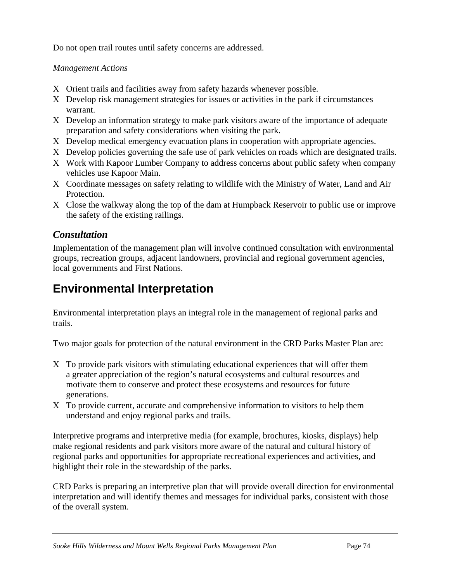Do not open trail routes until safety concerns are addressed.

## *Management Actions*

- Χ Orient trails and facilities away from safety hazards whenever possible.
- Χ Develop risk management strategies for issues or activities in the park if circumstances warrant.
- Χ Develop an information strategy to make park visitors aware of the importance of adequate preparation and safety considerations when visiting the park.
- Χ Develop medical emergency evacuation plans in cooperation with appropriate agencies.
- Χ Develop policies governing the safe use of park vehicles on roads which are designated trails.
- Χ Work with Kapoor Lumber Company to address concerns about public safety when company vehicles use Kapoor Main.
- Χ Coordinate messages on safety relating to wildlife with the Ministry of Water, Land and Air Protection.
- Χ Close the walkway along the top of the dam at Humpback Reservoir to public use or improve the safety of the existing railings.

## *Consultation*

Implementation of the management plan will involve continued consultation with environmental groups, recreation groups, adjacent landowners, provincial and regional government agencies, local governments and First Nations.

# **Environmental Interpretation**

Environmental interpretation plays an integral role in the management of regional parks and trails.

Two major goals for protection of the natural environment in the CRD Parks Master Plan are:

- Χ To provide park visitors with stimulating educational experiences that will offer them a greater appreciation of the region's natural ecosystems and cultural resources and motivate them to conserve and protect these ecosystems and resources for future generations.
- Χ To provide current, accurate and comprehensive information to visitors to help them understand and enjoy regional parks and trails.

Interpretive programs and interpretive media (for example, brochures, kiosks, displays) help make regional residents and park visitors more aware of the natural and cultural history of regional parks and opportunities for appropriate recreational experiences and activities, and highlight their role in the stewardship of the parks.

CRD Parks is preparing an interpretive plan that will provide overall direction for environmental interpretation and will identify themes and messages for individual parks, consistent with those of the overall system.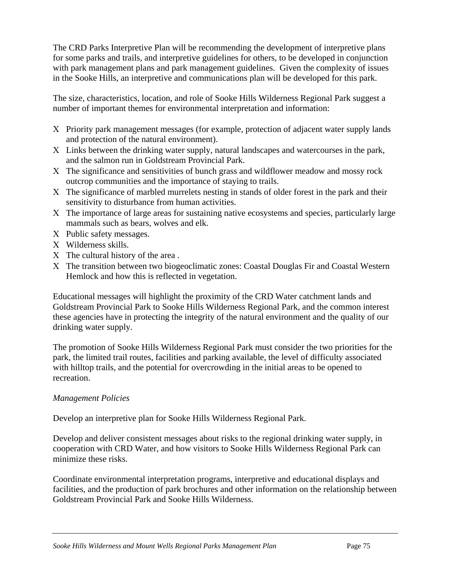The CRD Parks Interpretive Plan will be recommending the development of interpretive plans for some parks and trails, and interpretive guidelines for others, to be developed in conjunction with park management plans and park management guidelines. Given the complexity of issues in the Sooke Hills, an interpretive and communications plan will be developed for this park.

The size, characteristics, location, and role of Sooke Hills Wilderness Regional Park suggest a number of important themes for environmental interpretation and information:

- Χ Priority park management messages (for example, protection of adjacent water supply lands and protection of the natural environment).
- Χ Links between the drinking water supply, natural landscapes and watercourses in the park, and the salmon run in Goldstream Provincial Park.
- Χ The significance and sensitivities of bunch grass and wildflower meadow and mossy rock outcrop communities and the importance of staying to trails.
- Χ The significance of marbled murrelets nesting in stands of older forest in the park and their sensitivity to disturbance from human activities.
- Χ The importance of large areas for sustaining native ecosystems and species, particularly large mammals such as bears, wolves and elk.
- Χ Public safety messages.
- Χ Wilderness skills.
- Χ The cultural history of the area .
- Χ The transition between two biogeoclimatic zones: Coastal Douglas Fir and Coastal Western Hemlock and how this is reflected in vegetation.

Educational messages will highlight the proximity of the CRD Water catchment lands and Goldstream Provincial Park to Sooke Hills Wilderness Regional Park, and the common interest these agencies have in protecting the integrity of the natural environment and the quality of our drinking water supply.

The promotion of Sooke Hills Wilderness Regional Park must consider the two priorities for the park, the limited trail routes, facilities and parking available, the level of difficulty associated with hilltop trails, and the potential for overcrowding in the initial areas to be opened to recreation.

#### *Management Policies*

Develop an interpretive plan for Sooke Hills Wilderness Regional Park.

Develop and deliver consistent messages about risks to the regional drinking water supply, in cooperation with CRD Water, and how visitors to Sooke Hills Wilderness Regional Park can minimize these risks.

Coordinate environmental interpretation programs, interpretive and educational displays and facilities, and the production of park brochures and other information on the relationship between Goldstream Provincial Park and Sooke Hills Wilderness.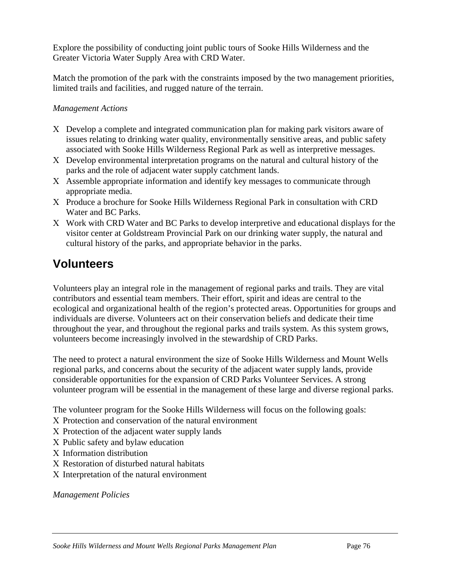Explore the possibility of conducting joint public tours of Sooke Hills Wilderness and the Greater Victoria Water Supply Area with CRD Water.

Match the promotion of the park with the constraints imposed by the two management priorities, limited trails and facilities, and rugged nature of the terrain.

#### *Management Actions*

- Χ Develop a complete and integrated communication plan for making park visitors aware of issues relating to drinking water quality, environmentally sensitive areas, and public safety associated with Sooke Hills Wilderness Regional Park as well as interpretive messages.
- Χ Develop environmental interpretation programs on the natural and cultural history of the parks and the role of adjacent water supply catchment lands.
- Χ Assemble appropriate information and identify key messages to communicate through appropriate media.
- Χ Produce a brochure for Sooke Hills Wilderness Regional Park in consultation with CRD Water and BC Parks.
- Χ Work with CRD Water and BC Parks to develop interpretive and educational displays for the visitor center at Goldstream Provincial Park on our drinking water supply, the natural and cultural history of the parks, and appropriate behavior in the parks.

## **Volunteers**

Volunteers play an integral role in the management of regional parks and trails. They are vital contributors and essential team members. Their effort, spirit and ideas are central to the ecological and organizational health of the region's protected areas. Opportunities for groups and individuals are diverse. Volunteers act on their conservation beliefs and dedicate their time throughout the year, and throughout the regional parks and trails system. As this system grows, volunteers become increasingly involved in the stewardship of CRD Parks.

The need to protect a natural environment the size of Sooke Hills Wilderness and Mount Wells regional parks, and concerns about the security of the adjacent water supply lands, provide considerable opportunities for the expansion of CRD Parks Volunteer Services. A strong volunteer program will be essential in the management of these large and diverse regional parks.

The volunteer program for the Sooke Hills Wilderness will focus on the following goals:

- Χ Protection and conservation of the natural environment
- Χ Protection of the adjacent water supply lands
- Χ Public safety and bylaw education
- Χ Information distribution
- Χ Restoration of disturbed natural habitats
- Χ Interpretation of the natural environment

*Management Policies*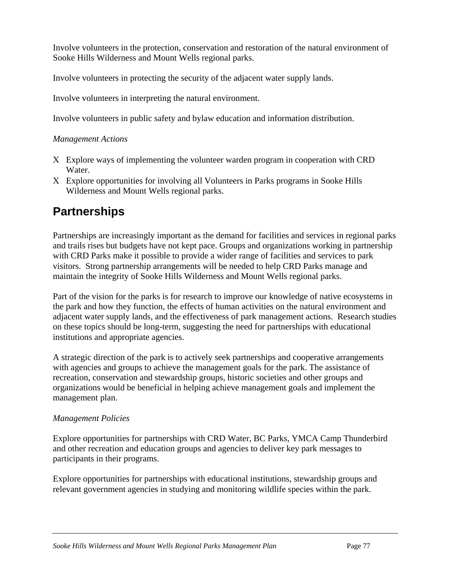Involve volunteers in the protection, conservation and restoration of the natural environment of Sooke Hills Wilderness and Mount Wells regional parks.

Involve volunteers in protecting the security of the adjacent water supply lands.

Involve volunteers in interpreting the natural environment.

Involve volunteers in public safety and bylaw education and information distribution.

#### *Management Actions*

- Χ Explore ways of implementing the volunteer warden program in cooperation with CRD Water.
- Χ Explore opportunities for involving all Volunteers in Parks programs in Sooke Hills Wilderness and Mount Wells regional parks.

## **Partnerships**

Partnerships are increasingly important as the demand for facilities and services in regional parks and trails rises but budgets have not kept pace. Groups and organizations working in partnership with CRD Parks make it possible to provide a wider range of facilities and services to park visitors. Strong partnership arrangements will be needed to help CRD Parks manage and maintain the integrity of Sooke Hills Wilderness and Mount Wells regional parks.

Part of the vision for the parks is for research to improve our knowledge of native ecosystems in the park and how they function, the effects of human activities on the natural environment and adjacent water supply lands, and the effectiveness of park management actions. Research studies on these topics should be long-term, suggesting the need for partnerships with educational institutions and appropriate agencies.

A strategic direction of the park is to actively seek partnerships and cooperative arrangements with agencies and groups to achieve the management goals for the park. The assistance of recreation, conservation and stewardship groups, historic societies and other groups and organizations would be beneficial in helping achieve management goals and implement the management plan.

#### *Management Policies*

Explore opportunities for partnerships with CRD Water, BC Parks, YMCA Camp Thunderbird and other recreation and education groups and agencies to deliver key park messages to participants in their programs.

Explore opportunities for partnerships with educational institutions, stewardship groups and relevant government agencies in studying and monitoring wildlife species within the park.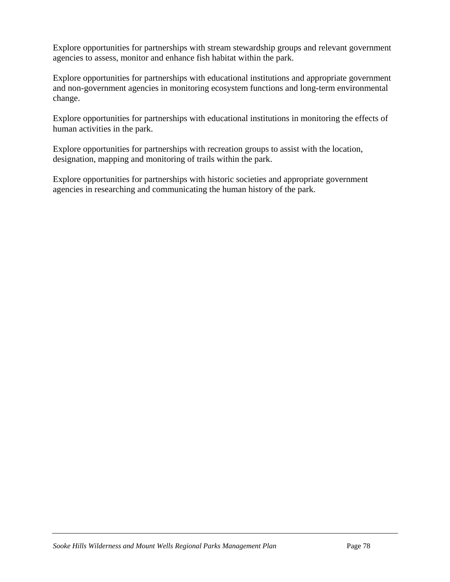Explore opportunities for partnerships with stream stewardship groups and relevant government agencies to assess, monitor and enhance fish habitat within the park.

Explore opportunities for partnerships with educational institutions and appropriate government and non-government agencies in monitoring ecosystem functions and long-term environmental change.

Explore opportunities for partnerships with educational institutions in monitoring the effects of human activities in the park.

Explore opportunities for partnerships with recreation groups to assist with the location, designation, mapping and monitoring of trails within the park.

Explore opportunities for partnerships with historic societies and appropriate government agencies in researching and communicating the human history of the park.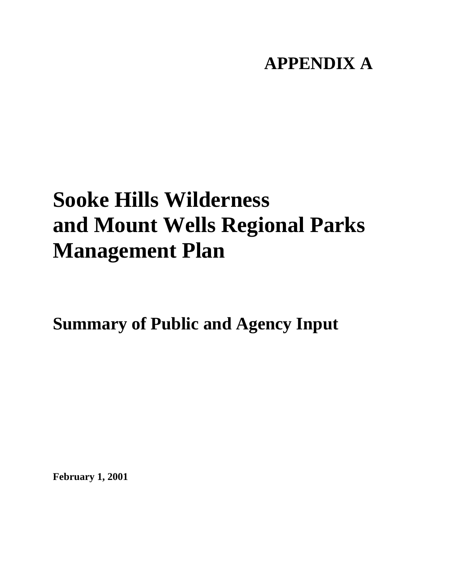## **APPENDIX A**

# **Sooke Hills Wilderness and Mount Wells Regional Parks Management Plan**

**Summary of Public and Agency Input** 

**February 1, 2001**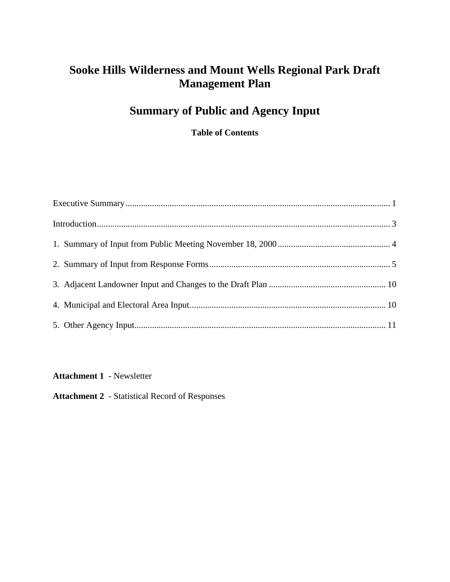## **Sooke Hills Wilderness and Mount Wells Regional Park Draft Management Plan**

## **Summary of Public and Agency Input**

**Table of Contents** 

**Attachment 1** - Newsletter

**Attachment 2** - Statistical Record of Responses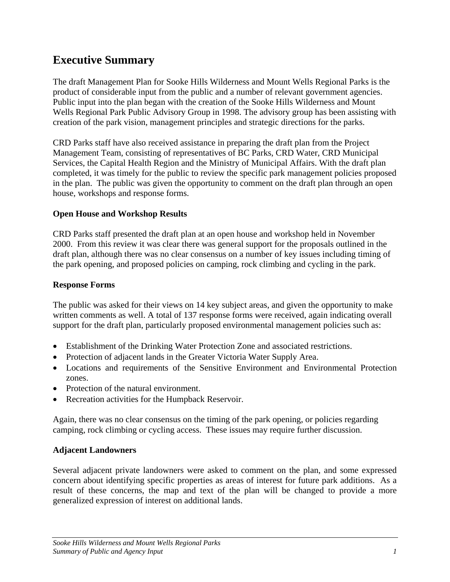## <span id="page-78-0"></span>**Executive Summary**

The draft Management Plan for Sooke Hills Wilderness and Mount Wells Regional Parks is the product of considerable input from the public and a number of relevant government agencies. Public input into the plan began with the creation of the Sooke Hills Wilderness and Mount Wells Regional Park Public Advisory Group in 1998. The advisory group has been assisting with creation of the park vision, management principles and strategic directions for the parks.

CRD Parks staff have also received assistance in preparing the draft plan from the Project Management Team, consisting of representatives of BC Parks, CRD Water, CRD Municipal Services, the Capital Health Region and the Ministry of Municipal Affairs. With the draft plan completed, it was timely for the public to review the specific park management policies proposed in the plan. The public was given the opportunity to comment on the draft plan through an open house, workshops and response forms.

#### **Open House and Workshop Results**

CRD Parks staff presented the draft plan at an open house and workshop held in November 2000. From this review it was clear there was general support for the proposals outlined in the draft plan, although there was no clear consensus on a number of key issues including timing of the park opening, and proposed policies on camping, rock climbing and cycling in the park.

#### **Response Forms**

The public was asked for their views on 14 key subject areas, and given the opportunity to make written comments as well. A total of 137 response forms were received, again indicating overall support for the draft plan, particularly proposed environmental management policies such as:

- Establishment of the Drinking Water Protection Zone and associated restrictions.
- Protection of adjacent lands in the Greater Victoria Water Supply Area.
- Locations and requirements of the Sensitive Environment and Environmental Protection zones.
- Protection of the natural environment.
- Recreation activities for the Humpback Reservoir.

Again, there was no clear consensus on the timing of the park opening, or policies regarding camping, rock climbing or cycling access. These issues may require further discussion.

#### **Adjacent Landowners**

Several adjacent private landowners were asked to comment on the plan, and some expressed concern about identifying specific properties as areas of interest for future park additions. As a result of these concerns, the map and text of the plan will be changed to provide a more generalized expression of interest on additional lands.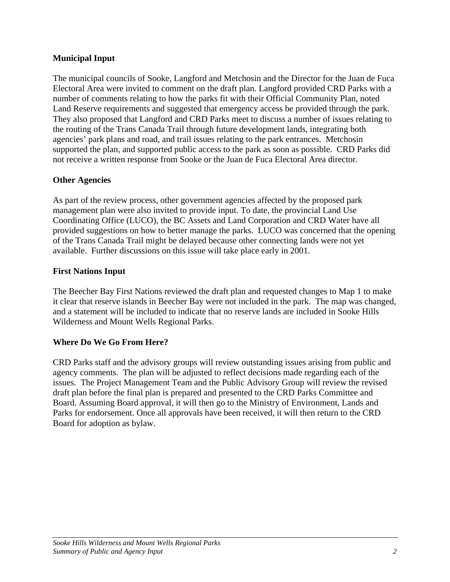#### **Municipal Input**

The municipal councils of Sooke, Langford and Metchosin and the Director for the Juan de Fuca Electoral Area were invited to comment on the draft plan. Langford provided CRD Parks with a number of comments relating to how the parks fit with their Official Community Plan, noted Land Reserve requirements and suggested that emergency access be provided through the park. They also proposed that Langford and CRD Parks meet to discuss a number of issues relating to the routing of the Trans Canada Trail through future development lands, integrating both agencies' park plans and road, and trail issues relating to the park entrances. Metchosin supported the plan, and supported public access to the park as soon as possible. CRD Parks did not receive a written response from Sooke or the Juan de Fuca Electoral Area director.

#### **Other Agencies**

As part of the review process, other government agencies affected by the proposed park management plan were also invited to provide input. To date, the provincial Land Use Coordinating Office (LUCO), the BC Assets and Land Corporation and CRD Water have all provided suggestions on how to better manage the parks. LUCO was concerned that the opening of the Trans Canada Trail might be delayed because other connecting lands were not yet available. Further discussions on this issue will take place early in 2001.

#### **First Nations Input**

The Beecher Bay First Nations reviewed the draft plan and requested changes to Map 1 to make it clear that reserve islands in Beecher Bay were not included in the park. The map was changed, and a statement will be included to indicate that no reserve lands are included in Sooke Hills Wilderness and Mount Wells Regional Parks.

#### **Where Do We Go From Here?**

CRD Parks staff and the advisory groups will review outstanding issues arising from public and agency comments. The plan will be adjusted to reflect decisions made regarding each of the issues. The Project Management Team and the Public Advisory Group will review the revised draft plan before the final plan is prepared and presented to the CRD Parks Committee and Board. Assuming Board approval, it will then go to the Ministry of Environment, Lands and Parks for endorsement. Once all approvals have been received, it will then return to the CRD Board for adoption as bylaw.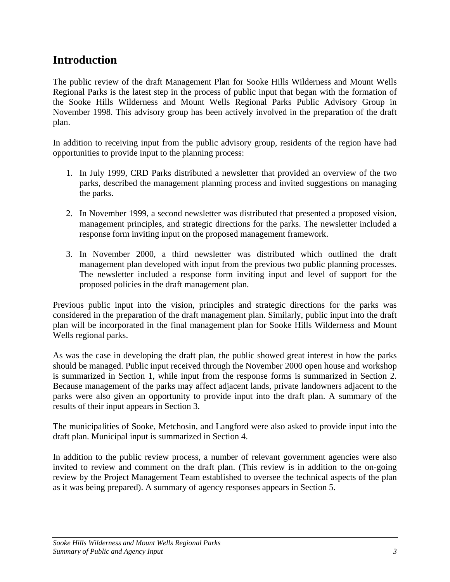## <span id="page-80-0"></span>**Introduction**

The public review of the draft Management Plan for Sooke Hills Wilderness and Mount Wells Regional Parks is the latest step in the process of public input that began with the formation of the Sooke Hills Wilderness and Mount Wells Regional Parks Public Advisory Group in November 1998. This advisory group has been actively involved in the preparation of the draft plan.

In addition to receiving input from the public advisory group, residents of the region have had opportunities to provide input to the planning process:

- 1. In July 1999, CRD Parks distributed a newsletter that provided an overview of the two parks, described the management planning process and invited suggestions on managing the parks.
- 2. In November 1999, a second newsletter was distributed that presented a proposed vision, management principles, and strategic directions for the parks. The newsletter included a response form inviting input on the proposed management framework.
- 3. In November 2000, a third newsletter was distributed which outlined the draft management plan developed with input from the previous two public planning processes. The newsletter included a response form inviting input and level of support for the proposed policies in the draft management plan.

Previous public input into the vision, principles and strategic directions for the parks was considered in the preparation of the draft management plan. Similarly, public input into the draft plan will be incorporated in the final management plan for Sooke Hills Wilderness and Mount Wells regional parks.

As was the case in developing the draft plan, the public showed great interest in how the parks should be managed. Public input received through the November 2000 open house and workshop is summarized in Section 1, while input from the response forms is summarized in Section 2. Because management of the parks may affect adjacent lands, private landowners adjacent to the parks were also given an opportunity to provide input into the draft plan. A summary of the results of their input appears in Section 3.

The municipalities of Sooke, Metchosin, and Langford were also asked to provide input into the draft plan. Municipal input is summarized in Section 4.

In addition to the public review process, a number of relevant government agencies were also invited to review and comment on the draft plan. (This review is in addition to the on-going review by the Project Management Team established to oversee the technical aspects of the plan as it was being prepared). A summary of agency responses appears in Section 5.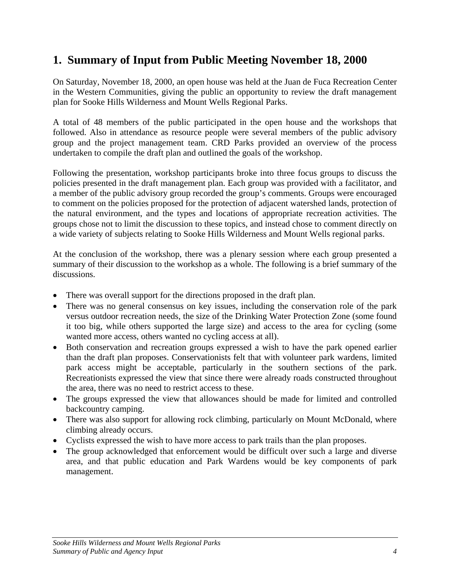## <span id="page-81-0"></span>**1. Summary of Input from Public Meeting November 18, 2000**

On Saturday, November 18, 2000, an open house was held at the Juan de Fuca Recreation Center in the Western Communities, giving the public an opportunity to review the draft management plan for Sooke Hills Wilderness and Mount Wells Regional Parks.

A total of 48 members of the public participated in the open house and the workshops that followed. Also in attendance as resource people were several members of the public advisory group and the project management team. CRD Parks provided an overview of the process undertaken to compile the draft plan and outlined the goals of the workshop.

Following the presentation, workshop participants broke into three focus groups to discuss the policies presented in the draft management plan. Each group was provided with a facilitator, and a member of the public advisory group recorded the group's comments. Groups were encouraged to comment on the policies proposed for the protection of adjacent watershed lands, protection of the natural environment, and the types and locations of appropriate recreation activities. The groups chose not to limit the discussion to these topics, and instead chose to comment directly on a wide variety of subjects relating to Sooke Hills Wilderness and Mount Wells regional parks.

At the conclusion of the workshop, there was a plenary session where each group presented a summary of their discussion to the workshop as a whole. The following is a brief summary of the discussions.

- There was overall support for the directions proposed in the draft plan.
- There was no general consensus on key issues, including the conservation role of the park versus outdoor recreation needs, the size of the Drinking Water Protection Zone (some found it too big, while others supported the large size) and access to the area for cycling (some wanted more access, others wanted no cycling access at all).
- Both conservation and recreation groups expressed a wish to have the park opened earlier than the draft plan proposes. Conservationists felt that with volunteer park wardens, limited park access might be acceptable, particularly in the southern sections of the park. Recreationists expressed the view that since there were already roads constructed throughout the area, there was no need to restrict access to these.
- The groups expressed the view that allowances should be made for limited and controlled backcountry camping.
- There was also support for allowing rock climbing, particularly on Mount McDonald, where climbing already occurs.
- Cyclists expressed the wish to have more access to park trails than the plan proposes.
- The group acknowledged that enforcement would be difficult over such a large and diverse area, and that public education and Park Wardens would be key components of park management.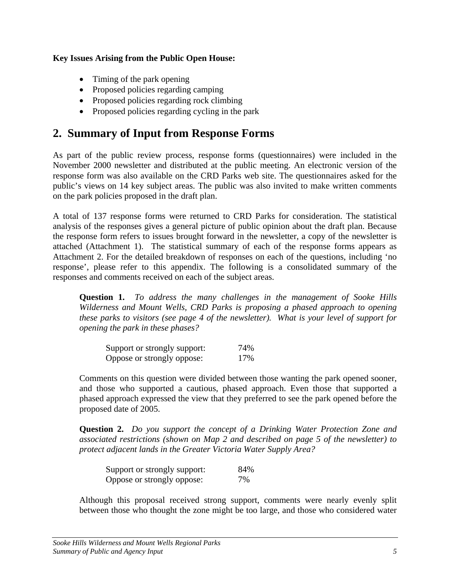#### <span id="page-82-0"></span>**Key Issues Arising from the Public Open House:**

- Timing of the park opening
- Proposed policies regarding camping
- Proposed policies regarding rock climbing
- Proposed policies regarding cycling in the park

### **2. Summary of Input from Response Forms**

As part of the public review process, response forms (questionnaires) were included in the November 2000 newsletter and distributed at the public meeting. An electronic version of the response form was also available on the CRD Parks web site. The questionnaires asked for the public's views on 14 key subject areas. The public was also invited to make written comments on the park policies proposed in the draft plan.

A total of 137 response forms were returned to CRD Parks for consideration. The statistical analysis of the responses gives a general picture of public opinion about the draft plan. Because the response form refers to issues brought forward in the newsletter, a copy of the newsletter is attached (Attachment 1). The statistical summary of each of the response forms appears as Attachment 2. For the detailed breakdown of responses on each of the questions, including 'no response', please refer to this appendix. The following is a consolidated summary of the responses and comments received on each of the subject areas.

**Question 1.** *To address the many challenges in the management of Sooke Hills Wilderness and Mount Wells, CRD Parks is proposing a phased approach to opening these parks to visitors (see page 4 of the newsletter). What is your level of support for opening the park in these phases?*

| Support or strongly support: | 74% |
|------------------------------|-----|
| Oppose or strongly oppose:   | 17% |

Comments on this question were divided between those wanting the park opened sooner, and those who supported a cautious, phased approach. Even those that supported a phased approach expressed the view that they preferred to see the park opened before the proposed date of 2005.

**Question 2.** *Do you support the concept of a Drinking Water Protection Zone and associated restrictions (shown on Map 2 and described on page 5 of the newsletter) to protect adjacent lands in the Greater Victoria Water Supply Area?*

| Support or strongly support: | 84% |
|------------------------------|-----|
| Oppose or strongly oppose:   | 7%  |

Although this proposal received strong support, comments were nearly evenly split between those who thought the zone might be too large, and those who considered water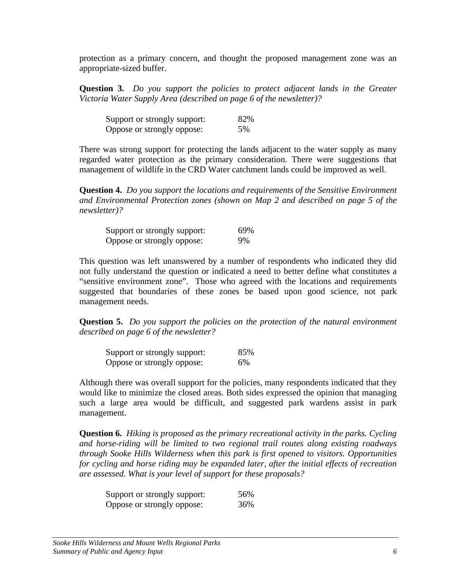protection as a primary concern, and thought the proposed management zone was an appropriate-sized buffer.

**Question 3.** *Do you support the policies to protect adjacent lands in the Greater Victoria Water Supply Area (described on page 6 of the newsletter)?*

| Support or strongly support: | 82% |
|------------------------------|-----|
| Oppose or strongly oppose:   | 5%  |

There was strong support for protecting the lands adjacent to the water supply as many regarded water protection as the primary consideration. There were suggestions that management of wildlife in the CRD Water catchment lands could be improved as well.

**Question 4.** *Do you support the locations and requirements of the Sensitive Environment and Environmental Protection zones (shown on Map 2 and described on page 5 of the newsletter)?*

| Support or strongly support: | 69% |
|------------------------------|-----|
| Oppose or strongly oppose:   | 9%  |

This question was left unanswered by a number of respondents who indicated they did not fully understand the question or indicated a need to better define what constitutes a "sensitive environment zone". Those who agreed with the locations and requirements suggested that boundaries of these zones be based upon good science, not park management needs.

**Question 5.** *Do you support the policies on the protection of the natural environment described on page 6 of the newsletter?*

| Support or strongly support: | 85% |
|------------------------------|-----|
| Oppose or strongly oppose:   | 6%  |

Although there was overall support for the policies, many respondents indicated that they would like to minimize the closed areas. Both sides expressed the opinion that managing such a large area would be difficult, and suggested park wardens assist in park management.

**Question 6.** *Hiking is proposed as the primary recreational activity in the parks. Cycling and horse-riding will be limited to two regional trail routes along existing roadways through Sooke Hills Wilderness when this park is first opened to visitors. Opportunities for cycling and horse riding may be expanded later, after the initial effects of recreation are assessed. What is your level of support for these proposals?* 

| Support or strongly support: | 56% |
|------------------------------|-----|
| Oppose or strongly oppose:   | 36% |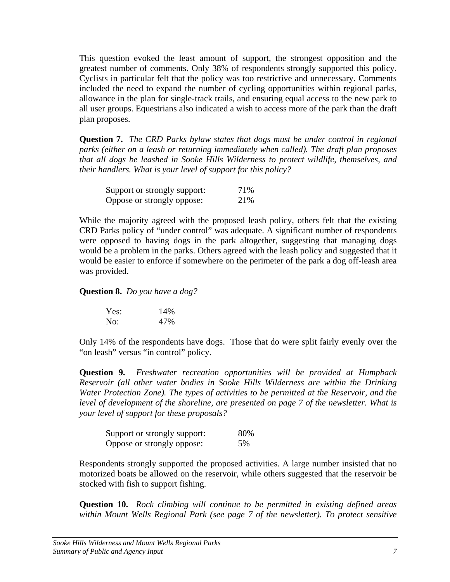This question evoked the least amount of support, the strongest opposition and the greatest number of comments. Only 38% of respondents strongly supported this policy. Cyclists in particular felt that the policy was too restrictive and unnecessary. Comments included the need to expand the number of cycling opportunities within regional parks, allowance in the plan for single-track trails, and ensuring equal access to the new park to all user groups. Equestrians also indicated a wish to access more of the park than the draft plan proposes.

**Question 7.** *The CRD Parks bylaw states that dogs must be under control in regional parks (either on a leash or returning immediately when called). The draft plan proposes that all dogs be leashed in Sooke Hills Wilderness to protect wildlife, themselves, and their handlers. What is your level of support for this policy?*

| Support or strongly support: | 71% |
|------------------------------|-----|
| Oppose or strongly oppose:   | 21% |

While the majority agreed with the proposed leash policy, others felt that the existing CRD Parks policy of "under control" was adequate. A significant number of respondents were opposed to having dogs in the park altogether, suggesting that managing dogs would be a problem in the parks. Others agreed with the leash policy and suggested that it would be easier to enforce if somewhere on the perimeter of the park a dog off-leash area was provided.

**Question 8.** *Do you have a dog?*

| Yes: | 14% |
|------|-----|
| No:  | 47% |

Only 14% of the respondents have dogs. Those that do were split fairly evenly over the "on leash" versus "in control" policy.

**Question 9.** *Freshwater recreation opportunities will be provided at Humpback Reservoir (all other water bodies in Sooke Hills Wilderness are within the Drinking Water Protection Zone). The types of activities to be permitted at the Reservoir, and the level of development of the shoreline, are presented on page 7 of the newsletter. What is your level of support for these proposals?* 

| Support or strongly support: | 80% |
|------------------------------|-----|
| Oppose or strongly oppose:   | 5%  |

Respondents strongly supported the proposed activities. A large number insisted that no motorized boats be allowed on the reservoir, while others suggested that the reservoir be stocked with fish to support fishing.

**Question 10.** *Rock climbing will continue to be permitted in existing defined areas within Mount Wells Regional Park (see page 7 of the newsletter). To protect sensitive*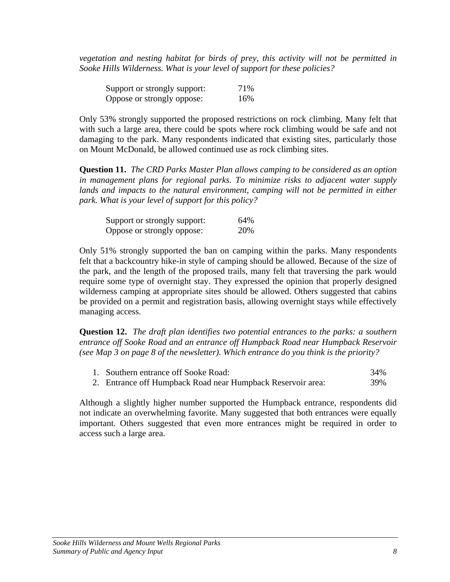*vegetation and nesting habitat for birds of prey, this activity will not be permitted in Sooke Hills Wilderness. What is your level of support for these policies?* 

| Support or strongly support: | 71% |
|------------------------------|-----|
| Oppose or strongly oppose:   | 16% |

Only 53% strongly supported the proposed restrictions on rock climbing. Many felt that with such a large area, there could be spots where rock climbing would be safe and not damaging to the park. Many respondents indicated that existing sites, particularly those on Mount McDonald, be allowed continued use as rock climbing sites.

**Question 11.** *The CRD Parks Master Plan allows camping to be considered as an option in management plans for regional parks. To minimize risks to adjacent water supply*  lands and impacts to the natural environment, camping will not be permitted in either *park. What is your level of support for this policy?* 

| Support or strongly support: | 64% |
|------------------------------|-----|
| Oppose or strongly oppose:   | 20% |

Only 51% strongly supported the ban on camping within the parks. Many respondents felt that a backcountry hike-in style of camping should be allowed. Because of the size of the park, and the length of the proposed trails, many felt that traversing the park would require some type of overnight stay. They expressed the opinion that properly designed wilderness camping at appropriate sites should be allowed. Others suggested that cabins be provided on a permit and registration basis, allowing overnight stays while effectively managing access.

**Question 12.** *The draft plan identifies two potential entrances to the parks: a southern entrance off Sooke Road and an entrance off Humpback Road near Humpback Reservoir (see Map 3 on page 8 of the newsletter). Which entrance do you think is the priority?*

| 1. Southern entrance off Sooke Road:                        | 34% |
|-------------------------------------------------------------|-----|
| 2. Entrance off Humpback Road near Humpback Reservoir area: | 39% |

Although a slightly higher number supported the Humpback entrance, respondents did not indicate an overwhelming favorite. Many suggested that both entrances were equally important. Others suggested that even more entrances might be required in order to access such a large area.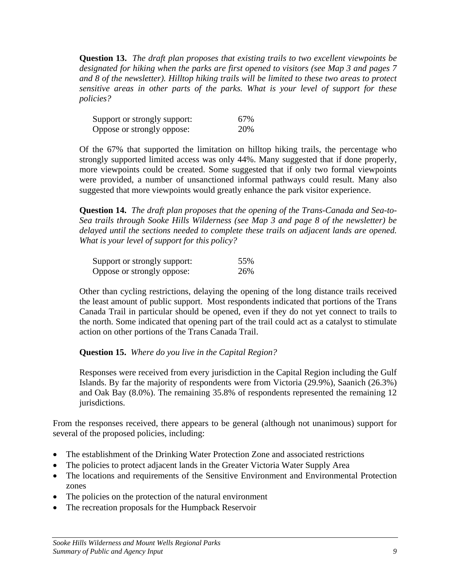**Question 13.** *The draft plan proposes that existing trails to two excellent viewpoints be designated for hiking when the parks are first opened to visitors (see Map 3 and pages 7 and 8 of the newsletter). Hilltop hiking trails will be limited to these two areas to protect sensitive areas in other parts of the parks. What is your level of support for these policies?* 

| Support or strongly support: | 67% |
|------------------------------|-----|
| Oppose or strongly oppose:   | 20% |

Of the 67% that supported the limitation on hilltop hiking trails, the percentage who strongly supported limited access was only 44%. Many suggested that if done properly, more viewpoints could be created. Some suggested that if only two formal viewpoints were provided, a number of unsanctioned informal pathways could result. Many also suggested that more viewpoints would greatly enhance the park visitor experience.

**Question 14.** *The draft plan proposes that the opening of the Trans-Canada and Sea-to-Sea trails through Sooke Hills Wilderness (see Map 3 and page 8 of the newsletter) be delayed until the sections needed to complete these trails on adjacent lands are opened. What is your level of support for this policy?* 

| Support or strongly support: | 55% |
|------------------------------|-----|
| Oppose or strongly oppose:   | 26% |

Other than cycling restrictions, delaying the opening of the long distance trails received the least amount of public support. Most respondents indicated that portions of the Trans Canada Trail in particular should be opened, even if they do not yet connect to trails to the north. Some indicated that opening part of the trail could act as a catalyst to stimulate action on other portions of the Trans Canada Trail.

**Question 15.** *Where do you live in the Capital Region?*

Responses were received from every jurisdiction in the Capital Region including the Gulf Islands. By far the majority of respondents were from Victoria (29.9%), Saanich (26.3%) and Oak Bay (8.0%). The remaining 35.8% of respondents represented the remaining 12 jurisdictions.

From the responses received, there appears to be general (although not unanimous) support for several of the proposed policies, including:

- The establishment of the Drinking Water Protection Zone and associated restrictions
- The policies to protect adjacent lands in the Greater Victoria Water Supply Area
- The locations and requirements of the Sensitive Environment and Environmental Protection zones
- The policies on the protection of the natural environment
- The recreation proposals for the Humpback Reservoir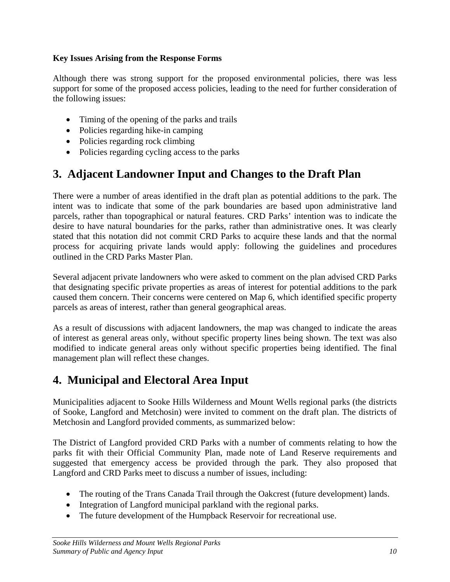#### <span id="page-87-0"></span>**Key Issues Arising from the Response Forms**

Although there was strong support for the proposed environmental policies, there was less support for some of the proposed access policies, leading to the need for further consideration of the following issues:

- Timing of the opening of the parks and trails
- Policies regarding hike-in camping
- Policies regarding rock climbing
- Policies regarding cycling access to the parks

## **3. Adjacent Landowner Input and Changes to the Draft Plan**

There were a number of areas identified in the draft plan as potential additions to the park. The intent was to indicate that some of the park boundaries are based upon administrative land parcels, rather than topographical or natural features. CRD Parks' intention was to indicate the desire to have natural boundaries for the parks, rather than administrative ones. It was clearly stated that this notation did not commit CRD Parks to acquire these lands and that the normal process for acquiring private lands would apply: following the guidelines and procedures outlined in the CRD Parks Master Plan.

Several adjacent private landowners who were asked to comment on the plan advised CRD Parks that designating specific private properties as areas of interest for potential additions to the park caused them concern. Their concerns were centered on Map 6, which identified specific property parcels as areas of interest, rather than general geographical areas.

As a result of discussions with adjacent landowners, the map was changed to indicate the areas of interest as general areas only, without specific property lines being shown. The text was also modified to indicate general areas only without specific properties being identified. The final management plan will reflect these changes.

## **4. Municipal and Electoral Area Input**

Municipalities adjacent to Sooke Hills Wilderness and Mount Wells regional parks (the districts of Sooke, Langford and Metchosin) were invited to comment on the draft plan. The districts of Metchosin and Langford provided comments, as summarized below:

The District of Langford provided CRD Parks with a number of comments relating to how the parks fit with their Official Community Plan, made note of Land Reserve requirements and suggested that emergency access be provided through the park. They also proposed that Langford and CRD Parks meet to discuss a number of issues, including:

- The routing of the Trans Canada Trail through the Oakcrest (future development) lands.
- Integration of Langford municipal parkland with the regional parks.
- The future development of the Humpback Reservoir for recreational use.